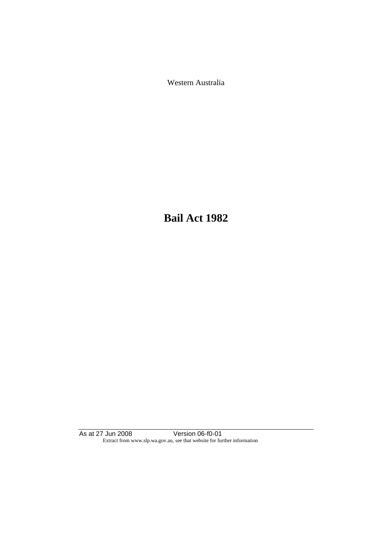Western Australia

**Bail Act 1982**

As at 27 Jun 2008 Version 06-f0-01 Extract from www.slp.wa.gov.au, see that website for further information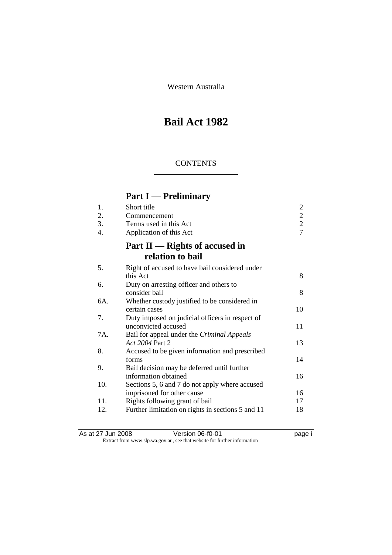Western Australia

# **Bail Act 1982**

### **CONTENTS**

# **Part I — Preliminary**

| 1.<br>2.<br>3.<br>4. | Short title<br>Commencement<br>Terms used in this Act<br>Application of this Act | $\overline{c}$<br>$\frac{2}{7}$ |
|----------------------|----------------------------------------------------------------------------------|---------------------------------|
|                      | Part II — Rights of accused in<br>relation to bail                               |                                 |
| 5.                   | Right of accused to have bail considered under<br>this Act                       | 8                               |
| 6.                   | Duty on arresting officer and others to<br>consider bail                         | 8                               |
| 6A.                  | Whether custody justified to be considered in<br>certain cases                   | 10                              |
| 7.                   | Duty imposed on judicial officers in respect of<br>unconvicted accused           | 11                              |
| 7A.                  | Bail for appeal under the Criminal Appeals<br>Act 2004 Part 2                    | 13                              |
| 8.                   | Accused to be given information and prescribed<br>forms                          | 14                              |
| 9.                   | Bail decision may be deferred until further<br>information obtained              | 16                              |
| 10.                  | Sections 5, 6 and 7 do not apply where accused<br>imprisoned for other cause     | 16                              |
| 11.                  | Rights following grant of bail                                                   | 17                              |
| 12.                  | Further limitation on rights in sections 5 and 11                                | 18                              |

As at 27 Jun 2008 Version 06-f0-01 page i Extract from www.slp.wa.gov.au, see that website for further information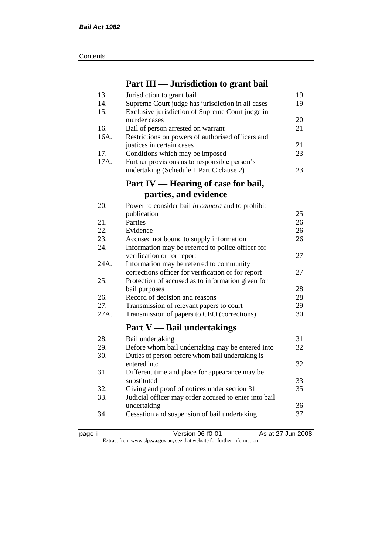| Contents |
|----------|
|----------|

# **Part III — Jurisdiction to grant bail**

| 13.  | Jurisdiction to grant bail                            | 19 |
|------|-------------------------------------------------------|----|
| 14.  | Supreme Court judge has jurisdiction in all cases     | 19 |
| 15.  | Exclusive jurisdiction of Supreme Court judge in      |    |
|      | murder cases                                          | 20 |
| 16.  | Bail of person arrested on warrant                    | 21 |
| 16A. | Restrictions on powers of authorised officers and     |    |
|      | justices in certain cases                             | 21 |
| 17.  | Conditions which may be imposed                       | 23 |
| 17A. | Further provisions as to responsible person's         |    |
|      | undertaking (Schedule 1 Part C clause 2)              | 23 |
|      | Part IV — Hearing of case for bail,                   |    |
|      | parties, and evidence                                 |    |
|      |                                                       |    |
| 20.  | Power to consider bail in camera and to prohibit      |    |
|      | publication                                           | 25 |
| 21.  | Parties                                               | 26 |
| 22.  | Evidence                                              | 26 |
| 23.  | Accused not bound to supply information               | 26 |
| 24.  | Information may be referred to police officer for     |    |
|      | verification or for report                            | 27 |
| 24A. | Information may be referred to community              |    |
|      | corrections officer for verification or for report    | 27 |
| 25.  | Protection of accused as to information given for     |    |
|      | bail purposes                                         | 28 |
| 26.  | Record of decision and reasons                        | 28 |
| 27.  | Transmission of relevant papers to court              | 29 |
| 27A. | Transmission of papers to CEO (corrections)           | 30 |
|      | Part $V$ — Bail undertakings                          |    |
| 28.  | Bail undertaking                                      | 31 |
| 29.  | Before whom bail undertaking may be entered into      | 32 |
| 30.  | Duties of person before whom bail undertaking is      |    |
|      | entered into                                          | 32 |
| 31.  | Different time and place for appearance may be        |    |
|      | substituted                                           | 33 |
| 32.  | Giving and proof of notices under section 31          | 35 |
| 33.  | Judicial officer may order accused to enter into bail |    |
|      | undertaking                                           | 36 |
| 34.  | Cessation and suspension of bail undertaking          | 37 |
|      |                                                       |    |

page ii Version 06-f0-01 As at 27 Jun 2008

Extract from www.slp.wa.gov.au, see that website for further information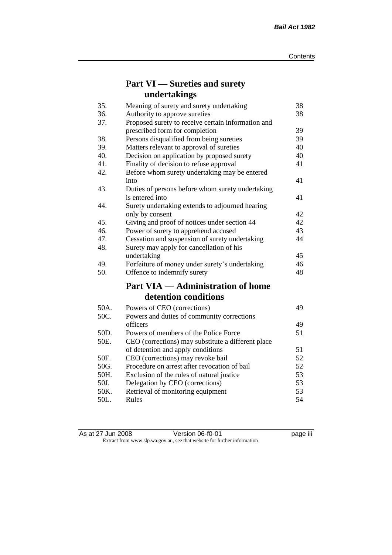# **Part VI — Sureties and surety undertakings**

| 35.  | Meaning of surety and surety undertaking           | 38 |
|------|----------------------------------------------------|----|
| 36.  | Authority to approve sureties                      | 38 |
| 37.  | Proposed surety to receive certain information and |    |
|      | prescribed form for completion                     | 39 |
| 38.  | Persons disqualified from being sureties           | 39 |
| 39.  | Matters relevant to approval of sureties           | 40 |
| 40.  | Decision on application by proposed surety         | 40 |
| 41.  | Finality of decision to refuse approval            | 41 |
| 42.  | Before whom surety undertaking may be entered      |    |
|      | into                                               | 41 |
| 43.  | Duties of persons before whom surety undertaking   |    |
|      | is entered into                                    | 41 |
| 44.  | Surety undertaking extends to adjourned hearing    |    |
|      | only by consent                                    | 42 |
| 45.  | Giving and proof of notices under section 44       | 42 |
| 46.  | Power of surety to apprehend accused               | 43 |
| 47.  | Cessation and suspension of surety undertaking     | 44 |
| 48.  | Surety may apply for cancellation of his           |    |
|      | undertaking                                        | 45 |
| 49.  | Forfeiture of money under surety's undertaking     | 46 |
| 50.  | Offence to indemnify surety                        | 48 |
|      | <b>Part VIA — Administration of home</b>           |    |
|      | detention conditions                               |    |
| 50A. | Powers of CEO (corrections)                        | 49 |
| 50C. | Powers and duties of community corrections         |    |
|      | officers                                           | 49 |
| 50D. | Powers of members of the Police Force              | 51 |
| 50E. | CEO (corrections) may substitute a different place |    |
|      | of detention and apply conditions                  | 51 |
| 50F. | CEO (corrections) may revoke bail                  | 52 |
| 50G. | Procedure on arrest after revocation of bail       | 52 |
| 50H. | Exclusion of the rules of natural justice          | 53 |
| 50J. | Delegation by CEO (corrections)                    | 53 |
| 50K. | Retrieval of monitoring equipment                  | 53 |
| 50L. | Rules                                              | 54 |

| As at 27 Jun 2008 | Version 06-f0-01                                                         | <br>page III |
|-------------------|--------------------------------------------------------------------------|--------------|
|                   | Extract from www.slp.wa.gov.au, see that website for further information |              |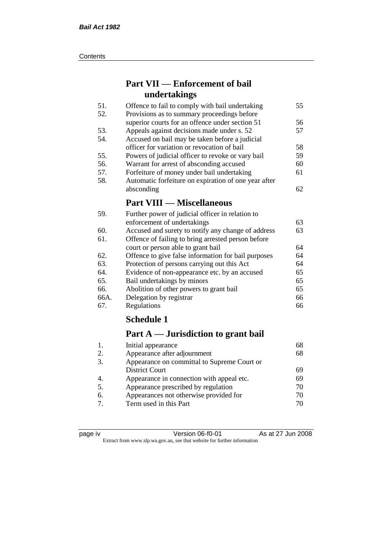#### **Contents**

# **Part VII — Enforcement of bail undertakings**

| Offence to fail to comply with bail undertaking      | 55 |
|------------------------------------------------------|----|
| Provisions as to summary proceedings before          |    |
| superior courts for an offence under section 51      | 56 |
| Appeals against decisions made under s. 52           | 57 |
| Accused on bail may be taken before a judicial       |    |
| officer for variation or revocation of bail          | 58 |
| Powers of judicial officer to revoke or vary bail    | 59 |
| Warrant for arrest of absconding accused             | 60 |
| Forfeiture of money under bail undertaking           | 61 |
| Automatic forfeiture on expiration of one year after |    |
| absconding                                           | 62 |
| <b>Part VIII — Miscellaneous</b>                     |    |
|                                                      |    |

| 59.  | Further power of judicial officer in relation to    |    |
|------|-----------------------------------------------------|----|
|      | enforcement of undertakings                         | 63 |
| 60.  | Accused and surety to notify any change of address  | 63 |
| 61.  | Offence of failing to bring arrested person before  |    |
|      | court or person able to grant bail                  | 64 |
| 62.  | Offence to give false information for bail purposes | 64 |
| 63.  | Protection of persons carrying out this Act         | 64 |
| 64.  | Evidence of non-appearance etc. by an accused       | 65 |
| 65.  | Bail undertakings by minors                         | 65 |
| 66.  | Abolition of other powers to grant bail             | 65 |
| 66A. | Delegation by registrar                             | 66 |
| 67.  | Regulations                                         | 66 |

# **Schedule 1**

# **Part A — Jurisdiction to grant bail**

| 68 |
|----|
|    |
|    |
| 69 |
| 69 |
| 70 |
| 70 |
| 70 |
|    |

| c<br>н |
|--------|
|--------|

page iv Version 06-f0-01 As at 27 Jun 2008 Extract from www.slp.wa.gov.au, see that website for further information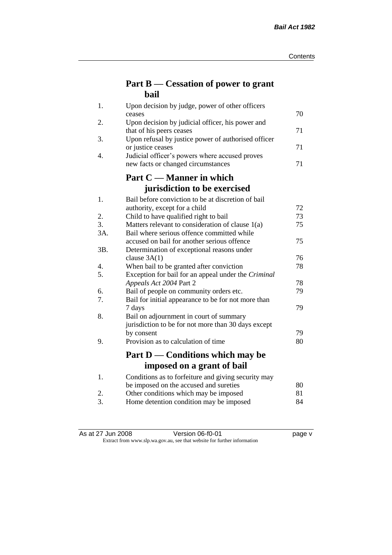# **Part B — Cessation of power to grant bail**

| 1.  | Upon decision by judge, power of other officers                              |    |
|-----|------------------------------------------------------------------------------|----|
|     | ceases                                                                       | 70 |
| 2.  | Upon decision by judicial officer, his power and<br>that of his peers ceases | 71 |
| 3.  | Upon refusal by justice power of authorised officer                          |    |
|     | or justice ceases                                                            | 71 |
| 4.  | Judicial officer's powers where accused proves                               |    |
|     | new facts or changed circumstances                                           | 71 |
|     | Part C — Manner in which                                                     |    |
|     | jurisdiction to be exercised                                                 |    |
| 1.  | Bail before conviction to be at discretion of bail                           |    |
|     | authority, except for a child                                                | 72 |
| 2.  | Child to have qualified right to bail                                        | 73 |
| 3.  | Matters relevant to consideration of clause 1(a)                             | 75 |
| 3A. | Bail where serious offence committed while                                   |    |
|     | accused on bail for another serious offence                                  | 75 |
| 3B. | Determination of exceptional reasons under                                   |    |
|     | clause $3A(1)$                                                               | 76 |
| 4.  | When bail to be granted after conviction                                     | 78 |
| 5.  | Exception for bail for an appeal under the Criminal                          |    |
|     | Appeals Act 2004 Part 2                                                      | 78 |
| 6.  | Bail of people on community orders etc.                                      | 79 |
| 7.  | Bail for initial appearance to be for not more than                          |    |
| 8.  | 7 days                                                                       | 79 |
|     | Bail on adjournment in court of summary                                      |    |
|     | jurisdiction to be for not more than 30 days except<br>by consent            | 79 |
| 9.  | Provision as to calculation of time                                          | 80 |
|     |                                                                              |    |
|     | Part D — Conditions which may be                                             |    |
|     | imposed on a grant of bail                                                   |    |
| 1.  | Conditions as to forfeiture and giving security may                          |    |
|     | be imposed on the accused and sureties                                       | 80 |
| 2.  | Other conditions which may be imposed                                        | 81 |
| 3.  | Home detention condition may be imposed                                      | 84 |

As at 27 Jun 2008 Version 06-f0-01 page v Extract from www.slp.wa.gov.au, see that website for further information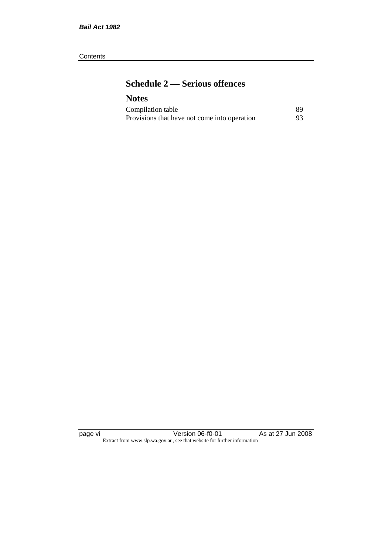#### **Contents**

# **Schedule 2 — Serious offences**

## **Notes**

| Compilation table                            | 89 |
|----------------------------------------------|----|
| Provisions that have not come into operation | 93 |

page vi Version 06-f0-01 As at 27 Jun 2008 Extract from www.slp.wa.gov.au, see that website for further information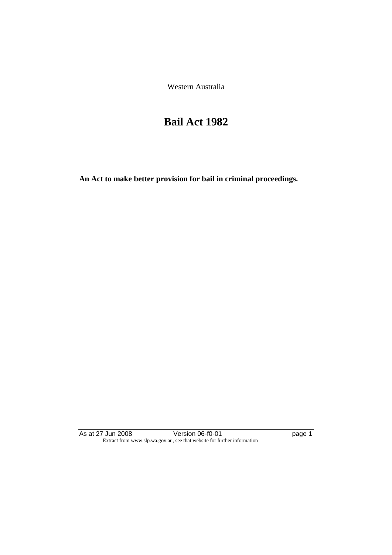Western Australia

# **Bail Act 1982**

**An Act to make better provision for bail in criminal proceedings.** 

As at 27 Jun 2008 **Version 06-f0-01 Page 1 page 1** Extract from www.slp.wa.gov.au, see that website for further information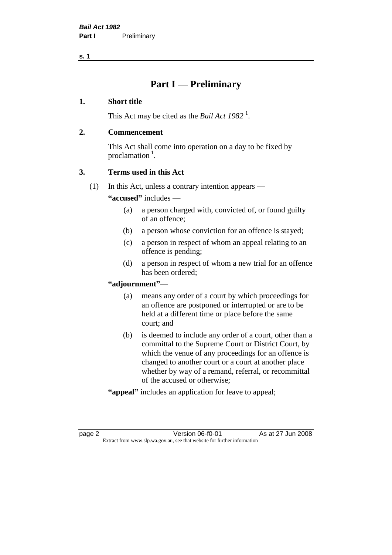# **Part I — Preliminary**

#### **1. Short title**

This Act may be cited as the *Bail Act* 1982<sup>1</sup>.

#### **2. Commencement**

This Act shall come into operation on a day to be fixed by proclamation  $<sup>1</sup>$ .</sup>

### **3. Terms used in this Act**

(1) In this Act, unless a contrary intention appears —

**"accused"** includes —

- (a) a person charged with, convicted of, or found guilty of an offence;
- (b) a person whose conviction for an offence is stayed;
- (c) a person in respect of whom an appeal relating to an offence is pending;
- (d) a person in respect of whom a new trial for an offence has been ordered;

#### **"adjournment"**—

- (a) means any order of a court by which proceedings for an offence are postponed or interrupted or are to be held at a different time or place before the same court; and
- (b) is deemed to include any order of a court, other than a committal to the Supreme Court or District Court, by which the venue of any proceedings for an offence is changed to another court or a court at another place whether by way of a remand, referral, or recommittal of the accused or otherwise;
- **"appeal"** includes an application for leave to appeal;

page 2 **Version 06-f0-01** As at 27 Jun 2008 Extract from www.slp.wa.gov.au, see that website for further information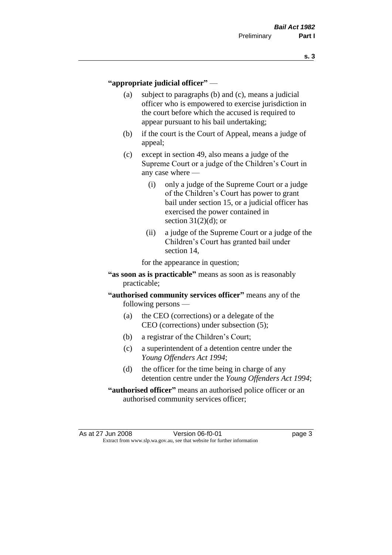#### **"appropriate judicial officer"** —

- (a) subject to paragraphs (b) and (c), means a judicial officer who is empowered to exercise jurisdiction in the court before which the accused is required to appear pursuant to his bail undertaking;
- (b) if the court is the Court of Appeal, means a judge of appeal;
- (c) except in section 49, also means a judge of the Supreme Court or a judge of the Children's Court in any case where —
	- (i) only a judge of the Supreme Court or a judge of the Children's Court has power to grant bail under section 15, or a judicial officer has exercised the power contained in section  $31(2)(d)$ ; or
	- (ii) a judge of the Supreme Court or a judge of the Children's Court has granted bail under section 14,

for the appearance in question;

- **"as soon as is practicable"** means as soon as is reasonably practicable;
- **"authorised community services officer"** means any of the following persons —
	- (a) the CEO (corrections) or a delegate of the CEO (corrections) under subsection (5);
	- (b) a registrar of the Children's Court;
	- (c) a superintendent of a detention centre under the *Young Offenders Act 1994*;
	- (d) the officer for the time being in charge of any detention centre under the *Young Offenders Act 1994*;
- **"authorised officer"** means an authorised police officer or an authorised community services officer;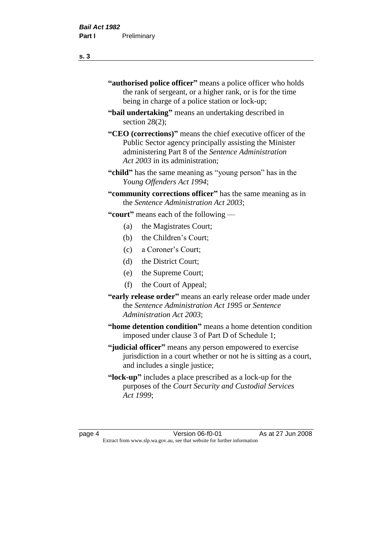- **"authorised police officer"** means a police officer who holds the rank of sergeant, or a higher rank, or is for the time being in charge of a police station or lock-up;
- **"bail undertaking"** means an undertaking described in section 28(2):
- **"CEO (corrections)"** means the chief executive officer of the Public Sector agency principally assisting the Minister administering Part 8 of the *Sentence Administration Act 2003* in its administration;
- **"child"** has the same meaning as "young person" has in the *Young Offenders Act 1994*;
- **"community corrections officer"** has the same meaning as in the *Sentence Administration Act 2003*;

**"court"** means each of the following —

- (a) the Magistrates Court;
- (b) the Children's Court;
- (c) a Coroner's Court;
- (d) the District Court;
- (e) the Supreme Court;
- (f) the Court of Appeal;
- **"early release order"** means an early release order made under the *Sentence Administration Act 1995* or *Sentence Administration Act 2003*;
- **"home detention condition"** means a home detention condition imposed under clause 3 of Part D of Schedule 1;
- **"judicial officer"** means any person empowered to exercise jurisdiction in a court whether or not he is sitting as a court, and includes a single justice;
- **"lock-up"** includes a place prescribed as a lock-up for the purposes of the *Court Security and Custodial Services Act 1999*;

page 4 Version 06-f0-01 As at 27 Jun 2008 Extract from www.slp.wa.gov.au, see that website for further information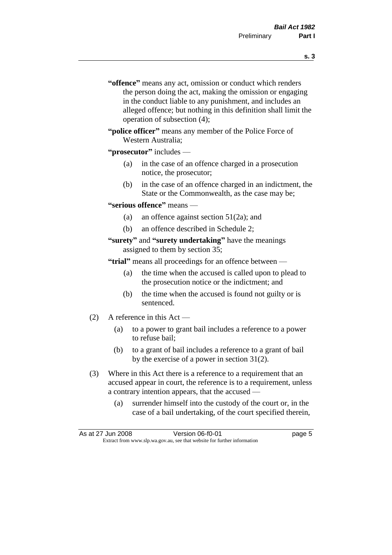- **s. 3**
- **"offence"** means any act, omission or conduct which renders the person doing the act, making the omission or engaging in the conduct liable to any punishment, and includes an alleged offence; but nothing in this definition shall limit the operation of subsection (4);
- **"police officer"** means any member of the Police Force of Western Australia;

#### **"prosecutor"** includes —

- (a) in the case of an offence charged in a prosecution notice, the prosecutor;
- (b) in the case of an offence charged in an indictment, the State or the Commonwealth, as the case may be;

#### **"serious offence"** means —

- (a) an offence against section 51(2a); and
- (b) an offence described in Schedule 2;

#### **"surety"** and **"surety undertaking"** have the meanings assigned to them by section 35;

**"trial"** means all proceedings for an offence between —

- (a) the time when the accused is called upon to plead to the prosecution notice or the indictment; and
- (b) the time when the accused is found not guilty or is sentenced.
- (2) A reference in this Act
	- (a) to a power to grant bail includes a reference to a power to refuse bail;
	- (b) to a grant of bail includes a reference to a grant of bail by the exercise of a power in section 31(2).
- (3) Where in this Act there is a reference to a requirement that an accused appear in court, the reference is to a requirement, unless a contrary intention appears, that the accused —
	- (a) surrender himself into the custody of the court or, in the case of a bail undertaking, of the court specified therein,

| As at 27 Jun 2008 | Version 06-f0-01                                                         | page 5 |
|-------------------|--------------------------------------------------------------------------|--------|
|                   | Extract from www.slp.wa.gov.au, see that website for further information |        |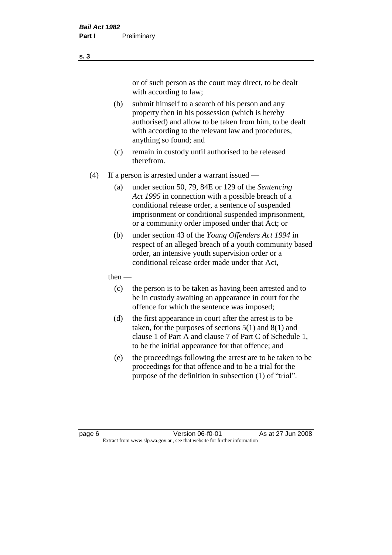or of such person as the court may direct, to be dealt with according to law;

(b) submit himself to a search of his person and any property then in his possession (which is hereby authorised) and allow to be taken from him, to be dealt with according to the relevant law and procedures, anything so found; and

- (c) remain in custody until authorised to be released therefrom.
- (4) If a person is arrested under a warrant issued
	- (a) under section 50, 79, 84E or 129 of the *Sentencing Act 1995* in connection with a possible breach of a conditional release order, a sentence of suspended imprisonment or conditional suspended imprisonment, or a community order imposed under that Act; or
	- (b) under section 43 of the *Young Offenders Act 1994* in respect of an alleged breach of a youth community based order, an intensive youth supervision order or a conditional release order made under that Act,
	- then
		- (c) the person is to be taken as having been arrested and to be in custody awaiting an appearance in court for the offence for which the sentence was imposed;
		- (d) the first appearance in court after the arrest is to be taken, for the purposes of sections  $5(1)$  and  $8(1)$  and clause 1 of Part A and clause 7 of Part C of Schedule 1, to be the initial appearance for that offence; and
		- (e) the proceedings following the arrest are to be taken to be proceedings for that offence and to be a trial for the purpose of the definition in subsection (1) of "trial".

page 6 **Version 06-f0-01** As at 27 Jun 2008 Extract from www.slp.wa.gov.au, see that website for further information

**s. 3**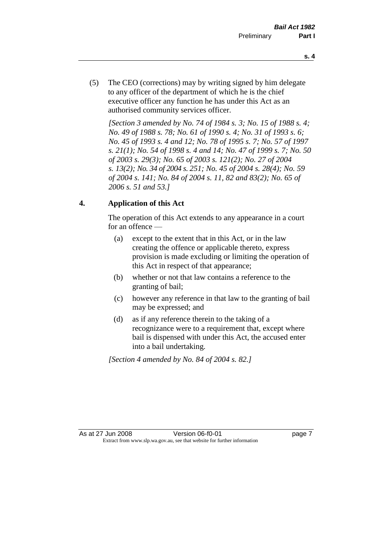- **s. 4**
- (5) The CEO (corrections) may by writing signed by him delegate to any officer of the department of which he is the chief executive officer any function he has under this Act as an authorised community services officer.

*[Section 3 amended by No. 74 of 1984 s. 3; No. 15 of 1988 s. 4; No. 49 of 1988 s. 78; No. 61 of 1990 s. 4; No. 31 of 1993 s. 6; No. 45 of 1993 s. 4 and 12; No. 78 of 1995 s. 7; No. 57 of 1997 s. 21(1); No. 54 of 1998 s. 4 and 14; No. 47 of 1999 s. 7; No. 50 of 2003 s. 29(3); No. 65 of 2003 s. 121(2); No. 27 of 2004 s. 13(2); No. 34 of 2004 s. 251; No. 45 of 2004 s. 28(4); No. 59 of 2004 s. 141; No. 84 of 2004 s. 11, 82 and 83(2); No. 65 of 2006 s. 51 and 53.]* 

### **4. Application of this Act**

The operation of this Act extends to any appearance in a court for an offence —

- (a) except to the extent that in this Act, or in the law creating the offence or applicable thereto, express provision is made excluding or limiting the operation of this Act in respect of that appearance;
- (b) whether or not that law contains a reference to the granting of bail;
- (c) however any reference in that law to the granting of bail may be expressed; and
- (d) as if any reference therein to the taking of a recognizance were to a requirement that, except where bail is dispensed with under this Act, the accused enter into a bail undertaking.

*[Section 4 amended by No. 84 of 2004 s. 82.]*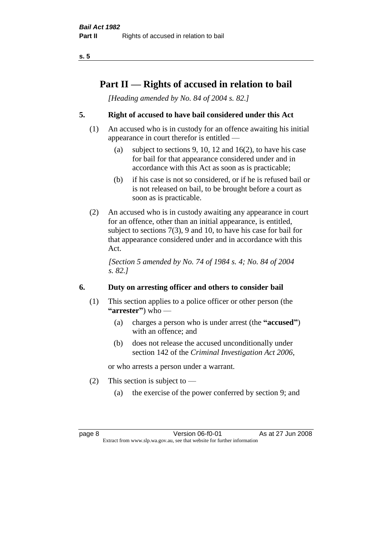# **Part II — Rights of accused in relation to bail**

*[Heading amended by No. 84 of 2004 s. 82.]* 

### **5. Right of accused to have bail considered under this Act**

- (1) An accused who is in custody for an offence awaiting his initial appearance in court therefor is entitled —
	- (a) subject to sections 9, 10, 12 and 16(2), to have his case for bail for that appearance considered under and in accordance with this Act as soon as is practicable;
	- (b) if his case is not so considered, or if he is refused bail or is not released on bail, to be brought before a court as soon as is practicable.
- (2) An accused who is in custody awaiting any appearance in court for an offence, other than an initial appearance, is entitled, subject to sections 7(3), 9 and 10, to have his case for bail for that appearance considered under and in accordance with this Act.

*[Section 5 amended by No. 74 of 1984 s. 4; No. 84 of 2004 s. 82.]* 

### **6. Duty on arresting officer and others to consider bail**

- (1) This section applies to a police officer or other person (the **"arrester"**) who —
	- (a) charges a person who is under arrest (the **"accused"**) with an offence; and
	- (b) does not release the accused unconditionally under section 142 of the *Criminal Investigation Act 2006*,

or who arrests a person under a warrant.

- (2) This section is subject to  $-$ 
	- (a) the exercise of the power conferred by section 9; and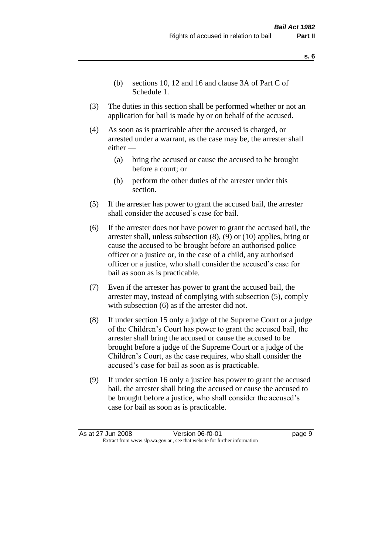- **s. 6**
- (b) sections 10, 12 and 16 and clause 3A of Part C of Schedule 1.
- (3) The duties in this section shall be performed whether or not an application for bail is made by or on behalf of the accused.
- (4) As soon as is practicable after the accused is charged, or arrested under a warrant, as the case may be, the arrester shall either —
	- (a) bring the accused or cause the accused to be brought before a court; or
	- (b) perform the other duties of the arrester under this section.
- (5) If the arrester has power to grant the accused bail, the arrester shall consider the accused's case for bail.
- (6) If the arrester does not have power to grant the accused bail, the arrester shall, unless subsection (8), (9) or (10) applies, bring or cause the accused to be brought before an authorised police officer or a justice or, in the case of a child, any authorised officer or a justice, who shall consider the accused's case for bail as soon as is practicable.
- (7) Even if the arrester has power to grant the accused bail, the arrester may, instead of complying with subsection (5), comply with subsection  $(6)$  as if the arrester did not.
- (8) If under section 15 only a judge of the Supreme Court or a judge of the Children's Court has power to grant the accused bail, the arrester shall bring the accused or cause the accused to be brought before a judge of the Supreme Court or a judge of the Children's Court, as the case requires, who shall consider the accused's case for bail as soon as is practicable.
- (9) If under section 16 only a justice has power to grant the accused bail, the arrester shall bring the accused or cause the accused to be brought before a justice, who shall consider the accused's case for bail as soon as is practicable.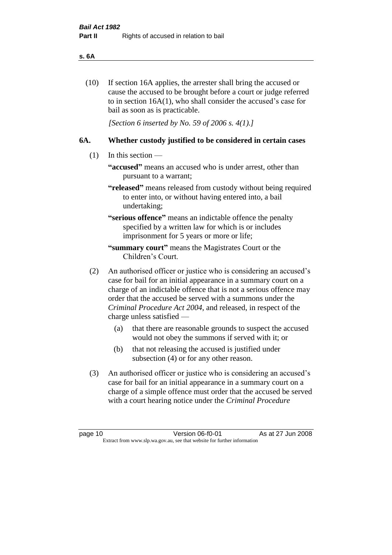#### **s. 6A**

(10) If section 16A applies, the arrester shall bring the accused or cause the accused to be brought before a court or judge referred to in section 16A(1), who shall consider the accused's case for bail as soon as is practicable.

*[Section 6 inserted by No. 59 of 2006 s. 4(1).]* 

#### **6A. Whether custody justified to be considered in certain cases**

- (1) In this section
	- **"accused"** means an accused who is under arrest, other than pursuant to a warrant;
	- **"released"** means released from custody without being required to enter into, or without having entered into, a bail undertaking;

**"serious offence"** means an indictable offence the penalty specified by a written law for which is or includes imprisonment for 5 years or more or life;

- **"summary court"** means the Magistrates Court or the Children's Court.
- (2) An authorised officer or justice who is considering an accused's case for bail for an initial appearance in a summary court on a charge of an indictable offence that is not a serious offence may order that the accused be served with a summons under the *Criminal Procedure Act 2004*, and released, in respect of the charge unless satisfied —
	- (a) that there are reasonable grounds to suspect the accused would not obey the summons if served with it; or
	- (b) that not releasing the accused is justified under subsection (4) or for any other reason.
- (3) An authorised officer or justice who is considering an accused's case for bail for an initial appearance in a summary court on a charge of a simple offence must order that the accused be served with a court hearing notice under the *Criminal Procedure*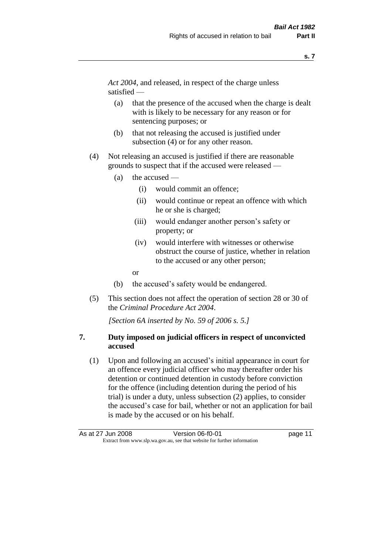*Act 2004*, and released, in respect of the charge unless satisfied —

- (a) that the presence of the accused when the charge is dealt with is likely to be necessary for any reason or for sentencing purposes; or
- (b) that not releasing the accused is justified under subsection (4) or for any other reason.
- (4) Not releasing an accused is justified if there are reasonable grounds to suspect that if the accused were released —
	- (a) the accused
		- (i) would commit an offence;
		- (ii) would continue or repeat an offence with which he or she is charged;
		- (iii) would endanger another person's safety or property; or
		- (iv) would interfere with witnesses or otherwise obstruct the course of justice, whether in relation to the accused or any other person;
		- or
	- (b) the accused's safety would be endangered.
- (5) This section does not affect the operation of section 28 or 30 of the *Criminal Procedure Act 2004*.

*[Section 6A inserted by No. 59 of 2006 s. 5.]* 

### **7. Duty imposed on judicial officers in respect of unconvicted accused**

(1) Upon and following an accused's initial appearance in court for an offence every judicial officer who may thereafter order his detention or continued detention in custody before conviction for the offence (including detention during the period of his trial) is under a duty, unless subsection (2) applies, to consider the accused's case for bail, whether or not an application for bail is made by the accused or on his behalf.

As at 27 Jun 2008 **Version 06-f0-01 Dage 11** Extract from www.slp.wa.gov.au, see that website for further information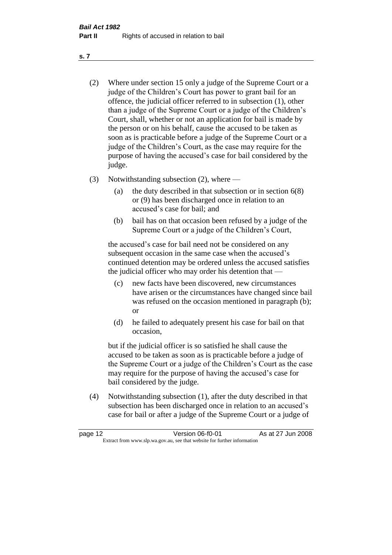- (2) Where under section 15 only a judge of the Supreme Court or a judge of the Children's Court has power to grant bail for an offence, the judicial officer referred to in subsection (1), other than a judge of the Supreme Court or a judge of the Children's Court, shall, whether or not an application for bail is made by the person or on his behalf, cause the accused to be taken as soon as is practicable before a judge of the Supreme Court or a judge of the Children's Court, as the case may require for the purpose of having the accused's case for bail considered by the judge.
- (3) Notwithstanding subsection (2), where
	- (a) the duty described in that subsection or in section 6(8) or (9) has been discharged once in relation to an accused's case for bail; and
	- (b) bail has on that occasion been refused by a judge of the Supreme Court or a judge of the Children's Court,

the accused's case for bail need not be considered on any subsequent occasion in the same case when the accused's continued detention may be ordered unless the accused satisfies the judicial officer who may order his detention that —

- (c) new facts have been discovered, new circumstances have arisen or the circumstances have changed since bail was refused on the occasion mentioned in paragraph (b); or
- (d) he failed to adequately present his case for bail on that occasion,

but if the judicial officer is so satisfied he shall cause the accused to be taken as soon as is practicable before a judge of the Supreme Court or a judge of the Children's Court as the case may require for the purpose of having the accused's case for bail considered by the judge.

(4) Notwithstanding subsection (1), after the duty described in that subsection has been discharged once in relation to an accused's case for bail or after a judge of the Supreme Court or a judge of

| page 12 | Version 06-f0-01                                                         | As at 27 Jun 2008 |
|---------|--------------------------------------------------------------------------|-------------------|
|         | Extract from www.slp.wa.gov.au, see that website for further information |                   |

**s. 7**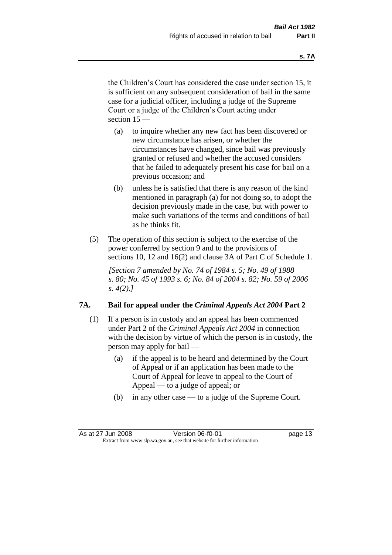the Children's Court has considered the case under section 15, it is sufficient on any subsequent consideration of bail in the same case for a judicial officer, including a judge of the Supreme Court or a judge of the Children's Court acting under section 15 —

- (a) to inquire whether any new fact has been discovered or new circumstance has arisen, or whether the circumstances have changed, since bail was previously granted or refused and whether the accused considers that he failed to adequately present his case for bail on a previous occasion; and
- (b) unless he is satisfied that there is any reason of the kind mentioned in paragraph (a) for not doing so, to adopt the decision previously made in the case, but with power to make such variations of the terms and conditions of bail as he thinks fit.
- (5) The operation of this section is subject to the exercise of the power conferred by section 9 and to the provisions of sections 10, 12 and 16(2) and clause 3A of Part C of Schedule 1.

*[Section 7 amended by No. 74 of 1984 s. 5; No. 49 of 1988 s. 80; No. 45 of 1993 s. 6; No. 84 of 2004 s. 82; No. 59 of 2006 s. 4(2).]* 

#### **7A. Bail for appeal under the** *Criminal Appeals Act 2004* **Part 2**

- (1) If a person is in custody and an appeal has been commenced under Part 2 of the *Criminal Appeals Act 2004* in connection with the decision by virtue of which the person is in custody, the person may apply for bail —
	- (a) if the appeal is to be heard and determined by the Court of Appeal or if an application has been made to the Court of Appeal for leave to appeal to the Court of Appeal — to a judge of appeal; or
	- (b) in any other case to a judge of the Supreme Court.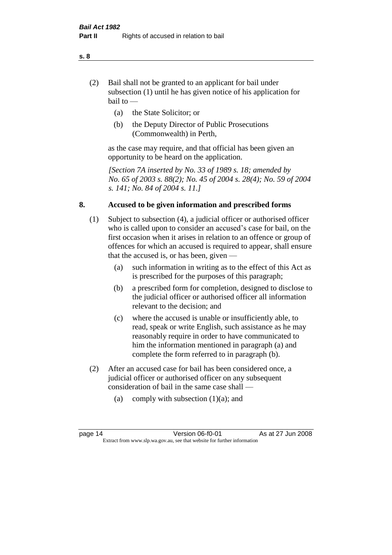- (2) Bail shall not be granted to an applicant for bail under subsection (1) until he has given notice of his application for bail to —
	- (a) the State Solicitor; or
	- (b) the Deputy Director of Public Prosecutions (Commonwealth) in Perth,

as the case may require, and that official has been given an opportunity to be heard on the application.

*[Section 7A inserted by No. 33 of 1989 s. 18; amended by No. 65 of 2003 s. 88(2); No. 45 of 2004 s. 28(4); No. 59 of 2004 s. 141; No. 84 of 2004 s. 11.]* 

#### **8. Accused to be given information and prescribed forms**

- (1) Subject to subsection (4), a judicial officer or authorised officer who is called upon to consider an accused's case for bail, on the first occasion when it arises in relation to an offence or group of offences for which an accused is required to appear, shall ensure that the accused is, or has been, given —
	- (a) such information in writing as to the effect of this Act as is prescribed for the purposes of this paragraph;
	- (b) a prescribed form for completion, designed to disclose to the judicial officer or authorised officer all information relevant to the decision; and
	- (c) where the accused is unable or insufficiently able, to read, speak or write English, such assistance as he may reasonably require in order to have communicated to him the information mentioned in paragraph (a) and complete the form referred to in paragraph (b).
- (2) After an accused case for bail has been considered once, a judicial officer or authorised officer on any subsequent consideration of bail in the same case shall —
	- (a) comply with subsection  $(1)(a)$ ; and

**s. 8**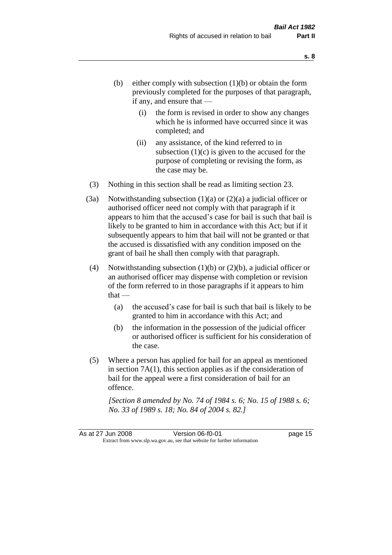- (b) either comply with subsection  $(1)(b)$  or obtain the form previously completed for the purposes of that paragraph, if any, and ensure that —
	- (i) the form is revised in order to show any changes which he is informed have occurred since it was completed; and
	- (ii) any assistance, of the kind referred to in subsection  $(1)(c)$  is given to the accused for the purpose of completing or revising the form, as the case may be.
- (3) Nothing in this section shall be read as limiting section 23.
- (3a) Notwithstanding subsection  $(1)(a)$  or  $(2)(a)$  a judicial officer or authorised officer need not comply with that paragraph if it appears to him that the accused's case for bail is such that bail is likely to be granted to him in accordance with this Act; but if it subsequently appears to him that bail will not be granted or that the accused is dissatisfied with any condition imposed on the grant of bail he shall then comply with that paragraph.
- (4) Notwithstanding subsection  $(1)(b)$  or  $(2)(b)$ , a judicial officer or an authorised officer may dispense with completion or revision of the form referred to in those paragraphs if it appears to him  $that -$ 
	- (a) the accused's case for bail is such that bail is likely to be granted to him in accordance with this Act; and
	- (b) the information in the possession of the judicial officer or authorised officer is sufficient for his consideration of the case.
- (5) Where a person has applied for bail for an appeal as mentioned in section 7A(1), this section applies as if the consideration of bail for the appeal were a first consideration of bail for an offence.

*[Section 8 amended by No. 74 of 1984 s. 6; No. 15 of 1988 s. 6; No. 33 of 1989 s. 18; No. 84 of 2004 s. 82.]*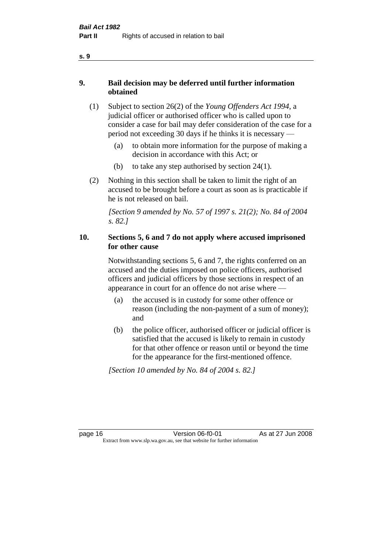### **9. Bail decision may be deferred until further information obtained**

- (1) Subject to section 26(2) of the *Young Offenders Act 1994*, a judicial officer or authorised officer who is called upon to consider a case for bail may defer consideration of the case for a period not exceeding 30 days if he thinks it is necessary —
	- (a) to obtain more information for the purpose of making a decision in accordance with this Act; or
	- (b) to take any step authorised by section 24(1).
- (2) Nothing in this section shall be taken to limit the right of an accused to be brought before a court as soon as is practicable if he is not released on bail.

*[Section 9 amended by No. 57 of 1997 s. 21(2); No. 84 of 2004 s. 82.]*

### **10. Sections 5, 6 and 7 do not apply where accused imprisoned for other cause**

Notwithstanding sections 5, 6 and 7, the rights conferred on an accused and the duties imposed on police officers, authorised officers and judicial officers by those sections in respect of an appearance in court for an offence do not arise where —

- (a) the accused is in custody for some other offence or reason (including the non-payment of a sum of money); and
- (b) the police officer, authorised officer or judicial officer is satisfied that the accused is likely to remain in custody for that other offence or reason until or beyond the time for the appearance for the first-mentioned offence.

*[Section 10 amended by No. 84 of 2004 s. 82.]*

page 16 Version 06-f0-01 As at 27 Jun 2008 Extract from www.slp.wa.gov.au, see that website for further information

**s. 9**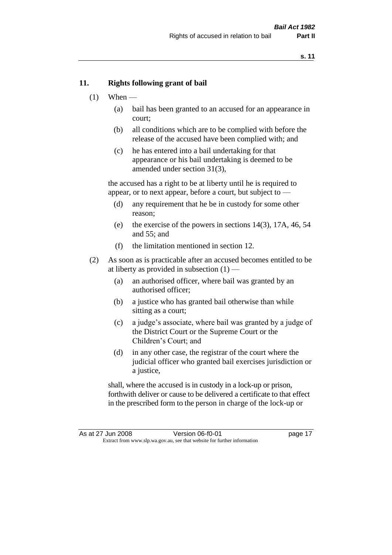#### **11. Rights following grant of bail**

- $(1)$  When
	- (a) bail has been granted to an accused for an appearance in court;
	- (b) all conditions which are to be complied with before the release of the accused have been complied with; and
	- (c) he has entered into a bail undertaking for that appearance or his bail undertaking is deemed to be amended under section 31(3),

the accused has a right to be at liberty until he is required to appear, or to next appear, before a court, but subject to —

- (d) any requirement that he be in custody for some other reason;
- (e) the exercise of the powers in sections 14(3), 17A, 46, 54 and 55; and
- (f) the limitation mentioned in section 12.
- (2) As soon as is practicable after an accused becomes entitled to be at liberty as provided in subsection  $(1)$  —
	- (a) an authorised officer, where bail was granted by an authorised officer;
	- (b) a justice who has granted bail otherwise than while sitting as a court;
	- (c) a judge's associate, where bail was granted by a judge of the District Court or the Supreme Court or the Children's Court; and
	- (d) in any other case, the registrar of the court where the judicial officer who granted bail exercises jurisdiction or a justice,

shall, where the accused is in custody in a lock-up or prison, forthwith deliver or cause to be delivered a certificate to that effect in the prescribed form to the person in charge of the lock-up or

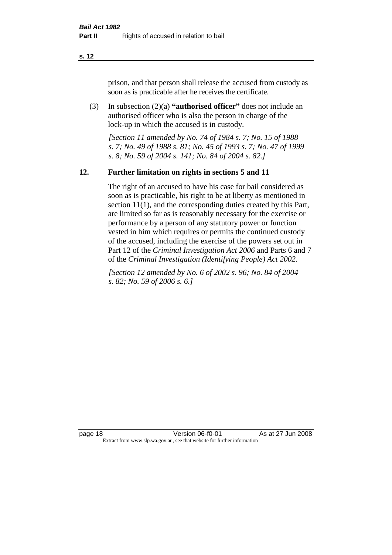prison, and that person shall release the accused from custody as soon as is practicable after he receives the certificate.

(3) In subsection (2)(a) **"authorised officer"** does not include an authorised officer who is also the person in charge of the lock-up in which the accused is in custody.

*[Section 11 amended by No. 74 of 1984 s. 7; No. 15 of 1988 s. 7; No. 49 of 1988 s. 81; No. 45 of 1993 s. 7; No. 47 of 1999 s. 8; No. 59 of 2004 s. 141; No. 84 of 2004 s. 82.]* 

#### **12. Further limitation on rights in sections 5 and 11**

The right of an accused to have his case for bail considered as soon as is practicable, his right to be at liberty as mentioned in section 11(1), and the corresponding duties created by this Part, are limited so far as is reasonably necessary for the exercise or performance by a person of any statutory power or function vested in him which requires or permits the continued custody of the accused, including the exercise of the powers set out in Part 12 of the *Criminal Investigation Act 2006* and Parts 6 and 7 of the *Criminal Investigation (Identifying People) Act 2002*.

*[Section 12 amended by No. 6 of 2002 s. 96; No. 84 of 2004 s. 82; No. 59 of 2006 s. 6.]*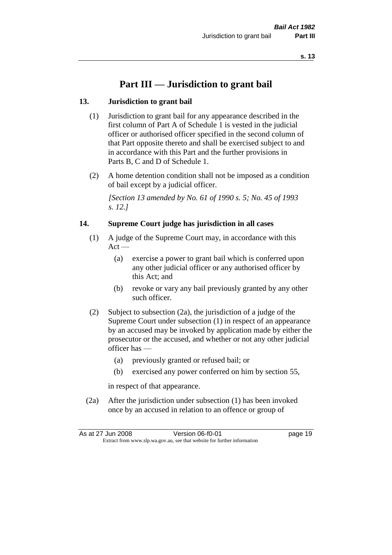# **Part III — Jurisdiction to grant bail**

#### **13. Jurisdiction to grant bail**

- (1) Jurisdiction to grant bail for any appearance described in the first column of Part A of Schedule 1 is vested in the judicial officer or authorised officer specified in the second column of that Part opposite thereto and shall be exercised subject to and in accordance with this Part and the further provisions in Parts B, C and D of Schedule 1.
- (2) A home detention condition shall not be imposed as a condition of bail except by a judicial officer.

*[Section 13 amended by No. 61 of 1990 s. 5; No. 45 of 1993 s. 12.]* 

#### **14. Supreme Court judge has jurisdiction in all cases**

- (1) A judge of the Supreme Court may, in accordance with this  $Act -$ 
	- (a) exercise a power to grant bail which is conferred upon any other judicial officer or any authorised officer by this Act; and
	- (b) revoke or vary any bail previously granted by any other such officer.
- (2) Subject to subsection (2a), the jurisdiction of a judge of the Supreme Court under subsection (1) in respect of an appearance by an accused may be invoked by application made by either the prosecutor or the accused, and whether or not any other judicial officer has —
	- (a) previously granted or refused bail; or
	- (b) exercised any power conferred on him by section 55,

in respect of that appearance.

(2a) After the jurisdiction under subsection (1) has been invoked once by an accused in relation to an offence or group of

| As at 27 Jun 2008 | Version 06-f0-01                                                         | page 19 |
|-------------------|--------------------------------------------------------------------------|---------|
|                   | Extract from www.slp.wa.gov.au, see that website for further information |         |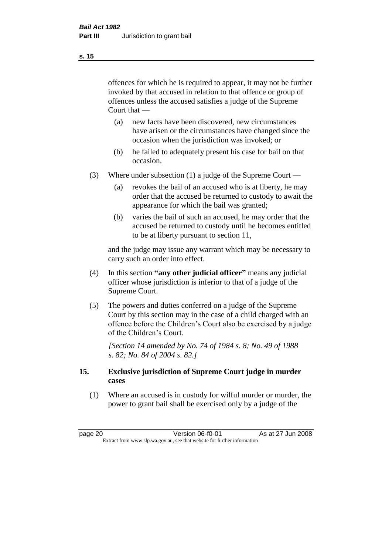offences for which he is required to appear, it may not be further invoked by that accused in relation to that offence or group of offences unless the accused satisfies a judge of the Supreme Court that —

- (a) new facts have been discovered, new circumstances have arisen or the circumstances have changed since the occasion when the jurisdiction was invoked; or
- (b) he failed to adequately present his case for bail on that occasion.
- (3) Where under subsection (1) a judge of the Supreme Court
	- (a) revokes the bail of an accused who is at liberty, he may order that the accused be returned to custody to await the appearance for which the bail was granted;
	- (b) varies the bail of such an accused, he may order that the accused be returned to custody until he becomes entitled to be at liberty pursuant to section 11,

and the judge may issue any warrant which may be necessary to carry such an order into effect.

- (4) In this section **"any other judicial officer"** means any judicial officer whose jurisdiction is inferior to that of a judge of the Supreme Court.
- (5) The powers and duties conferred on a judge of the Supreme Court by this section may in the case of a child charged with an offence before the Children's Court also be exercised by a judge of the Children's Court.

*[Section 14 amended by No. 74 of 1984 s. 8; No. 49 of 1988 s. 82; No. 84 of 2004 s. 82.]* 

#### **15. Exclusive jurisdiction of Supreme Court judge in murder cases**

(1) Where an accused is in custody for wilful murder or murder, the power to grant bail shall be exercised only by a judge of the

page 20 Version 06-f0-01 As at 27 Jun 2008 Extract from www.slp.wa.gov.au, see that website for further information

**s. 15**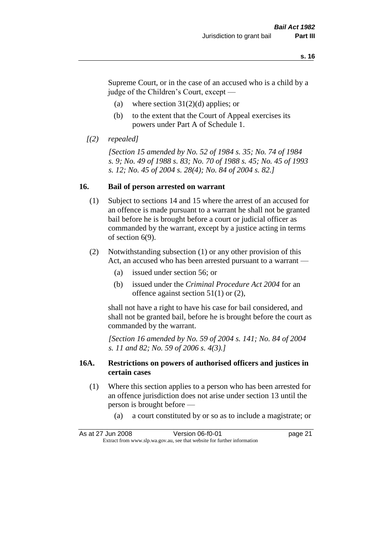Supreme Court, or in the case of an accused who is a child by a judge of the Children's Court, except —

- (a) where section  $31(2)(d)$  applies; or
- (b) to the extent that the Court of Appeal exercises its powers under Part A of Schedule 1.

```
[(2) repealed]
```
*[Section 15 amended by No. 52 of 1984 s. 35; No. 74 of 1984 s. 9; No. 49 of 1988 s. 83; No. 70 of 1988 s. 45; No. 45 of 1993 s. 12; No. 45 of 2004 s. 28(4); No. 84 of 2004 s. 82.]* 

#### **16. Bail of person arrested on warrant**

- (1) Subject to sections 14 and 15 where the arrest of an accused for an offence is made pursuant to a warrant he shall not be granted bail before he is brought before a court or judicial officer as commanded by the warrant, except by a justice acting in terms of section 6(9).
- (2) Notwithstanding subsection (1) or any other provision of this Act, an accused who has been arrested pursuant to a warrant —
	- (a) issued under section 56; or
	- (b) issued under the *Criminal Procedure Act 2004* for an offence against section 51(1) or (2),

shall not have a right to have his case for bail considered, and shall not be granted bail, before he is brought before the court as commanded by the warrant.

*[Section 16 amended by No. 59 of 2004 s. 141; No. 84 of 2004 s. 11 and 82; No. 59 of 2006 s. 4(3).]*

#### **16A. Restrictions on powers of authorised officers and justices in certain cases**

- (1) Where this section applies to a person who has been arrested for an offence jurisdiction does not arise under section 13 until the person is brought before —
	- (a) a court constituted by or so as to include a magistrate; or

As at 27 Jun 2008 **Version 06-f0-01 Dage 21** Extract from www.slp.wa.gov.au, see that website for further information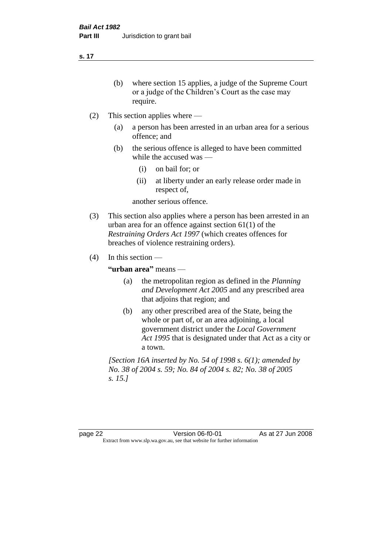- (b) where section 15 applies, a judge of the Supreme Court or a judge of the Children's Court as the case may require.
- (2) This section applies where
	- (a) a person has been arrested in an urban area for a serious offence; and
	- (b) the serious offence is alleged to have been committed while the accused was —
		- (i) on bail for; or
		- (ii) at liberty under an early release order made in respect of,

another serious offence.

- (3) This section also applies where a person has been arrested in an urban area for an offence against section 61(1) of the *Restraining Orders Act 1997* (which creates offences for breaches of violence restraining orders).
- (4) In this section —

**"urban area"** means —

- (a) the metropolitan region as defined in the *Planning and Development Act 2005* and any prescribed area that adjoins that region; and
- (b) any other prescribed area of the State, being the whole or part of, or an area adjoining, a local government district under the *Local Government Act 1995* that is designated under that Act as a city or a town.

*[Section 16A inserted by No. 54 of 1998 s. 6(1); amended by No. 38 of 2004 s. 59; No. 84 of 2004 s. 82; No. 38 of 2005 s. 15.]*

page 22 Version 06-f0-01 As at 27 Jun 2008 Extract from www.slp.wa.gov.au, see that website for further information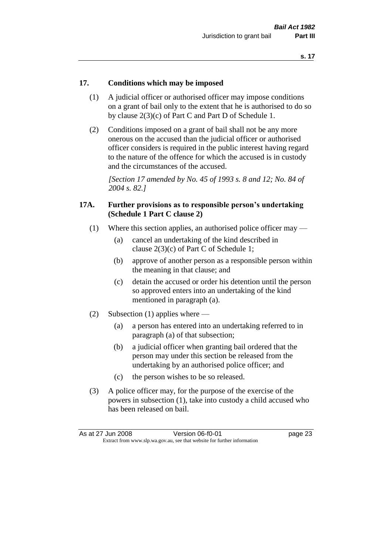#### **17. Conditions which may be imposed**

- (1) A judicial officer or authorised officer may impose conditions on a grant of bail only to the extent that he is authorised to do so by clause 2(3)(c) of Part C and Part D of Schedule 1.
- (2) Conditions imposed on a grant of bail shall not be any more onerous on the accused than the judicial officer or authorised officer considers is required in the public interest having regard to the nature of the offence for which the accused is in custody and the circumstances of the accused.

*[Section 17 amended by No. 45 of 1993 s. 8 and 12; No. 84 of 2004 s. 82.]* 

#### **17A. Further provisions as to responsible person's undertaking (Schedule 1 Part C clause 2)**

- (1) Where this section applies, an authorised police officer may
	- (a) cancel an undertaking of the kind described in clause 2(3)(c) of Part C of Schedule 1;
	- (b) approve of another person as a responsible person within the meaning in that clause; and
	- (c) detain the accused or order his detention until the person so approved enters into an undertaking of the kind mentioned in paragraph (a).
- (2) Subsection (1) applies where
	- (a) a person has entered into an undertaking referred to in paragraph (a) of that subsection;
	- (b) a judicial officer when granting bail ordered that the person may under this section be released from the undertaking by an authorised police officer; and
	- (c) the person wishes to be so released.
- (3) A police officer may, for the purpose of the exercise of the powers in subsection (1), take into custody a child accused who has been released on bail.

| As at 27 Jun 2008 | Version 06-f0-01                                                         | page 23 |
|-------------------|--------------------------------------------------------------------------|---------|
|                   | Extract from www.slp.wa.gov.au, see that website for further information |         |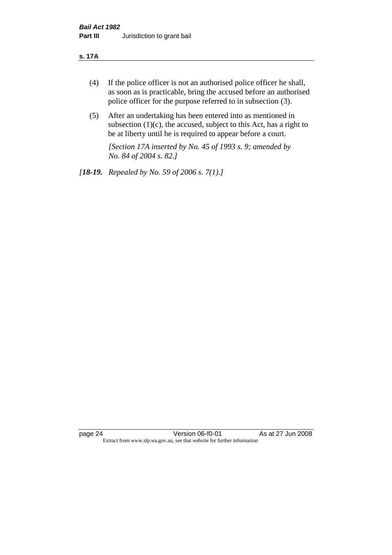#### **s. 17A**

- (4) If the police officer is not an authorised police officer he shall, as soon as is practicable, bring the accused before an authorised police officer for the purpose referred to in subsection (3).
- (5) After an undertaking has been entered into as mentioned in subsection  $(1)(c)$ , the accused, subject to this Act, has a right to be at liberty until he is required to appear before a court.

*[Section 17A inserted by No. 45 of 1993 s. 9; amended by No. 84 of 2004 s. 82.]* 

*[18-19. Repealed by No. 59 of 2006 s. 7(1).]*

page 24 Version 06-f0-01 As at 27 Jun 2008 Extract from www.slp.wa.gov.au, see that website for further information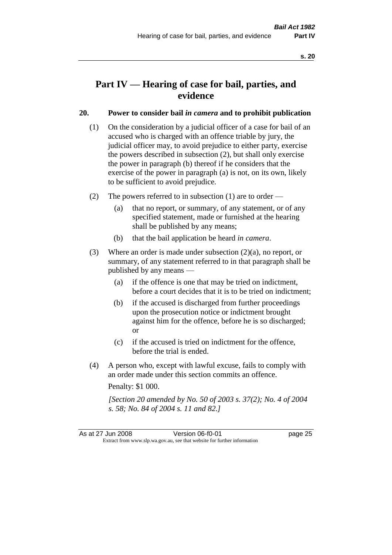# **Part IV — Hearing of case for bail, parties, and evidence**

#### **20. Power to consider bail** *in camera* **and to prohibit publication**

- (1) On the consideration by a judicial officer of a case for bail of an accused who is charged with an offence triable by jury, the judicial officer may, to avoid prejudice to either party, exercise the powers described in subsection (2), but shall only exercise the power in paragraph (b) thereof if he considers that the exercise of the power in paragraph (a) is not, on its own, likely to be sufficient to avoid prejudice.
- (2) The powers referred to in subsection (1) are to order
	- (a) that no report, or summary, of any statement, or of any specified statement, made or furnished at the hearing shall be published by any means;
	- (b) that the bail application be heard *in camera*.
- (3) Where an order is made under subsection (2)(a), no report, or summary, of any statement referred to in that paragraph shall be published by any means —
	- (a) if the offence is one that may be tried on indictment, before a court decides that it is to be tried on indictment;
	- (b) if the accused is discharged from further proceedings upon the prosecution notice or indictment brought against him for the offence, before he is so discharged; or
	- (c) if the accused is tried on indictment for the offence, before the trial is ended.
- (4) A person who, except with lawful excuse, fails to comply with an order made under this section commits an offence.

Penalty: \$1 000.

*[Section 20 amended by No. 50 of 2003 s. 37(2); No. 4 of 2004 s. 58; No. 84 of 2004 s. 11 and 82.]*

As at 27 Jun 2008 **Version 06-f0-01 Dage 25** Extract from www.slp.wa.gov.au, see that website for further information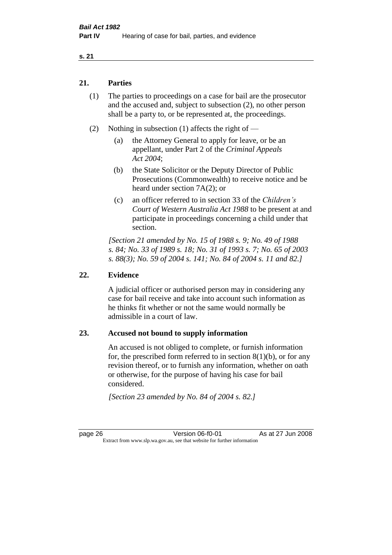#### **21. Parties**

- (1) The parties to proceedings on a case for bail are the prosecutor and the accused and, subject to subsection (2), no other person shall be a party to, or be represented at, the proceedings.
- (2) Nothing in subsection (1) affects the right of
	- (a) the Attorney General to apply for leave, or be an appellant, under Part 2 of the *Criminal Appeals Act 2004*;
	- (b) the State Solicitor or the Deputy Director of Public Prosecutions (Commonwealth) to receive notice and be heard under section 7A(2); or
	- (c) an officer referred to in section 33 of the *Children's Court of Western Australia Act 1988* to be present at and participate in proceedings concerning a child under that section.

*[Section 21 amended by No. 15 of 1988 s. 9; No. 49 of 1988 s. 84; No. 33 of 1989 s. 18; No. 31 of 1993 s. 7; No. 65 of 2003 s. 88(3); No. 59 of 2004 s. 141; No. 84 of 2004 s. 11 and 82.]* 

#### **22. Evidence**

A judicial officer or authorised person may in considering any case for bail receive and take into account such information as he thinks fit whether or not the same would normally be admissible in a court of law.

#### **23. Accused not bound to supply information**

An accused is not obliged to complete, or furnish information for, the prescribed form referred to in section  $8(1)(b)$ , or for any revision thereof, or to furnish any information, whether on oath or otherwise, for the purpose of having his case for bail considered.

*[Section 23 amended by No. 84 of 2004 s. 82.]* 

page 26 Version 06-f0-01 As at 27 Jun 2008 Extract from www.slp.wa.gov.au, see that website for further information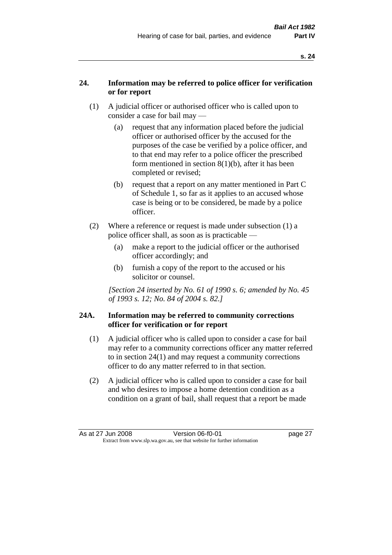### **24. Information may be referred to police officer for verification or for report**

- (1) A judicial officer or authorised officer who is called upon to consider a case for bail may —
	- (a) request that any information placed before the judicial officer or authorised officer by the accused for the purposes of the case be verified by a police officer, and to that end may refer to a police officer the prescribed form mentioned in section 8(1)(b), after it has been completed or revised;
	- (b) request that a report on any matter mentioned in Part C of Schedule 1, so far as it applies to an accused whose case is being or to be considered, be made by a police officer.
- (2) Where a reference or request is made under subsection (1) a police officer shall, as soon as is practicable —
	- (a) make a report to the judicial officer or the authorised officer accordingly; and
	- (b) furnish a copy of the report to the accused or his solicitor or counsel.

*[Section 24 inserted by No. 61 of 1990 s. 6; amended by No. 45 of 1993 s. 12; No. 84 of 2004 s. 82.]* 

#### **24A. Information may be referred to community corrections officer for verification or for report**

- (1) A judicial officer who is called upon to consider a case for bail may refer to a community corrections officer any matter referred to in section 24(1) and may request a community corrections officer to do any matter referred to in that section.
- (2) A judicial officer who is called upon to consider a case for bail and who desires to impose a home detention condition as a condition on a grant of bail, shall request that a report be made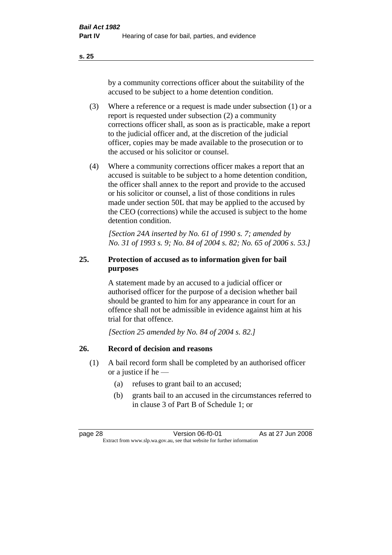by a community corrections officer about the suitability of the accused to be subject to a home detention condition.

- (3) Where a reference or a request is made under subsection (1) or a report is requested under subsection (2) a community corrections officer shall, as soon as is practicable, make a report to the judicial officer and, at the discretion of the judicial officer, copies may be made available to the prosecution or to the accused or his solicitor or counsel.
- (4) Where a community corrections officer makes a report that an accused is suitable to be subject to a home detention condition, the officer shall annex to the report and provide to the accused or his solicitor or counsel, a list of those conditions in rules made under section 50L that may be applied to the accused by the CEO (corrections) while the accused is subject to the home detention condition.

*[Section 24A inserted by No. 61 of 1990 s. 7; amended by No. 31 of 1993 s. 9; No. 84 of 2004 s. 82; No. 65 of 2006 s. 53.]* 

### **25. Protection of accused as to information given for bail purposes**

A statement made by an accused to a judicial officer or authorised officer for the purpose of a decision whether bail should be granted to him for any appearance in court for an offence shall not be admissible in evidence against him at his trial for that offence.

*[Section 25 amended by No. 84 of 2004 s. 82.]* 

### **26. Record of decision and reasons**

- (1) A bail record form shall be completed by an authorised officer or a justice if he —
	- (a) refuses to grant bail to an accused;
	- (b) grants bail to an accused in the circumstances referred to in clause 3 of Part B of Schedule 1; or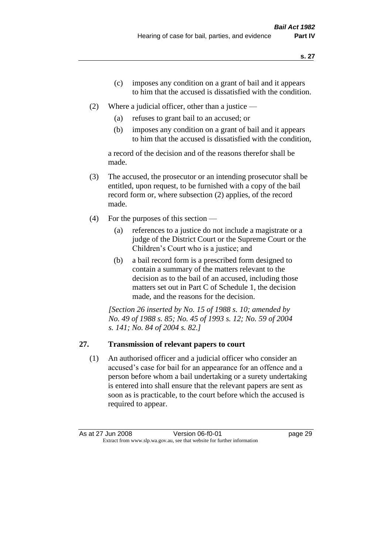- (c) imposes any condition on a grant of bail and it appears to him that the accused is dissatisfied with the condition.
- (2) Where a judicial officer, other than a justice
	- (a) refuses to grant bail to an accused; or
	- (b) imposes any condition on a grant of bail and it appears to him that the accused is dissatisfied with the condition,

a record of the decision and of the reasons therefor shall be made.

- (3) The accused, the prosecutor or an intending prosecutor shall be entitled, upon request, to be furnished with a copy of the bail record form or, where subsection (2) applies, of the record made.
- (4) For the purposes of this section
	- (a) references to a justice do not include a magistrate or a judge of the District Court or the Supreme Court or the Children's Court who is a justice; and
	- (b) a bail record form is a prescribed form designed to contain a summary of the matters relevant to the decision as to the bail of an accused, including those matters set out in Part C of Schedule 1, the decision made, and the reasons for the decision.

*[Section 26 inserted by No. 15 of 1988 s. 10; amended by No. 49 of 1988 s. 85; No. 45 of 1993 s. 12; No. 59 of 2004 s. 141; No. 84 of 2004 s. 82.]* 

# **27. Transmission of relevant papers to court**

(1) An authorised officer and a judicial officer who consider an accused's case for bail for an appearance for an offence and a person before whom a bail undertaking or a surety undertaking is entered into shall ensure that the relevant papers are sent as soon as is practicable, to the court before which the accused is required to appear.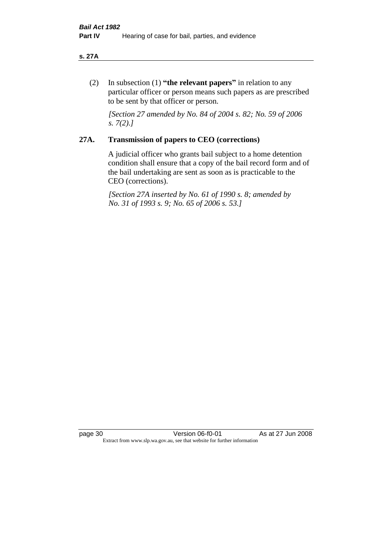#### **s. 27A**

(2) In subsection (1) **"the relevant papers"** in relation to any particular officer or person means such papers as are prescribed to be sent by that officer or person.

*[Section 27 amended by No. 84 of 2004 s. 82; No. 59 of 2006 s. 7(2).]* 

## **27A. Transmission of papers to CEO (corrections)**

A judicial officer who grants bail subject to a home detention condition shall ensure that a copy of the bail record form and of the bail undertaking are sent as soon as is practicable to the CEO (corrections).

*[Section 27A inserted by No. 61 of 1990 s. 8; amended by No. 31 of 1993 s. 9; No. 65 of 2006 s. 53.]* 

page 30 Version 06-f0-01 As at 27 Jun 2008 Extract from www.slp.wa.gov.au, see that website for further information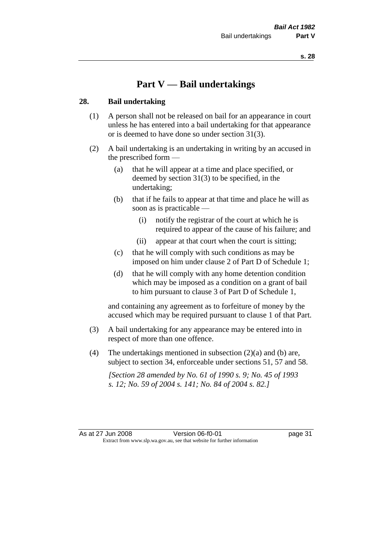# **Part V — Bail undertakings**

#### **28. Bail undertaking**

- (1) A person shall not be released on bail for an appearance in court unless he has entered into a bail undertaking for that appearance or is deemed to have done so under section 31(3).
- (2) A bail undertaking is an undertaking in writing by an accused in the prescribed form —
	- (a) that he will appear at a time and place specified, or deemed by section 31(3) to be specified, in the undertaking;
	- (b) that if he fails to appear at that time and place he will as soon as is practicable —
		- (i) notify the registrar of the court at which he is required to appear of the cause of his failure; and
		- (ii) appear at that court when the court is sitting;
	- (c) that he will comply with such conditions as may be imposed on him under clause 2 of Part D of Schedule 1;
	- (d) that he will comply with any home detention condition which may be imposed as a condition on a grant of bail to him pursuant to clause 3 of Part D of Schedule 1,

and containing any agreement as to forfeiture of money by the accused which may be required pursuant to clause 1 of that Part.

- (3) A bail undertaking for any appearance may be entered into in respect of more than one offence.
- (4) The undertakings mentioned in subsection  $(2)(a)$  and (b) are, subject to section 34, enforceable under sections 51, 57 and 58.

*[Section 28 amended by No. 61 of 1990 s. 9; No. 45 of 1993 s. 12; No. 59 of 2004 s. 141; No. 84 of 2004 s. 82.]*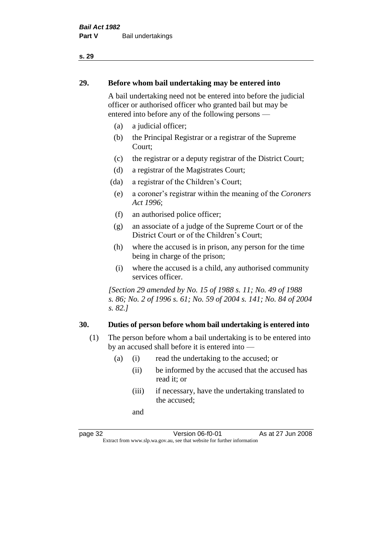#### **29. Before whom bail undertaking may be entered into**

A bail undertaking need not be entered into before the judicial officer or authorised officer who granted bail but may be entered into before any of the following persons —

- (a) a judicial officer;
- (b) the Principal Registrar or a registrar of the Supreme Court;
- (c) the registrar or a deputy registrar of the District Court;
- (d) a registrar of the Magistrates Court;
- (da) a registrar of the Children's Court;
- (e) a coroner's registrar within the meaning of the *Coroners Act 1996*;
- (f) an authorised police officer;
- (g) an associate of a judge of the Supreme Court or of the District Court or of the Children's Court;
- (h) where the accused is in prison, any person for the time being in charge of the prison;
- (i) where the accused is a child, any authorised community services officer.

*[Section 29 amended by No. 15 of 1988 s. 11; No. 49 of 1988 s. 86; No. 2 of 1996 s. 61; No. 59 of 2004 s. 141; No. 84 of 2004 s. 82.]* 

#### **30. Duties of person before whom bail undertaking is entered into**

- (1) The person before whom a bail undertaking is to be entered into by an accused shall before it is entered into —
	- (a) (i) read the undertaking to the accused; or
		- (ii) be informed by the accused that the accused has read it; or
		- (iii) if necessary, have the undertaking translated to the accused;

and

page 32 Version 06-f0-01 As at 27 Jun 2008 Extract from www.slp.wa.gov.au, see that website for further information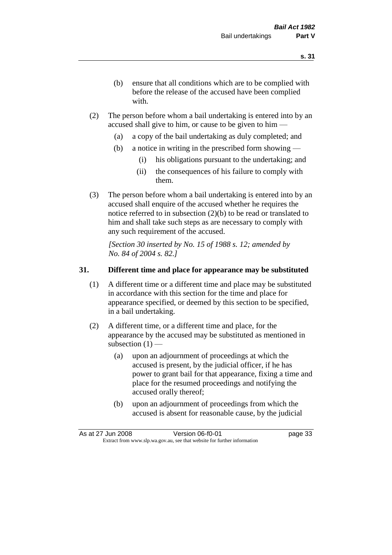- (b) ensure that all conditions which are to be complied with before the release of the accused have been complied with.
- (2) The person before whom a bail undertaking is entered into by an accused shall give to him, or cause to be given to him —
	- (a) a copy of the bail undertaking as duly completed; and
	- (b) a notice in writing in the prescribed form showing
		- (i) his obligations pursuant to the undertaking; and
		- (ii) the consequences of his failure to comply with them.
- (3) The person before whom a bail undertaking is entered into by an accused shall enquire of the accused whether he requires the notice referred to in subsection (2)(b) to be read or translated to him and shall take such steps as are necessary to comply with any such requirement of the accused.

*[Section 30 inserted by No. 15 of 1988 s. 12; amended by No. 84 of 2004 s. 82.]* 

# **31. Different time and place for appearance may be substituted**

- (1) A different time or a different time and place may be substituted in accordance with this section for the time and place for appearance specified, or deemed by this section to be specified, in a bail undertaking.
- (2) A different time, or a different time and place, for the appearance by the accused may be substituted as mentioned in subsection  $(1)$  —
	- (a) upon an adjournment of proceedings at which the accused is present, by the judicial officer, if he has power to grant bail for that appearance, fixing a time and place for the resumed proceedings and notifying the accused orally thereof;
	- (b) upon an adjournment of proceedings from which the accused is absent for reasonable cause, by the judicial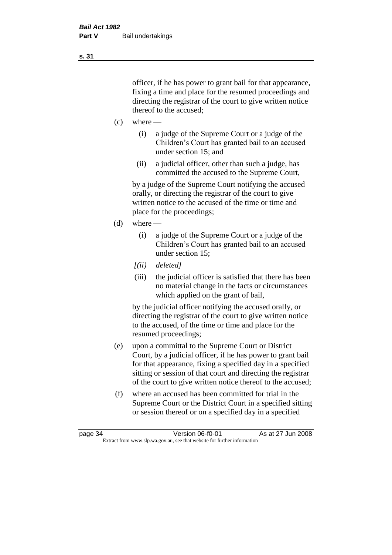officer, if he has power to grant bail for that appearance, fixing a time and place for the resumed proceedings and directing the registrar of the court to give written notice thereof to the accused;

- $(c)$  where
	- (i) a judge of the Supreme Court or a judge of the Children's Court has granted bail to an accused under section 15; and
	- (ii) a judicial officer, other than such a judge, has committed the accused to the Supreme Court,

by a judge of the Supreme Court notifying the accused orally, or directing the registrar of the court to give written notice to the accused of the time or time and place for the proceedings;

- (d) where
	- (i) a judge of the Supreme Court or a judge of the Children's Court has granted bail to an accused under section 15;
	- *[(ii) deleted]*
	- (iii) the judicial officer is satisfied that there has been no material change in the facts or circumstances which applied on the grant of bail,

by the judicial officer notifying the accused orally, or directing the registrar of the court to give written notice to the accused, of the time or time and place for the resumed proceedings;

- (e) upon a committal to the Supreme Court or District Court, by a judicial officer, if he has power to grant bail for that appearance, fixing a specified day in a specified sitting or session of that court and directing the registrar of the court to give written notice thereof to the accused;
- (f) where an accused has been committed for trial in the Supreme Court or the District Court in a specified sitting or session thereof or on a specified day in a specified

**s. 31**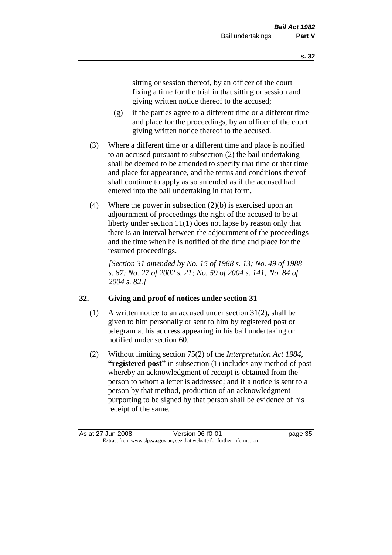sitting or session thereof, by an officer of the court fixing a time for the trial in that sitting or session and giving written notice thereof to the accused;

- (g) if the parties agree to a different time or a different time and place for the proceedings, by an officer of the court giving written notice thereof to the accused.
- (3) Where a different time or a different time and place is notified to an accused pursuant to subsection (2) the bail undertaking shall be deemed to be amended to specify that time or that time and place for appearance, and the terms and conditions thereof shall continue to apply as so amended as if the accused had entered into the bail undertaking in that form.
- (4) Where the power in subsection (2)(b) is exercised upon an adjournment of proceedings the right of the accused to be at liberty under section 11(1) does not lapse by reason only that there is an interval between the adjournment of the proceedings and the time when he is notified of the time and place for the resumed proceedings.

*[Section 31 amended by No. 15 of 1988 s. 13; No. 49 of 1988 s. 87; No. 27 of 2002 s. 21; No. 59 of 2004 s. 141; No. 84 of 2004 s. 82.]* 

# **32. Giving and proof of notices under section 31**

- (1) A written notice to an accused under section 31(2), shall be given to him personally or sent to him by registered post or telegram at his address appearing in his bail undertaking or notified under section 60.
- (2) Without limiting section 75(2) of the *Interpretation Act 1984*, **"registered post"** in subsection (1) includes any method of post whereby an acknowledgment of receipt is obtained from the person to whom a letter is addressed; and if a notice is sent to a person by that method, production of an acknowledgment purporting to be signed by that person shall be evidence of his receipt of the same.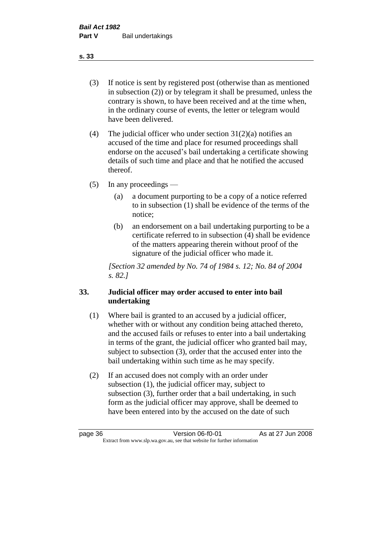(3) If notice is sent by registered post (otherwise than as mentioned in subsection (2)) or by telegram it shall be presumed, unless the contrary is shown, to have been received and at the time when, in the ordinary course of events, the letter or telegram would have been delivered.

(4) The judicial officer who under section  $31(2)(a)$  notifies an accused of the time and place for resumed proceedings shall endorse on the accused's bail undertaking a certificate showing details of such time and place and that he notified the accused thereof.

(5) In any proceedings —

- (a) a document purporting to be a copy of a notice referred to in subsection (1) shall be evidence of the terms of the notice;
- (b) an endorsement on a bail undertaking purporting to be a certificate referred to in subsection (4) shall be evidence of the matters appearing therein without proof of the signature of the judicial officer who made it.

*[Section 32 amended by No. 74 of 1984 s. 12; No. 84 of 2004 s. 82.]* 

# **33. Judicial officer may order accused to enter into bail undertaking**

- (1) Where bail is granted to an accused by a judicial officer, whether with or without any condition being attached thereto, and the accused fails or refuses to enter into a bail undertaking in terms of the grant, the judicial officer who granted bail may, subject to subsection (3), order that the accused enter into the bail undertaking within such time as he may specify.
- (2) If an accused does not comply with an order under subsection (1), the judicial officer may, subject to subsection (3), further order that a bail undertaking, in such form as the judicial officer may approve, shall be deemed to have been entered into by the accused on the date of such

**s. 33**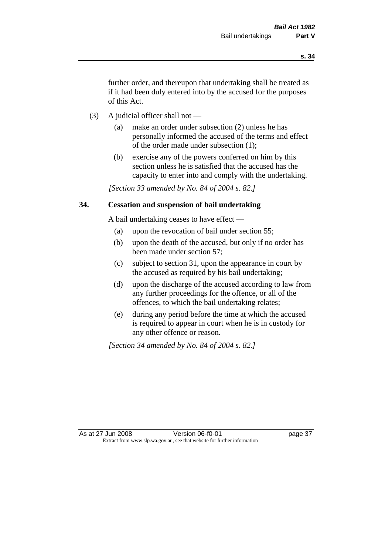further order, and thereupon that undertaking shall be treated as if it had been duly entered into by the accused for the purposes of this Act.

- (3) A judicial officer shall not
	- (a) make an order under subsection (2) unless he has personally informed the accused of the terms and effect of the order made under subsection (1);
	- (b) exercise any of the powers conferred on him by this section unless he is satisfied that the accused has the capacity to enter into and comply with the undertaking.

*[Section 33 amended by No. 84 of 2004 s. 82.]* 

## **34. Cessation and suspension of bail undertaking**

A bail undertaking ceases to have effect —

- (a) upon the revocation of bail under section 55;
- (b) upon the death of the accused, but only if no order has been made under section 57;
- (c) subject to section 31, upon the appearance in court by the accused as required by his bail undertaking;
- (d) upon the discharge of the accused according to law from any further proceedings for the offence, or all of the offences, to which the bail undertaking relates;
- (e) during any period before the time at which the accused is required to appear in court when he is in custody for any other offence or reason.

*[Section 34 amended by No. 84 of 2004 s. 82.]*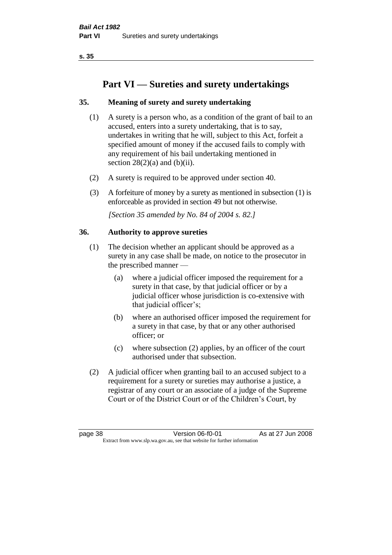# **Part VI — Sureties and surety undertakings**

# **35. Meaning of surety and surety undertaking**

- (1) A surety is a person who, as a condition of the grant of bail to an accused, enters into a surety undertaking, that is to say, undertakes in writing that he will, subject to this Act, forfeit a specified amount of money if the accused fails to comply with any requirement of his bail undertaking mentioned in section  $28(2)(a)$  and  $(b)(ii)$ .
- (2) A surety is required to be approved under section 40.
- (3) A forfeiture of money by a surety as mentioned in subsection (1) is enforceable as provided in section 49 but not otherwise.

*[Section 35 amended by No. 84 of 2004 s. 82.]* 

## **36. Authority to approve sureties**

- (1) The decision whether an applicant should be approved as a surety in any case shall be made, on notice to the prosecutor in the prescribed manner —
	- (a) where a judicial officer imposed the requirement for a surety in that case, by that judicial officer or by a judicial officer whose jurisdiction is co-extensive with that judicial officer's;
	- (b) where an authorised officer imposed the requirement for a surety in that case, by that or any other authorised officer; or
	- (c) where subsection (2) applies, by an officer of the court authorised under that subsection.
- (2) A judicial officer when granting bail to an accused subject to a requirement for a surety or sureties may authorise a justice, a registrar of any court or an associate of a judge of the Supreme Court or of the District Court or of the Children's Court, by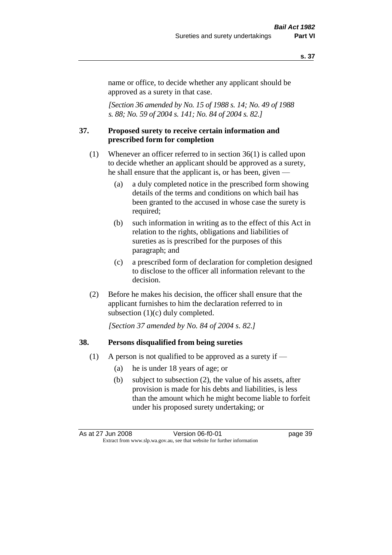name or office, to decide whether any applicant should be approved as a surety in that case.

*[Section 36 amended by No. 15 of 1988 s. 14; No. 49 of 1988 s. 88; No. 59 of 2004 s. 141; No. 84 of 2004 s. 82.]* 

#### **37. Proposed surety to receive certain information and prescribed form for completion**

- (1) Whenever an officer referred to in section 36(1) is called upon to decide whether an applicant should be approved as a surety, he shall ensure that the applicant is, or has been, given —
	- (a) a duly completed notice in the prescribed form showing details of the terms and conditions on which bail has been granted to the accused in whose case the surety is required;
	- (b) such information in writing as to the effect of this Act in relation to the rights, obligations and liabilities of sureties as is prescribed for the purposes of this paragraph; and
	- (c) a prescribed form of declaration for completion designed to disclose to the officer all information relevant to the decision.
- (2) Before he makes his decision, the officer shall ensure that the applicant furnishes to him the declaration referred to in subsection (1)(c) duly completed.

*[Section 37 amended by No. 84 of 2004 s. 82.]* 

#### **38. Persons disqualified from being sureties**

- (1) A person is not qualified to be approved as a surety if  $-$ 
	- (a) he is under 18 years of age; or
	- (b) subject to subsection (2), the value of his assets, after provision is made for his debts and liabilities, is less than the amount which he might become liable to forfeit under his proposed surety undertaking; or

As at 27 Jun 2008 Version 06-f0-01 Page 39 Extract from www.slp.wa.gov.au, see that website for further information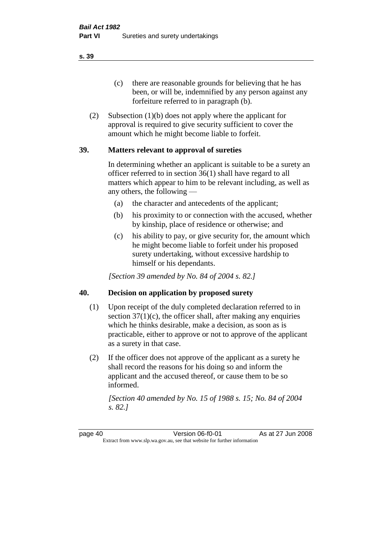(c) there are reasonable grounds for believing that he has been, or will be, indemnified by any person against any forfeiture referred to in paragraph (b).

(2) Subsection (1)(b) does not apply where the applicant for approval is required to give security sufficient to cover the amount which he might become liable to forfeit.

## **39. Matters relevant to approval of sureties**

In determining whether an applicant is suitable to be a surety an officer referred to in section 36(1) shall have regard to all matters which appear to him to be relevant including, as well as any others, the following —

- (a) the character and antecedents of the applicant;
- (b) his proximity to or connection with the accused, whether by kinship, place of residence or otherwise; and
- (c) his ability to pay, or give security for, the amount which he might become liable to forfeit under his proposed surety undertaking, without excessive hardship to himself or his dependants.

*[Section 39 amended by No. 84 of 2004 s. 82.]* 

## **40. Decision on application by proposed surety**

- (1) Upon receipt of the duly completed declaration referred to in section  $37(1)(c)$ , the officer shall, after making any enquiries which he thinks desirable, make a decision, as soon as is practicable, either to approve or not to approve of the applicant as a surety in that case.
- (2) If the officer does not approve of the applicant as a surety he shall record the reasons for his doing so and inform the applicant and the accused thereof, or cause them to be so informed.

*[Section 40 amended by No. 15 of 1988 s. 15; No. 84 of 2004 s. 82.]* 

page 40 Version 06-f0-01 As at 27 Jun 2008 Extract from www.slp.wa.gov.au, see that website for further information

**s. 39**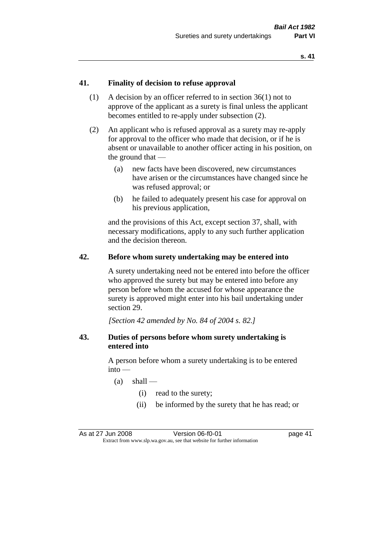## **41. Finality of decision to refuse approval**

- (1) A decision by an officer referred to in section 36(1) not to approve of the applicant as a surety is final unless the applicant becomes entitled to re-apply under subsection (2).
- (2) An applicant who is refused approval as a surety may re-apply for approval to the officer who made that decision, or if he is absent or unavailable to another officer acting in his position, on the ground that —
	- (a) new facts have been discovered, new circumstances have arisen or the circumstances have changed since he was refused approval; or
	- (b) he failed to adequately present his case for approval on his previous application,

and the provisions of this Act, except section 37, shall, with necessary modifications, apply to any such further application and the decision thereon.

#### **42. Before whom surety undertaking may be entered into**

A surety undertaking need not be entered into before the officer who approved the surety but may be entered into before any person before whom the accused for whose appearance the surety is approved might enter into his bail undertaking under section 29.

*[Section 42 amended by No. 84 of 2004 s. 82.]* 

## **43. Duties of persons before whom surety undertaking is entered into**

A person before whom a surety undertaking is to be entered into —

- $(a)$  shall
	- (i) read to the surety;
	- (ii) be informed by the surety that he has read; or

As at 27 Jun 2008 Version 06-f0-01 page 41 Extract from www.slp.wa.gov.au, see that website for further information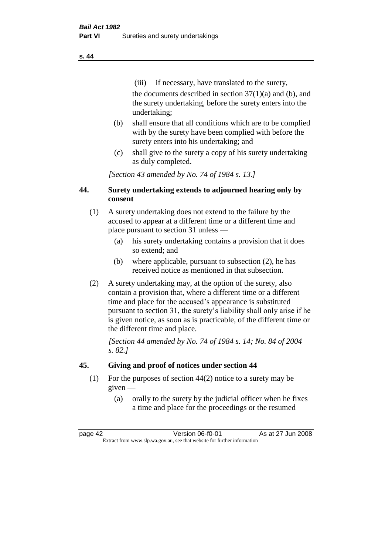(iii) if necessary, have translated to the surety, the documents described in section  $37(1)(a)$  and (b), and the surety undertaking, before the surety enters into the undertaking;

- (b) shall ensure that all conditions which are to be complied with by the surety have been complied with before the surety enters into his undertaking; and
- (c) shall give to the surety a copy of his surety undertaking as duly completed.

*[Section 43 amended by No. 74 of 1984 s. 13.]* 

# **44. Surety undertaking extends to adjourned hearing only by consent**

- (1) A surety undertaking does not extend to the failure by the accused to appear at a different time or a different time and place pursuant to section 31 unless —
	- (a) his surety undertaking contains a provision that it does so extend; and
	- (b) where applicable, pursuant to subsection (2), he has received notice as mentioned in that subsection.
- (2) A surety undertaking may, at the option of the surety, also contain a provision that, where a different time or a different time and place for the accused's appearance is substituted pursuant to section 31, the surety's liability shall only arise if he is given notice, as soon as is practicable, of the different time or the different time and place.

*[Section 44 amended by No. 74 of 1984 s. 14; No. 84 of 2004 s. 82.]* 

# **45. Giving and proof of notices under section 44**

- (1) For the purposes of section 44(2) notice to a surety may be given —
	- (a) orally to the surety by the judicial officer when he fixes a time and place for the proceedings or the resumed

page 42 Version 06-f0-01 As at 27 Jun 2008 Extract from www.slp.wa.gov.au, see that website for further information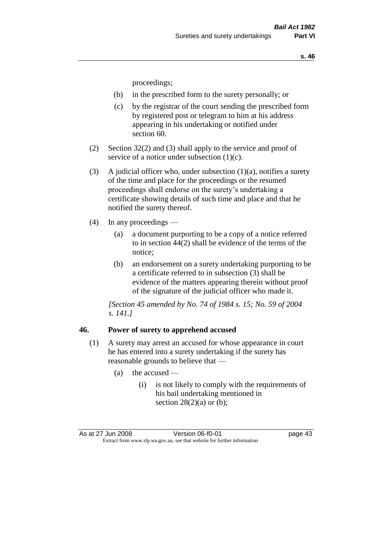proceedings;

- (b) in the prescribed form to the surety personally; or
- (c) by the registrar of the court sending the prescribed form by registered post or telegram to him at his address appearing in his undertaking or notified under section 60.
- (2) Section 32(2) and (3) shall apply to the service and proof of service of a notice under subsection (1)(c).
- (3) A judicial officer who, under subsection  $(1)(a)$ , notifies a surety of the time and place for the proceedings or the resumed proceedings shall endorse on the surety's undertaking a certificate showing details of such time and place and that he notified the surety thereof.
- (4) In any proceedings
	- (a) a document purporting to be a copy of a notice referred to in section 44(2) shall be evidence of the terms of the notice;
	- (b) an endorsement on a surety undertaking purporting to be a certificate referred to in subsection (3) shall be evidence of the matters appearing therein without proof of the signature of the judicial officer who made it.

*[Section 45 amended by No. 74 of 1984 s. 15; No. 59 of 2004 s. 141.]* 

#### **46. Power of surety to apprehend accused**

- (1) A surety may arrest an accused for whose appearance in court he has entered into a surety undertaking if the surety has reasonable grounds to believe that —
	- (a) the accused
		- (i) is not likely to comply with the requirements of his bail undertaking mentioned in section  $28(2)(a)$  or (b);

As at 27 Jun 2008 Version 06-f0-01 page 43 Extract from www.slp.wa.gov.au, see that website for further information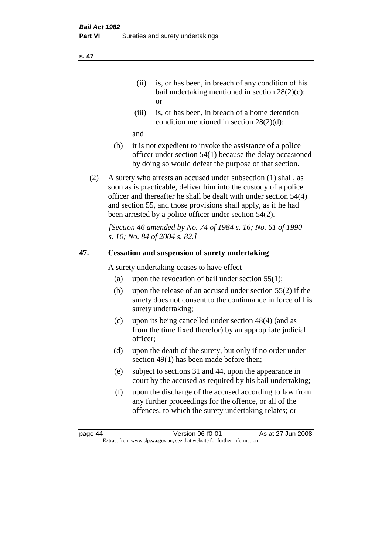- (ii) is, or has been, in breach of any condition of his bail undertaking mentioned in section 28(2)(c); or
- (iii) is, or has been, in breach of a home detention condition mentioned in section 28(2)(d);

and

- (b) it is not expedient to invoke the assistance of a police officer under section 54(1) because the delay occasioned by doing so would defeat the purpose of that section.
- (2) A surety who arrests an accused under subsection (1) shall, as soon as is practicable, deliver him into the custody of a police officer and thereafter he shall be dealt with under section 54(4) and section 55, and those provisions shall apply, as if he had been arrested by a police officer under section 54(2).

*[Section 46 amended by No. 74 of 1984 s. 16; No. 61 of 1990 s. 10; No. 84 of 2004 s. 82.]* 

# **47. Cessation and suspension of surety undertaking**

A surety undertaking ceases to have effect —

- (a) upon the revocation of bail under section  $55(1)$ ;
- (b) upon the release of an accused under section 55(2) if the surety does not consent to the continuance in force of his surety undertaking;
- (c) upon its being cancelled under section 48(4) (and as from the time fixed therefor) by an appropriate judicial officer;
- (d) upon the death of the surety, but only if no order under section 49(1) has been made before then;
- (e) subject to sections 31 and 44, upon the appearance in court by the accused as required by his bail undertaking;
- (f) upon the discharge of the accused according to law from any further proceedings for the offence, or all of the offences, to which the surety undertaking relates; or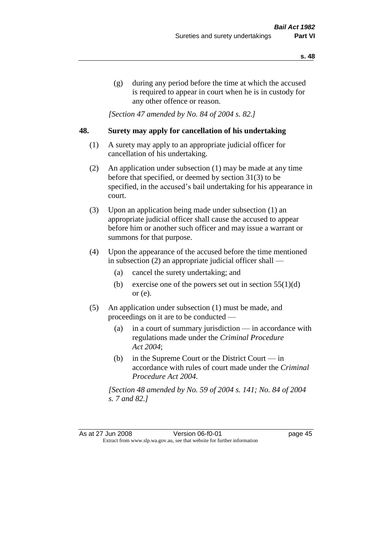(g) during any period before the time at which the accused is required to appear in court when he is in custody for any other offence or reason.

*[Section 47 amended by No. 84 of 2004 s. 82.]* 

## **48. Surety may apply for cancellation of his undertaking**

- (1) A surety may apply to an appropriate judicial officer for cancellation of his undertaking.
- (2) An application under subsection (1) may be made at any time before that specified, or deemed by section 31(3) to be specified, in the accused's bail undertaking for his appearance in court.
- (3) Upon an application being made under subsection (1) an appropriate judicial officer shall cause the accused to appear before him or another such officer and may issue a warrant or summons for that purpose.
- (4) Upon the appearance of the accused before the time mentioned in subsection (2) an appropriate judicial officer shall —
	- (a) cancel the surety undertaking; and
	- (b) exercise one of the powers set out in section  $55(1)(d)$ or (e).
- (5) An application under subsection (1) must be made, and proceedings on it are to be conducted —
	- (a) in a court of summary jurisdiction in accordance with regulations made under the *Criminal Procedure Act 2004*;
	- (b) in the Supreme Court or the District Court  $-\text{in}$ accordance with rules of court made under the *Criminal Procedure Act 2004*.

*[Section 48 amended by No. 59 of 2004 s. 141; No. 84 of 2004 s. 7 and 82.]*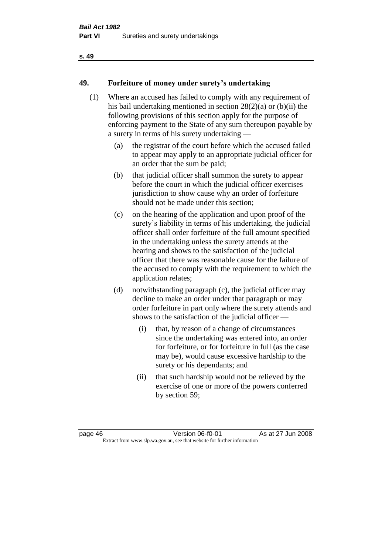# **49. Forfeiture of money under surety's undertaking**

- (1) Where an accused has failed to comply with any requirement of his bail undertaking mentioned in section 28(2)(a) or (b)(ii) the following provisions of this section apply for the purpose of enforcing payment to the State of any sum thereupon payable by a surety in terms of his surety undertaking —
	- (a) the registrar of the court before which the accused failed to appear may apply to an appropriate judicial officer for an order that the sum be paid;
	- (b) that judicial officer shall summon the surety to appear before the court in which the judicial officer exercises jurisdiction to show cause why an order of forfeiture should not be made under this section;
	- (c) on the hearing of the application and upon proof of the surety's liability in terms of his undertaking, the judicial officer shall order forfeiture of the full amount specified in the undertaking unless the surety attends at the hearing and shows to the satisfaction of the judicial officer that there was reasonable cause for the failure of the accused to comply with the requirement to which the application relates;
	- (d) notwithstanding paragraph (c), the judicial officer may decline to make an order under that paragraph or may order forfeiture in part only where the surety attends and shows to the satisfaction of the judicial officer —
		- (i) that, by reason of a change of circumstances since the undertaking was entered into, an order for forfeiture, or for forfeiture in full (as the case may be), would cause excessive hardship to the surety or his dependants; and
		- (ii) that such hardship would not be relieved by the exercise of one or more of the powers conferred by section 59;

page 46 Version 06-f0-01 As at 27 Jun 2008 Extract from www.slp.wa.gov.au, see that website for further information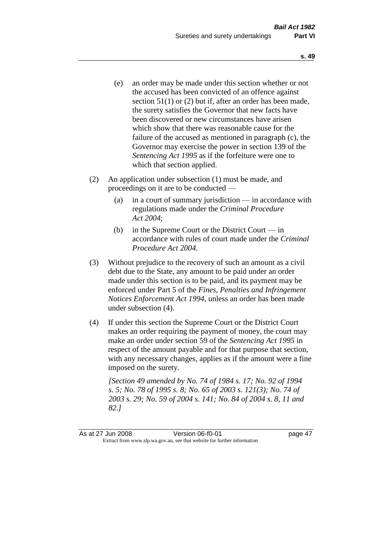- (e) an order may be made under this section whether or not the accused has been convicted of an offence against section 51(1) or (2) but if, after an order has been made, the surety satisfies the Governor that new facts have been discovered or new circumstances have arisen which show that there was reasonable cause for the failure of the accused as mentioned in paragraph (c), the Governor may exercise the power in section 139 of the *Sentencing Act 1995* as if the forfeiture were one to which that section applied.
- (2) An application under subsection (1) must be made, and proceedings on it are to be conducted —
	- (a) in a court of summary jurisdiction in accordance with regulations made under the *Criminal Procedure Act 2004*;
	- (b) in the Supreme Court or the District Court in accordance with rules of court made under the *Criminal Procedure Act 2004*.
- (3) Without prejudice to the recovery of such an amount as a civil debt due to the State, any amount to be paid under an order made under this section is to be paid, and its payment may be enforced under Part 5 of the *Fines, Penalties and Infringement Notices Enforcement Act 1994*, unless an order has been made under subsection (4).
- (4) If under this section the Supreme Court or the District Court makes an order requiring the payment of money, the court may make an order under section 59 of the *Sentencing Act 1995* in respect of the amount payable and for that purpose that section, with any necessary changes, applies as if the amount were a fine imposed on the surety.

*[Section 49 amended by No. 74 of 1984 s. 17; No. 92 of 1994 s. 5; No. 78 of 1995 s. 8; No. 65 of 2003 s. 121(3); No. 74 of 2003 s. 29; No. 59 of 2004 s. 141; No. 84 of 2004 s. 8, 11 and 82.]*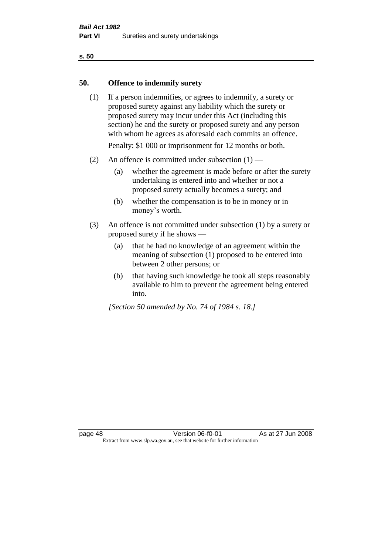#### **50. Offence to indemnify surety**

(1) If a person indemnifies, or agrees to indemnify, a surety or proposed surety against any liability which the surety or proposed surety may incur under this Act (including this section) he and the surety or proposed surety and any person with whom he agrees as aforesaid each commits an offence.

Penalty: \$1 000 or imprisonment for 12 months or both.

- (2) An offence is committed under subsection  $(1)$ 
	- (a) whether the agreement is made before or after the surety undertaking is entered into and whether or not a proposed surety actually becomes a surety; and
	- (b) whether the compensation is to be in money or in money's worth.
- (3) An offence is not committed under subsection (1) by a surety or proposed surety if he shows —
	- (a) that he had no knowledge of an agreement within the meaning of subsection (1) proposed to be entered into between 2 other persons; or
	- (b) that having such knowledge he took all steps reasonably available to him to prevent the agreement being entered into.

*[Section 50 amended by No. 74 of 1984 s. 18.]*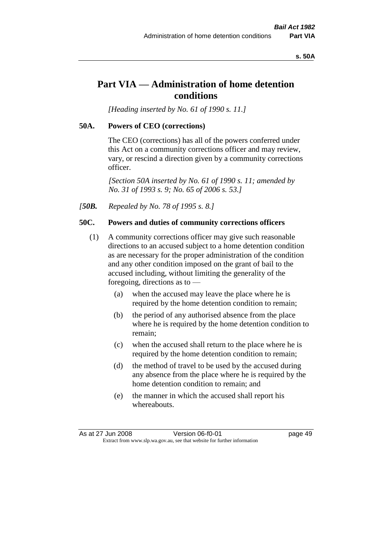#### **s. 50A**

# **Part VIA — Administration of home detention conditions**

*[Heading inserted by No. 61 of 1990 s. 11.]* 

#### **50A. Powers of CEO (corrections)**

The CEO (corrections) has all of the powers conferred under this Act on a community corrections officer and may review, vary, or rescind a direction given by a community corrections officer.

*[Section 50A inserted by No. 61 of 1990 s. 11; amended by No. 31 of 1993 s. 9; No. 65 of 2006 s. 53.]* 

*[50B. Repealed by No. 78 of 1995 s. 8.]* 

#### **50C. Powers and duties of community corrections officers**

- (1) A community corrections officer may give such reasonable directions to an accused subject to a home detention condition as are necessary for the proper administration of the condition and any other condition imposed on the grant of bail to the accused including, without limiting the generality of the foregoing, directions as to —
	- (a) when the accused may leave the place where he is required by the home detention condition to remain;
	- (b) the period of any authorised absence from the place where he is required by the home detention condition to remain;
	- (c) when the accused shall return to the place where he is required by the home detention condition to remain;
	- (d) the method of travel to be used by the accused during any absence from the place where he is required by the home detention condition to remain; and
	- (e) the manner in which the accused shall report his whereabouts.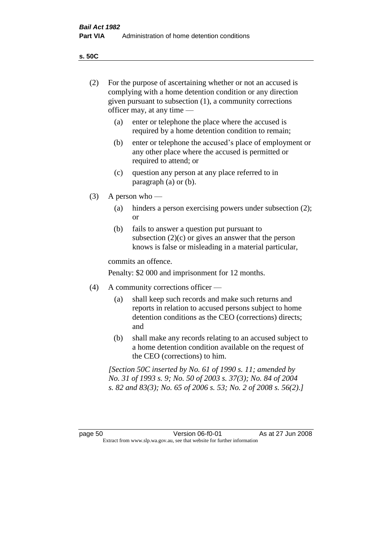**s. 50C**

| (2)     | For the purpose of ascertaining whether or not an accused is<br>complying with a home detention condition or any direction<br>given pursuant to subsection (1), a community corrections<br>officer may, at any time — |                                                                                                                                                                                              |  |  |  |
|---------|-----------------------------------------------------------------------------------------------------------------------------------------------------------------------------------------------------------------------|----------------------------------------------------------------------------------------------------------------------------------------------------------------------------------------------|--|--|--|
|         | (a)                                                                                                                                                                                                                   | enter or telephone the place where the accused is<br>required by a home detention condition to remain;                                                                                       |  |  |  |
|         | (b)                                                                                                                                                                                                                   | enter or telephone the accused's place of employment or<br>any other place where the accused is permitted or<br>required to attend; or                                                       |  |  |  |
|         | (c)                                                                                                                                                                                                                   | question any person at any place referred to in<br>paragraph $(a)$ or $(b)$ .                                                                                                                |  |  |  |
| (3)     | A person who $-$                                                                                                                                                                                                      |                                                                                                                                                                                              |  |  |  |
|         | (a)                                                                                                                                                                                                                   | hinders a person exercising powers under subsection (2);<br><sub>or</sub>                                                                                                                    |  |  |  |
|         | (b)                                                                                                                                                                                                                   | fails to answer a question put pursuant to<br>subsection $(2)(c)$ or gives an answer that the person<br>knows is false or misleading in a material particular,                               |  |  |  |
|         | commits an offence.                                                                                                                                                                                                   |                                                                                                                                                                                              |  |  |  |
|         | Penalty: \$2 000 and imprisonment for 12 months.                                                                                                                                                                      |                                                                                                                                                                                              |  |  |  |
| (4)     | A community corrections officer —                                                                                                                                                                                     |                                                                                                                                                                                              |  |  |  |
|         | (a)                                                                                                                                                                                                                   | shall keep such records and make such returns and<br>reports in relation to accused persons subject to home<br>detention conditions as the CEO (corrections) directs;<br>and                 |  |  |  |
|         | (b)                                                                                                                                                                                                                   | shall make any records relating to an accused subject to<br>a home detention condition available on the request of<br>the CEO (corrections) to him.                                          |  |  |  |
|         |                                                                                                                                                                                                                       | [Section 50C inserted by No. 61 of 1990 s. 11; amended by<br>No. 31 of 1993 s. 9; No. 50 of 2003 s. 37(3); No. 84 of 2004<br>s. 82 and 83(3); No. 65 of 2006 s. 53; No. 2 of 2008 s. 56(2).] |  |  |  |
|         |                                                                                                                                                                                                                       |                                                                                                                                                                                              |  |  |  |
| page 50 |                                                                                                                                                                                                                       | Version 06-f0-01<br>As at 27 Jun 2008<br>Extract from www.slp.wa.gov.au, see that website for further information                                                                            |  |  |  |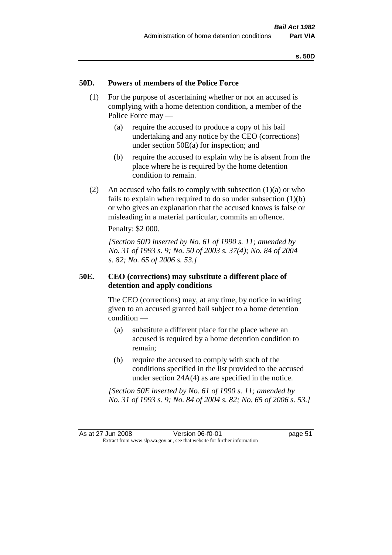#### **50D. Powers of members of the Police Force**

- (1) For the purpose of ascertaining whether or not an accused is complying with a home detention condition, a member of the Police Force may —
	- (a) require the accused to produce a copy of his bail undertaking and any notice by the CEO (corrections) under section 50E(a) for inspection; and
	- (b) require the accused to explain why he is absent from the place where he is required by the home detention condition to remain.
- (2) An accused who fails to comply with subsection  $(1)(a)$  or who fails to explain when required to do so under subsection  $(1)(b)$ or who gives an explanation that the accused knows is false or misleading in a material particular, commits an offence.

Penalty: \$2 000.

*[Section 50D inserted by No. 61 of 1990 s. 11; amended by No. 31 of 1993 s. 9; No. 50 of 2003 s. 37(4); No. 84 of 2004 s. 82; No. 65 of 2006 s. 53.]* 

## **50E. CEO (corrections) may substitute a different place of detention and apply conditions**

The CEO (corrections) may, at any time, by notice in writing given to an accused granted bail subject to a home detention condition —

- (a) substitute a different place for the place where an accused is required by a home detention condition to remain;
- (b) require the accused to comply with such of the conditions specified in the list provided to the accused under section 24A(4) as are specified in the notice.

*[Section 50E inserted by No. 61 of 1990 s. 11; amended by No. 31 of 1993 s. 9; No. 84 of 2004 s. 82; No. 65 of 2006 s. 53.]*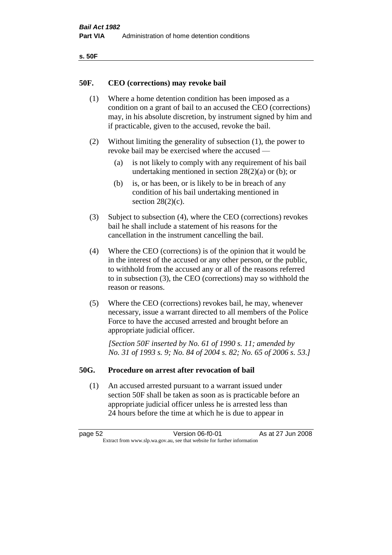| ۰.<br>۰,<br>۰.<br>×<br>× |
|--------------------------|
|--------------------------|

#### **50F. CEO (corrections) may revoke bail**

- (1) Where a home detention condition has been imposed as a condition on a grant of bail to an accused the CEO (corrections) may, in his absolute discretion, by instrument signed by him and if practicable, given to the accused, revoke the bail.
- (2) Without limiting the generality of subsection (1), the power to revoke bail may be exercised where the accused —
	- (a) is not likely to comply with any requirement of his bail undertaking mentioned in section  $28(2)(a)$  or (b); or
	- (b) is, or has been, or is likely to be in breach of any condition of his bail undertaking mentioned in section  $28(2)(c)$ .
- (3) Subject to subsection (4), where the CEO (corrections) revokes bail he shall include a statement of his reasons for the cancellation in the instrument cancelling the bail.
- (4) Where the CEO (corrections) is of the opinion that it would be in the interest of the accused or any other person, or the public, to withhold from the accused any or all of the reasons referred to in subsection (3), the CEO (corrections) may so withhold the reason or reasons.
- (5) Where the CEO (corrections) revokes bail, he may, whenever necessary, issue a warrant directed to all members of the Police Force to have the accused arrested and brought before an appropriate judicial officer.

*[Section 50F inserted by No. 61 of 1990 s. 11; amended by No. 31 of 1993 s. 9; No. 84 of 2004 s. 82; No. 65 of 2006 s. 53.]* 

#### **50G. Procedure on arrest after revocation of bail**

(1) An accused arrested pursuant to a warrant issued under section 50F shall be taken as soon as is practicable before an appropriate judicial officer unless he is arrested less than 24 hours before the time at which he is due to appear in

page 52 Version 06-f0-01 As at 27 Jun 2008 Extract from www.slp.wa.gov.au, see that website for further information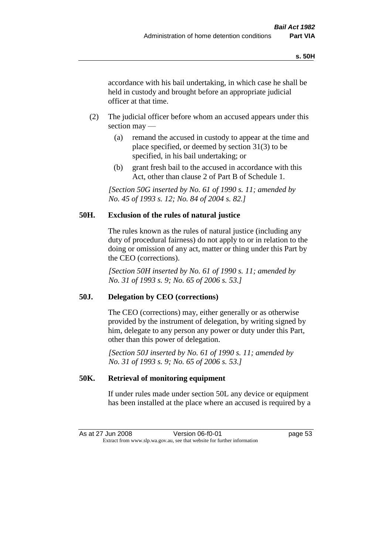accordance with his bail undertaking, in which case he shall be held in custody and brought before an appropriate judicial officer at that time.

- (2) The judicial officer before whom an accused appears under this section may —
	- (a) remand the accused in custody to appear at the time and place specified, or deemed by section 31(3) to be specified, in his bail undertaking; or
	- (b) grant fresh bail to the accused in accordance with this Act, other than clause 2 of Part B of Schedule 1.

*[Section 50G inserted by No. 61 of 1990 s. 11; amended by No. 45 of 1993 s. 12; No. 84 of 2004 s. 82.]* 

## **50H. Exclusion of the rules of natural justice**

The rules known as the rules of natural justice (including any duty of procedural fairness) do not apply to or in relation to the doing or omission of any act, matter or thing under this Part by the CEO (corrections).

*[Section 50H inserted by No. 61 of 1990 s. 11; amended by No. 31 of 1993 s. 9; No. 65 of 2006 s. 53.]* 

## **50J. Delegation by CEO (corrections)**

The CEO (corrections) may, either generally or as otherwise provided by the instrument of delegation, by writing signed by him, delegate to any person any power or duty under this Part, other than this power of delegation.

*[Section 50J inserted by No. 61 of 1990 s. 11; amended by No. 31 of 1993 s. 9; No. 65 of 2006 s. 53.]* 

## **50K. Retrieval of monitoring equipment**

If under rules made under section 50L any device or equipment has been installed at the place where an accused is required by a

| As at 27 Jun 2008                                                        |  | Version 06-f0-01 | page 53 |
|--------------------------------------------------------------------------|--|------------------|---------|
| Extract from www.slp.wa.gov.au, see that website for further information |  |                  |         |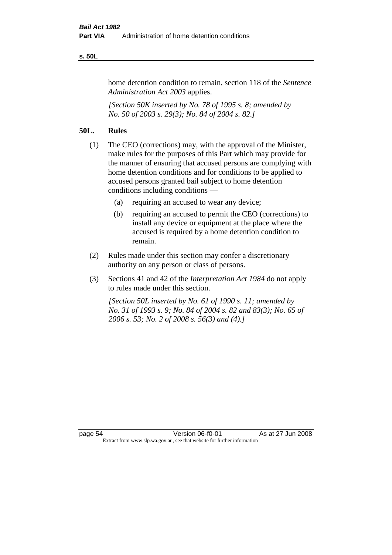#### **s. 50L**

home detention condition to remain, section 118 of the *Sentence Administration Act 2003* applies.

*[Section 50K inserted by No. 78 of 1995 s. 8; amended by No. 50 of 2003 s. 29(3); No. 84 of 2004 s. 82.]* 

# **50L. Rules**

- (1) The CEO (corrections) may, with the approval of the Minister, make rules for the purposes of this Part which may provide for the manner of ensuring that accused persons are complying with home detention conditions and for conditions to be applied to accused persons granted bail subject to home detention conditions including conditions —
	- (a) requiring an accused to wear any device;
	- (b) requiring an accused to permit the CEO (corrections) to install any device or equipment at the place where the accused is required by a home detention condition to remain.
- (2) Rules made under this section may confer a discretionary authority on any person or class of persons.
- (3) Sections 41 and 42 of the *Interpretation Act 1984* do not apply to rules made under this section.

*[Section 50L inserted by No. 61 of 1990 s. 11; amended by No. 31 of 1993 s. 9; No. 84 of 2004 s. 82 and 83(3); No. 65 of 2006 s. 53; No. 2 of 2008 s. 56(3) and (4).]*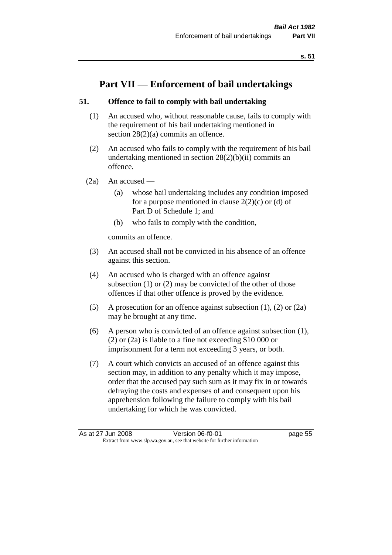# **Part VII — Enforcement of bail undertakings**

## **51. Offence to fail to comply with bail undertaking**

- (1) An accused who, without reasonable cause, fails to comply with the requirement of his bail undertaking mentioned in section 28(2)(a) commits an offence.
- (2) An accused who fails to comply with the requirement of his bail undertaking mentioned in section  $28(2)(b)(ii)$  commits an offence.
- $(2a)$  An accused
	- (a) whose bail undertaking includes any condition imposed for a purpose mentioned in clause  $2(2)(c)$  or (d) of Part D of Schedule 1; and
	- (b) who fails to comply with the condition,

commits an offence.

- (3) An accused shall not be convicted in his absence of an offence against this section.
- (4) An accused who is charged with an offence against subsection (1) or (2) may be convicted of the other of those offences if that other offence is proved by the evidence.
- (5) A prosecution for an offence against subsection (1), (2) or (2a) may be brought at any time.
- (6) A person who is convicted of an offence against subsection (1), (2) or (2a) is liable to a fine not exceeding \$10 000 or imprisonment for a term not exceeding 3 years, or both.
- (7) A court which convicts an accused of an offence against this section may, in addition to any penalty which it may impose, order that the accused pay such sum as it may fix in or towards defraying the costs and expenses of and consequent upon his apprehension following the failure to comply with his bail undertaking for which he was convicted.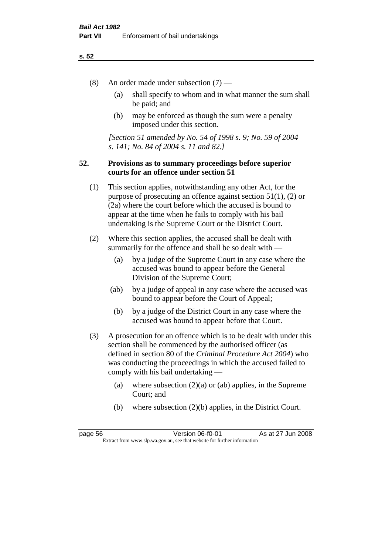- (8) An order made under subsection (7)
	- (a) shall specify to whom and in what manner the sum shall be paid; and
	- (b) may be enforced as though the sum were a penalty imposed under this section.

*[Section 51 amended by No. 54 of 1998 s. 9; No. 59 of 2004 s. 141; No. 84 of 2004 s. 11 and 82.]*

## **52. Provisions as to summary proceedings before superior courts for an offence under section 51**

- (1) This section applies, notwithstanding any other Act, for the purpose of prosecuting an offence against section 51(1), (2) or (2a) where the court before which the accused is bound to appear at the time when he fails to comply with his bail undertaking is the Supreme Court or the District Court.
- (2) Where this section applies, the accused shall be dealt with summarily for the offence and shall be so dealt with —
	- (a) by a judge of the Supreme Court in any case where the accused was bound to appear before the General Division of the Supreme Court;
	- (ab) by a judge of appeal in any case where the accused was bound to appear before the Court of Appeal;
	- (b) by a judge of the District Court in any case where the accused was bound to appear before that Court.
- (3) A prosecution for an offence which is to be dealt with under this section shall be commenced by the authorised officer (as defined in section 80 of the *Criminal Procedure Act 2004*) who was conducting the proceedings in which the accused failed to comply with his bail undertaking —
	- (a) where subsection  $(2)(a)$  or (ab) applies, in the Supreme Court; and
	- (b) where subsection (2)(b) applies, in the District Court.

page 56 Version 06-f0-01 As at 27 Jun 2008 Extract from www.slp.wa.gov.au, see that website for further information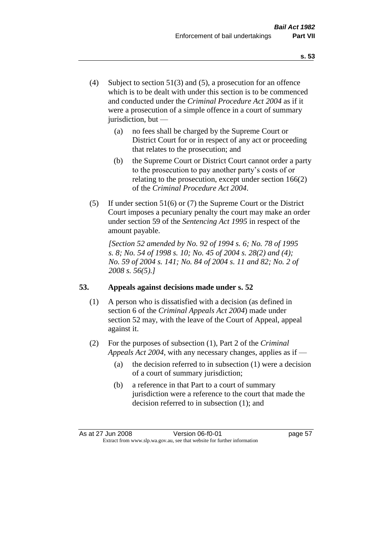- (4) Subject to section 51(3) and (5), a prosecution for an offence which is to be dealt with under this section is to be commenced and conducted under the *Criminal Procedure Act 2004* as if it were a prosecution of a simple offence in a court of summary jurisdiction, but —
	- (a) no fees shall be charged by the Supreme Court or District Court for or in respect of any act or proceeding that relates to the prosecution; and
	- (b) the Supreme Court or District Court cannot order a party to the prosecution to pay another party's costs of or relating to the prosecution, except under section 166(2) of the *Criminal Procedure Act 2004*.
- (5) If under section 51(6) or (7) the Supreme Court or the District Court imposes a pecuniary penalty the court may make an order under section 59 of the *Sentencing Act 1995* in respect of the amount payable.

*[Section 52 amended by No. 92 of 1994 s. 6; No. 78 of 1995 s. 8; No. 54 of 1998 s. 10; No. 45 of 2004 s. 28(2) and (4); No. 59 of 2004 s. 141; No. 84 of 2004 s. 11 and 82; No. 2 of 2008 s. 56(5).]* 

## **53. Appeals against decisions made under s. 52**

- (1) A person who is dissatisfied with a decision (as defined in section 6 of the *Criminal Appeals Act 2004*) made under section 52 may, with the leave of the Court of Appeal, appeal against it.
- (2) For the purposes of subsection (1), Part 2 of the *Criminal Appeals Act 2004*, with any necessary changes, applies as if —
	- (a) the decision referred to in subsection (1) were a decision of a court of summary jurisdiction;
	- (b) a reference in that Part to a court of summary jurisdiction were a reference to the court that made the decision referred to in subsection (1); and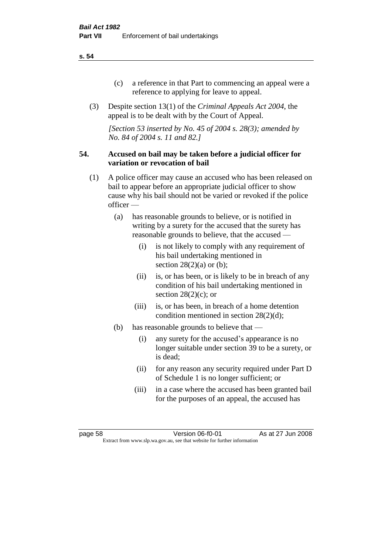- (c) a reference in that Part to commencing an appeal were a reference to applying for leave to appeal.
- (3) Despite section 13(1) of the *Criminal Appeals Act 2004*, the appeal is to be dealt with by the Court of Appeal.

*[Section 53 inserted by No. 45 of 2004 s. 28(3); amended by No. 84 of 2004 s. 11 and 82.]*

#### **54. Accused on bail may be taken before a judicial officer for variation or revocation of bail**

- (1) A police officer may cause an accused who has been released on bail to appear before an appropriate judicial officer to show cause why his bail should not be varied or revoked if the police officer —
	- (a) has reasonable grounds to believe, or is notified in writing by a surety for the accused that the surety has reasonable grounds to believe, that the accused —
		- (i) is not likely to comply with any requirement of his bail undertaking mentioned in section  $28(2)(a)$  or (b);
		- (ii) is, or has been, or is likely to be in breach of any condition of his bail undertaking mentioned in section  $28(2)(c)$ ; or
		- (iii) is, or has been, in breach of a home detention condition mentioned in section 28(2)(d);
	- (b) has reasonable grounds to believe that
		- (i) any surety for the accused's appearance is no longer suitable under section 39 to be a surety, or is dead;
		- (ii) for any reason any security required under Part D of Schedule 1 is no longer sufficient; or
		- (iii) in a case where the accused has been granted bail for the purposes of an appeal, the accused has

page 58 Version 06-f0-01 As at 27 Jun 2008 Extract from www.slp.wa.gov.au, see that website for further information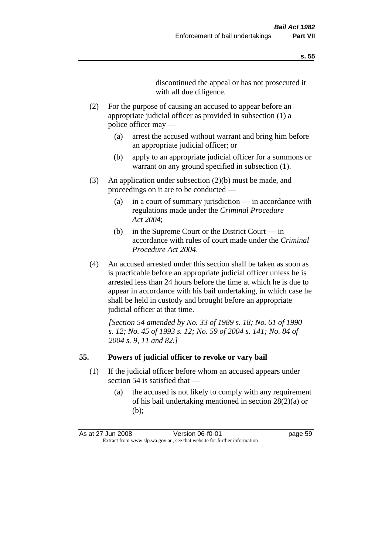discontinued the appeal or has not prosecuted it with all due diligence.

- (2) For the purpose of causing an accused to appear before an appropriate judicial officer as provided in subsection (1) a police officer may —
	- (a) arrest the accused without warrant and bring him before an appropriate judicial officer; or
	- (b) apply to an appropriate judicial officer for a summons or warrant on any ground specified in subsection  $(1)$ .
- (3) An application under subsection (2)(b) must be made, and proceedings on it are to be conducted —
	- (a) in a court of summary jurisdiction in accordance with regulations made under the *Criminal Procedure Act 2004*;
	- (b) in the Supreme Court or the District Court in accordance with rules of court made under the *Criminal Procedure Act 2004*.
- (4) An accused arrested under this section shall be taken as soon as is practicable before an appropriate judicial officer unless he is arrested less than 24 hours before the time at which he is due to appear in accordance with his bail undertaking, in which case he shall be held in custody and brought before an appropriate judicial officer at that time.

*[Section 54 amended by No. 33 of 1989 s. 18; No. 61 of 1990 s. 12; No. 45 of 1993 s. 12; No. 59 of 2004 s. 141; No. 84 of 2004 s. 9, 11 and 82.]* 

#### **55. Powers of judicial officer to revoke or vary bail**

- (1) If the judicial officer before whom an accused appears under section 54 is satisfied that —
	- (a) the accused is not likely to comply with any requirement of his bail undertaking mentioned in section 28(2)(a) or (b);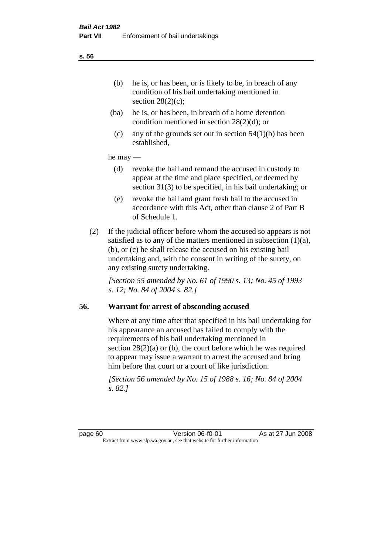- (ba) he is, or has been, in breach of a home detention condition mentioned in section 28(2)(d); or
- (c) any of the grounds set out in section  $54(1)(b)$  has been established,

## he may —

- (d) revoke the bail and remand the accused in custody to appear at the time and place specified, or deemed by section 31(3) to be specified, in his bail undertaking; or
- (e) revoke the bail and grant fresh bail to the accused in accordance with this Act, other than clause 2 of Part B of Schedule 1.
- (2) If the judicial officer before whom the accused so appears is not satisfied as to any of the matters mentioned in subsection  $(1)(a)$ , (b), or (c) he shall release the accused on his existing bail undertaking and, with the consent in writing of the surety, on any existing surety undertaking.

*[Section 55 amended by No. 61 of 1990 s. 13; No. 45 of 1993 s. 12; No. 84 of 2004 s. 82.]* 

## **56. Warrant for arrest of absconding accused**

Where at any time after that specified in his bail undertaking for his appearance an accused has failed to comply with the requirements of his bail undertaking mentioned in section  $28(2)(a)$  or (b), the court before which he was required to appear may issue a warrant to arrest the accused and bring him before that court or a court of like jurisdiction.

*[Section 56 amended by No. 15 of 1988 s. 16; No. 84 of 2004 s. 82.]*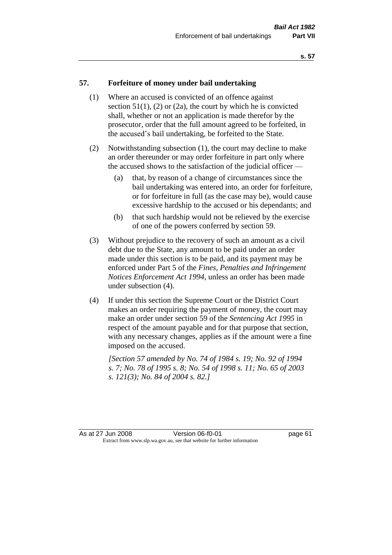#### **57. Forfeiture of money under bail undertaking**

- (1) Where an accused is convicted of an offence against section  $51(1)$ ,  $(2)$  or  $(2a)$ , the court by which he is convicted shall, whether or not an application is made therefor by the prosecutor, order that the full amount agreed to be forfeited, in the accused's bail undertaking, be forfeited to the State.
- (2) Notwithstanding subsection (1), the court may decline to make an order thereunder or may order forfeiture in part only where the accused shows to the satisfaction of the judicial officer —
	- (a) that, by reason of a change of circumstances since the bail undertaking was entered into, an order for forfeiture, or for forfeiture in full (as the case may be), would cause excessive hardship to the accused or his dependants; and
	- (b) that such hardship would not be relieved by the exercise of one of the powers conferred by section 59.
- (3) Without prejudice to the recovery of such an amount as a civil debt due to the State, any amount to be paid under an order made under this section is to be paid, and its payment may be enforced under Part 5 of the *Fines, Penalties and Infringement Notices Enforcement Act 1994*, unless an order has been made under subsection (4).
- (4) If under this section the Supreme Court or the District Court makes an order requiring the payment of money, the court may make an order under section 59 of the *Sentencing Act 1995* in respect of the amount payable and for that purpose that section, with any necessary changes, applies as if the amount were a fine imposed on the accused.

*[Section 57 amended by No. 74 of 1984 s. 19; No. 92 of 1994 s. 7; No. 78 of 1995 s. 8; No. 54 of 1998 s. 11; No. 65 of 2003 s. 121(3); No. 84 of 2004 s. 82.]*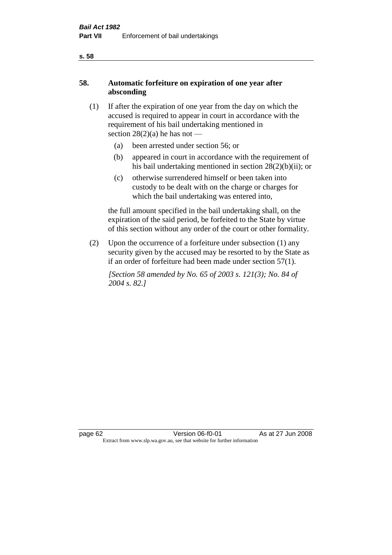# **58. Automatic forfeiture on expiration of one year after absconding**

- (1) If after the expiration of one year from the day on which the accused is required to appear in court in accordance with the requirement of his bail undertaking mentioned in section  $28(2)(a)$  he has not —
	- (a) been arrested under section 56; or
	- (b) appeared in court in accordance with the requirement of his bail undertaking mentioned in section 28(2)(b)(ii); or
	- (c) otherwise surrendered himself or been taken into custody to be dealt with on the charge or charges for which the bail undertaking was entered into,

the full amount specified in the bail undertaking shall, on the expiration of the said period, be forfeited to the State by virtue of this section without any order of the court or other formality.

(2) Upon the occurrence of a forfeiture under subsection (1) any security given by the accused may be resorted to by the State as if an order of forfeiture had been made under section 57(1).

*[Section 58 amended by No. 65 of 2003 s. 121(3); No. 84 of 2004 s. 82.]*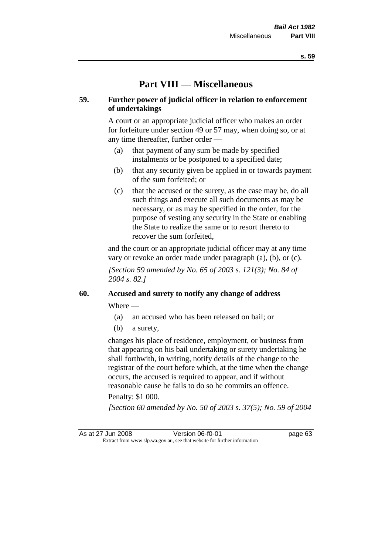# **Part VIII — Miscellaneous**

## **59. Further power of judicial officer in relation to enforcement of undertakings**

A court or an appropriate judicial officer who makes an order for forfeiture under section 49 or 57 may, when doing so, or at any time thereafter, further order —

- (a) that payment of any sum be made by specified instalments or be postponed to a specified date;
- (b) that any security given be applied in or towards payment of the sum forfeited; or
- (c) that the accused or the surety, as the case may be, do all such things and execute all such documents as may be necessary, or as may be specified in the order, for the purpose of vesting any security in the State or enabling the State to realize the same or to resort thereto to recover the sum forfeited,

and the court or an appropriate judicial officer may at any time vary or revoke an order made under paragraph (a), (b), or (c).

*[Section 59 amended by No. 65 of 2003 s. 121(3); No. 84 of 2004 s. 82.]*

# **60. Accused and surety to notify any change of address**

Where —

- (a) an accused who has been released on bail; or
- (b) a surety,

changes his place of residence, employment, or business from that appearing on his bail undertaking or surety undertaking he shall forthwith, in writing, notify details of the change to the registrar of the court before which, at the time when the change occurs, the accused is required to appear, and if without reasonable cause he fails to do so he commits an offence.

#### Penalty: \$1 000.

*[Section 60 amended by No. 50 of 2003 s. 37(5); No. 59 of 2004* 

As at 27 Jun 2008 Version 06-f0-01 page 63 Extract from www.slp.wa.gov.au, see that website for further information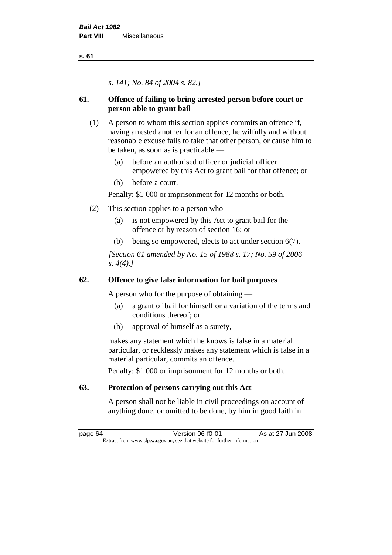*s. 141; No. 84 of 2004 s. 82.]*

# **61. Offence of failing to bring arrested person before court or person able to grant bail**

- (1) A person to whom this section applies commits an offence if, having arrested another for an offence, he wilfully and without reasonable excuse fails to take that other person, or cause him to be taken, as soon as is practicable —
	- (a) before an authorised officer or judicial officer empowered by this Act to grant bail for that offence; or
	- (b) before a court.

Penalty: \$1 000 or imprisonment for 12 months or both.

- (2) This section applies to a person who
	- (a) is not empowered by this Act to grant bail for the offence or by reason of section 16; or
	- (b) being so empowered, elects to act under section 6(7).

*[Section 61 amended by No. 15 of 1988 s. 17; No. 59 of 2006 s. 4(4).]* 

# **62. Offence to give false information for bail purposes**

A person who for the purpose of obtaining —

- (a) a grant of bail for himself or a variation of the terms and conditions thereof; or
- (b) approval of himself as a surety,

makes any statement which he knows is false in a material particular, or recklessly makes any statement which is false in a material particular, commits an offence.

Penalty: \$1 000 or imprisonment for 12 months or both.

# **63. Protection of persons carrying out this Act**

A person shall not be liable in civil proceedings on account of anything done, or omitted to be done, by him in good faith in

page 64 Version 06-f0-01 As at 27 Jun 2008 Extract from www.slp.wa.gov.au, see that website for further information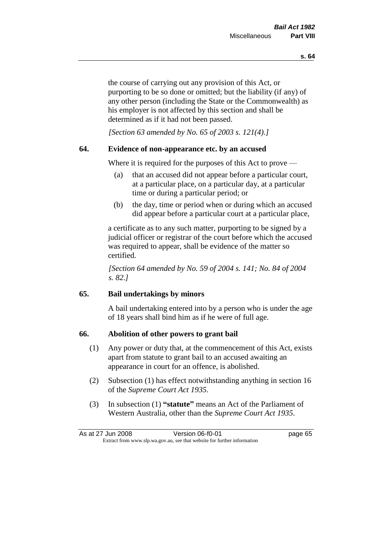the course of carrying out any provision of this Act, or purporting to be so done or omitted; but the liability (if any) of any other person (including the State or the Commonwealth) as his employer is not affected by this section and shall be determined as if it had not been passed.

*[Section 63 amended by No. 65 of 2003 s. 121(4).]*

## **64. Evidence of non-appearance etc. by an accused**

Where it is required for the purposes of this Act to prove —

- (a) that an accused did not appear before a particular court, at a particular place, on a particular day, at a particular time or during a particular period; or
- (b) the day, time or period when or during which an accused did appear before a particular court at a particular place,

a certificate as to any such matter, purporting to be signed by a judicial officer or registrar of the court before which the accused was required to appear, shall be evidence of the matter so certified.

*[Section 64 amended by No. 59 of 2004 s. 141; No. 84 of 2004 s. 82.]* 

# **65. Bail undertakings by minors**

A bail undertaking entered into by a person who is under the age of 18 years shall bind him as if he were of full age.

## **66. Abolition of other powers to grant bail**

- (1) Any power or duty that, at the commencement of this Act, exists apart from statute to grant bail to an accused awaiting an appearance in court for an offence, is abolished.
- (2) Subsection (1) has effect notwithstanding anything in section 16 of the *Supreme Court Act 1935*.
- (3) In subsection (1) **"statute"** means an Act of the Parliament of Western Australia, other than the *Supreme Court Act 1935*.

| As at 27 Jun 2008 | Version 06-f0-01                                                         | page 65 |
|-------------------|--------------------------------------------------------------------------|---------|
|                   | Extract from www.slp.wa.gov.au, see that website for further information |         |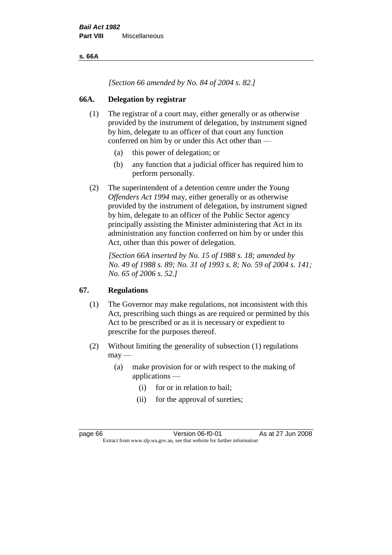**s. 66A**

*[Section 66 amended by No. 84 of 2004 s. 82.]*

# **66A. Delegation by registrar**

- (1) The registrar of a court may, either generally or as otherwise provided by the instrument of delegation, by instrument signed by him, delegate to an officer of that court any function conferred on him by or under this Act other than —
	- (a) this power of delegation; or
	- (b) any function that a judicial officer has required him to perform personally.
- (2) The superintendent of a detention centre under the *Young Offenders Act 1994* may, either generally or as otherwise provided by the instrument of delegation, by instrument signed by him, delegate to an officer of the Public Sector agency principally assisting the Minister administering that Act in its administration any function conferred on him by or under this Act, other than this power of delegation.

*[Section 66A inserted by No. 15 of 1988 s. 18; amended by No. 49 of 1988 s. 89; No. 31 of 1993 s. 8; No. 59 of 2004 s. 141; No. 65 of 2006 s. 52.]* 

# **67. Regulations**

- (1) The Governor may make regulations, not inconsistent with this Act, prescribing such things as are required or permitted by this Act to be prescribed or as it is necessary or expedient to prescribe for the purposes thereof.
- (2) Without limiting the generality of subsection (1) regulations  $may -$ 
	- (a) make provision for or with respect to the making of applications —
		- (i) for or in relation to bail;
		- (ii) for the approval of sureties;

page 66 Version 06-f0-01 As at 27 Jun 2008 Extract from www.slp.wa.gov.au, see that website for further information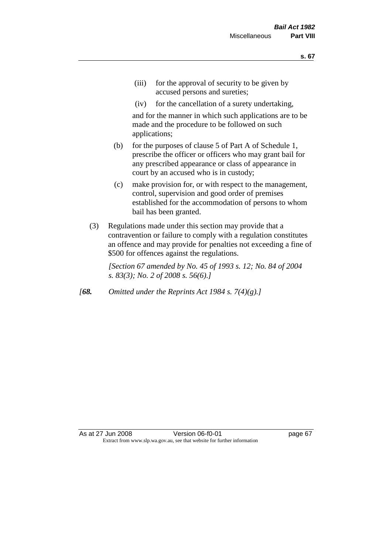- (iii) for the approval of security to be given by accused persons and sureties;
- (iv) for the cancellation of a surety undertaking,

and for the manner in which such applications are to be made and the procedure to be followed on such applications;

- (b) for the purposes of clause 5 of Part A of Schedule 1, prescribe the officer or officers who may grant bail for any prescribed appearance or class of appearance in court by an accused who is in custody;
- (c) make provision for, or with respect to the management, control, supervision and good order of premises established for the accommodation of persons to whom bail has been granted.
- (3) Regulations made under this section may provide that a contravention or failure to comply with a regulation constitutes an offence and may provide for penalties not exceeding a fine of \$500 for offences against the regulations.

*[Section 67 amended by No. 45 of 1993 s. 12; No. 84 of 2004 s. 83(3); No. 2 of 2008 s. 56(6).]* 

*[68. Omitted under the Reprints Act 1984 s. 7(4)(g).]*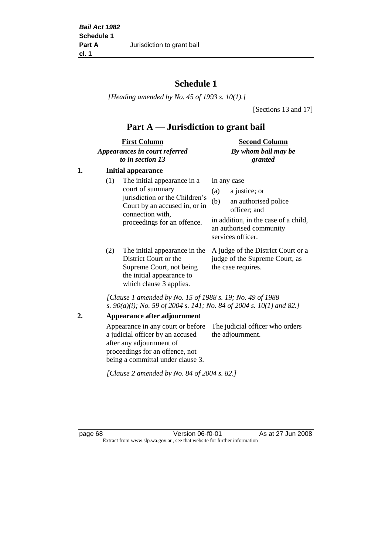# **Schedule 1**

*[Heading amended by No. 45 of 1993 s. 10(1).]*

[Sections 13 and 17]

# **Part A — Jurisdiction to grant bail**

| <b>First Column</b>           | <b>Second Column</b> |
|-------------------------------|----------------------|
| Appearances in court referred | By whom bail may be  |
| to in section 13              | granted              |

## **1. Initial appearance**

| (1) | The initial appearance in a<br>court of summary<br>jurisdiction or the Children's<br>Court by an accused in, or in<br>connection with,<br>proceedings for an offence. | In any case $-$<br>a justice; or<br>(a)<br>an authorised police<br>(b)<br>officer; and<br>in addition, in the case of a child,<br>an authorised community<br>services officer. |
|-----|-----------------------------------------------------------------------------------------------------------------------------------------------------------------------|--------------------------------------------------------------------------------------------------------------------------------------------------------------------------------|
|     |                                                                                                                                                                       |                                                                                                                                                                                |

District Court or the Supreme Court, not being the initial appearance to which clause 3 applies.

(2) The initial appearance in the A judge of the District Court or a judge of the Supreme Court, as the case requires.

*[Clause 1 amended by No. 15 of 1988 s. 19; No. 49 of 1988 s. 90(a)(i); No. 59 of 2004 s. 141; No. 84 of 2004 s. 10(1) and 82.]*

### **2. Appearance after adjournment**

Appearance in any court or before The judicial officer who orders a judicial officer by an accused after any adjournment of proceedings for an offence, not being a committal under clause 3. the adjournment.

*[Clause 2 amended by No. 84 of 2004 s. 82.]*

page 68 Version 06-f0-01 As at 27 Jun 2008 Extract from www.slp.wa.gov.au, see that website for further information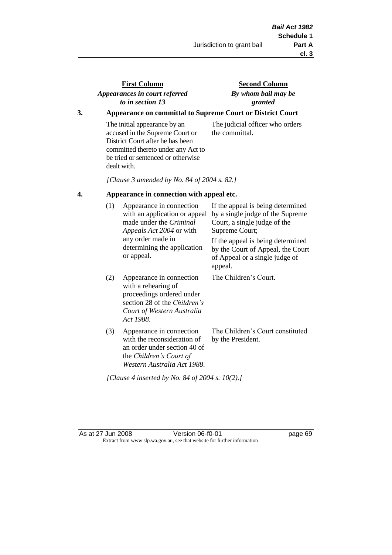# **First Column** *Appearances in court referred to in section 13*

**Second Column** *By whom bail may be granted*

# **3. Appearance on committal to Supreme Court or District Court**

The initial appearance by an accused in the Supreme Court or District Court after he has been committed thereto under any Act to be tried or sentenced or otherwise dealt with.

The judicial officer who orders the committal.

*[Clause 3 amended by No. 84 of 2004 s. 82.]*

### **4. Appearance in connection with appeal etc.**

| (1) | Appearance in connection<br>with an application or appeal<br>made under the <i>Criminal</i><br><i>Appeals Act 2004</i> or with<br>any order made in<br>determining the application<br>or appeal. | If the appeal is being determined<br>by a single judge of the Supreme<br>Court, a single judge of the<br>Supreme Court;<br>If the appeal is being determined<br>by the Court of Appeal, the Court<br>of Appeal or a single judge of<br>appeal. |
|-----|--------------------------------------------------------------------------------------------------------------------------------------------------------------------------------------------------|------------------------------------------------------------------------------------------------------------------------------------------------------------------------------------------------------------------------------------------------|
| (2) | Appearance in connection<br>with a rehearing of<br>proceedings ordered under<br>section 28 of the Children's<br>Court of Western Australia<br>Act 1988.                                          | The Children's Court.                                                                                                                                                                                                                          |
| (3) | Appearance in connection<br>with the reconsideration of<br>an order under section 40 of<br>the Children's Court of<br>Western Australia Act 1988.                                                | The Children's Court constituted<br>by the President.                                                                                                                                                                                          |

*[Clause 4 inserted by No. 84 of 2004 s. 10(2).]*

As at 27 Jun 2008 Version 06-f0-01 Page 69 Extract from www.slp.wa.gov.au, see that website for further information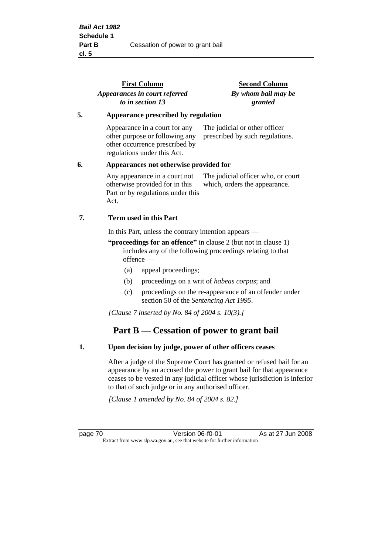|                                              | <b>First Column</b><br>Appearances in court referred                                                                             | <b>Second Column</b><br>By whom bail may be                         |
|----------------------------------------------|----------------------------------------------------------------------------------------------------------------------------------|---------------------------------------------------------------------|
|                                              | to in section 13                                                                                                                 | granted                                                             |
| 5.                                           | Appearance prescribed by regulation                                                                                              |                                                                     |
|                                              | Appearance in a court for any<br>other purpose or following any<br>other occurrence prescribed by<br>regulations under this Act. | The judicial or other officer<br>prescribed by such regulations.    |
| 6.<br>Appearances not otherwise provided for |                                                                                                                                  |                                                                     |
|                                              | Any appearance in a court not<br>otherwise provided for in this<br>Part or by regulations under this<br>Act.                     | The judicial officer who, or court<br>which, orders the appearance. |
| 7.                                           | Term used in this Part                                                                                                           |                                                                     |
|                                              | In this Part, unless the contrary intention appears —                                                                            |                                                                     |

**"proceedings for an offence"** in clause 2 (but not in clause 1) includes any of the following proceedings relating to that offence —

- (a) appeal proceedings;
- (b) proceedings on a writ of *habeas corpus*; and
- (c) proceedings on the re-appearance of an offender under section 50 of the *Sentencing Act 1995*.

*[Clause 7 inserted by No. 84 of 2004 s. 10(3).]*

# **Part B — Cessation of power to grant bail**

### **1. Upon decision by judge, power of other officers ceases**

After a judge of the Supreme Court has granted or refused bail for an appearance by an accused the power to grant bail for that appearance ceases to be vested in any judicial officer whose jurisdiction is inferior to that of such judge or in any authorised officer.

*[Clause 1 amended by No. 84 of 2004 s. 82.]*

page 70 Version 06-f0-01 As at 27 Jun 2008 Extract from www.slp.wa.gov.au, see that website for further information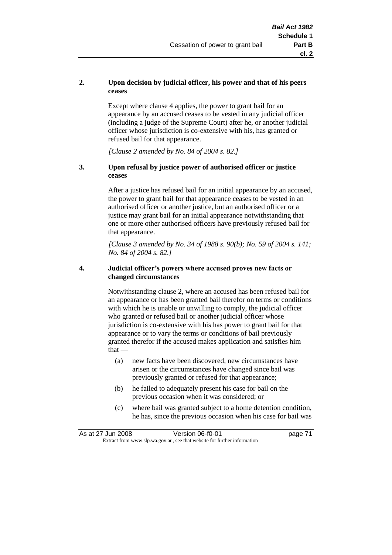### **2. Upon decision by judicial officer, his power and that of his peers ceases**

Except where clause 4 applies, the power to grant bail for an appearance by an accused ceases to be vested in any judicial officer (including a judge of the Supreme Court) after he, or another judicial officer whose jurisdiction is co-extensive with his, has granted or refused bail for that appearance.

*[Clause 2 amended by No. 84 of 2004 s. 82.]*

### **3. Upon refusal by justice power of authorised officer or justice ceases**

After a justice has refused bail for an initial appearance by an accused, the power to grant bail for that appearance ceases to be vested in an authorised officer or another justice, but an authorised officer or a justice may grant bail for an initial appearance notwithstanding that one or more other authorised officers have previously refused bail for that appearance.

*[Clause 3 amended by No. 34 of 1988 s. 90(b); No. 59 of 2004 s. 141; No. 84 of 2004 s. 82.]*

#### **4. Judicial officer's powers where accused proves new facts or changed circumstances**

Notwithstanding clause 2, where an accused has been refused bail for an appearance or has been granted bail therefor on terms or conditions with which he is unable or unwilling to comply, the judicial officer who granted or refused bail or another judicial officer whose jurisdiction is co-extensive with his has power to grant bail for that appearance or to vary the terms or conditions of bail previously granted therefor if the accused makes application and satisfies him  $that -$ 

- (a) new facts have been discovered, new circumstances have arisen or the circumstances have changed since bail was previously granted or refused for that appearance;
- (b) he failed to adequately present his case for bail on the previous occasion when it was considered; or
- (c) where bail was granted subject to a home detention condition, he has, since the previous occasion when his case for bail was

| As at 27 Jun 2008 | Version 06-f0-01                                                         | page 71 |
|-------------------|--------------------------------------------------------------------------|---------|
|                   | Extract from www.slp.wa.gov.au, see that website for further information |         |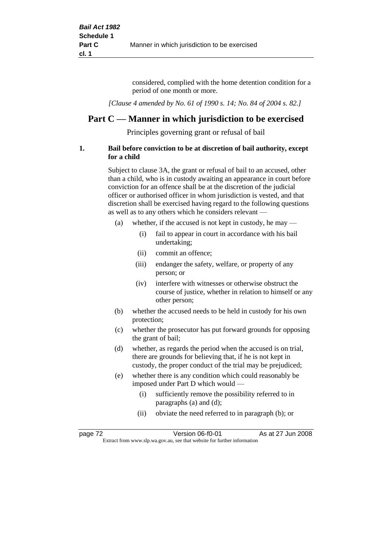considered, complied with the home detention condition for a period of one month or more.

*[Clause 4 amended by No. 61 of 1990 s. 14; No. 84 of 2004 s. 82.]*

# **Part C — Manner in which jurisdiction to be exercised**

Principles governing grant or refusal of bail

### **1. Bail before conviction to be at discretion of bail authority, except for a child**

Subject to clause 3A, the grant or refusal of bail to an accused, other than a child, who is in custody awaiting an appearance in court before conviction for an offence shall be at the discretion of the judicial officer or authorised officer in whom jurisdiction is vested, and that discretion shall be exercised having regard to the following questions as well as to any others which he considers relevant —

- (a) whether, if the accused is not kept in custody, he may  $-$ 
	- (i) fail to appear in court in accordance with his bail undertaking;
	- (ii) commit an offence;
	- (iii) endanger the safety, welfare, or property of any person; or
	- (iv) interfere with witnesses or otherwise obstruct the course of justice, whether in relation to himself or any other person;
- (b) whether the accused needs to be held in custody for his own protection;
- (c) whether the prosecutor has put forward grounds for opposing the grant of bail;
- (d) whether, as regards the period when the accused is on trial, there are grounds for believing that, if he is not kept in custody, the proper conduct of the trial may be prejudiced;
- (e) whether there is any condition which could reasonably be imposed under Part D which would —
	- (i) sufficiently remove the possibility referred to in paragraphs (a) and (d);
	- (ii) obviate the need referred to in paragraph (b); or

| page 72 | Version 06-f0-01                                                         | As at 27 Jun 2008 |  |
|---------|--------------------------------------------------------------------------|-------------------|--|
|         | Extract from www.slp.wa.gov.au, see that website for further information |                   |  |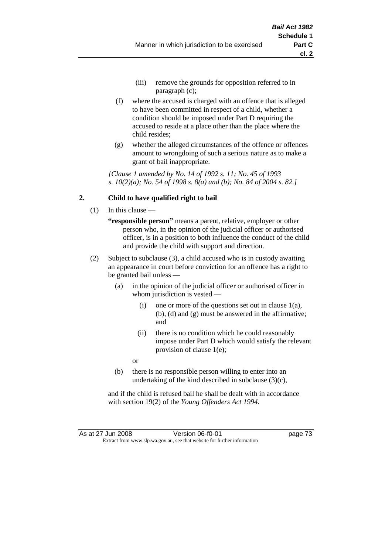- (iii) remove the grounds for opposition referred to in paragraph (c);
- (f) where the accused is charged with an offence that is alleged to have been committed in respect of a child, whether a condition should be imposed under Part D requiring the accused to reside at a place other than the place where the child resides;
- (g) whether the alleged circumstances of the offence or offences amount to wrongdoing of such a serious nature as to make a grant of bail inappropriate.

*[Clause 1 amended by No. 14 of 1992 s. 11; No. 45 of 1993 s. 10(2)(a); No. 54 of 1998 s. 8(a) and (b); No. 84 of 2004 s. 82.]*

## **2. Child to have qualified right to bail**

- (1) In this clause
	- **"responsible person"** means a parent, relative, employer or other person who, in the opinion of the judicial officer or authorised officer, is in a position to both influence the conduct of the child and provide the child with support and direction.
- (2) Subject to subclause (3), a child accused who is in custody awaiting an appearance in court before conviction for an offence has a right to be granted bail unless —
	- (a) in the opinion of the judicial officer or authorised officer in whom jurisdiction is vested —
		- (i) one or more of the questions set out in clause  $1(a)$ , (b), (d) and (g) must be answered in the affirmative; and
		- (ii) there is no condition which he could reasonably impose under Part D which would satisfy the relevant provision of clause 1(e);
		- or
	- (b) there is no responsible person willing to enter into an undertaking of the kind described in subclause (3)(c),

and if the child is refused bail he shall be dealt with in accordance with section 19(2) of the *Young Offenders Act 1994*.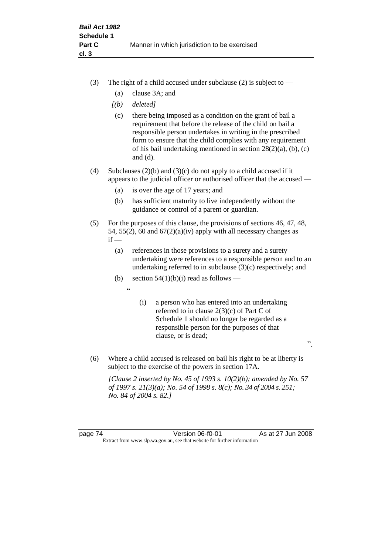- (3) The right of a child accused under subclause (2) is subject to  $-$ 
	- (a) clause 3A; and
	- *[(b) deleted]*
	- (c) there being imposed as a condition on the grant of bail a requirement that before the release of the child on bail a responsible person undertakes in writing in the prescribed form to ensure that the child complies with any requirement of his bail undertaking mentioned in section 28(2)(a), (b), (c) and (d).
- (4) Subclauses (2)(b) and (3)(c) do not apply to a child accused if it appears to the judicial officer or authorised officer that the accused —
	- (a) is over the age of 17 years; and
	- (b) has sufficient maturity to live independently without the guidance or control of a parent or guardian.
- (5) For the purposes of this clause, the provisions of sections 46, 47, 48, 54, 55(2), 60 and  $67(2)(a)(iv)$  apply with all necessary changes as  $if -$ 
	- (a) references in those provisions to a surety and a surety undertaking were references to a responsible person and to an undertaking referred to in subclause (3)(c) respectively; and
	- (b) section  $54(1)(b)(i)$  read as follows
		- $\epsilon$
- (i) a person who has entered into an undertaking referred to in clause 2(3)(c) of Part C of Schedule 1 should no longer be regarded as a responsible person for the purposes of that clause, or is dead;

".

(6) Where a child accused is released on bail his right to be at liberty is subject to the exercise of the powers in section 17A.

*[Clause 2 inserted by No. 45 of 1993 s. 10(2)(b); amended by No. 57 of 1997 s. 21(3)(a); No. 54 of 1998 s. 8(c); No. 34 of 2004 s. 251; No. 84 of 2004 s. 82.]*

page 74 Version 06-f0-01 As at 27 Jun 2008 Extract from www.slp.wa.gov.au, see that website for further information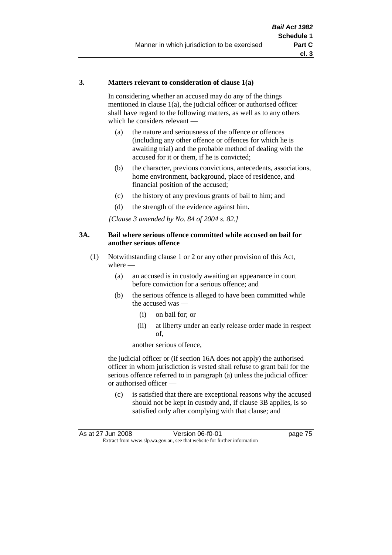### **3. Matters relevant to consideration of clause 1(a)**

In considering whether an accused may do any of the things mentioned in clause 1(a), the judicial officer or authorised officer shall have regard to the following matters, as well as to any others which he considers relevant —

- (a) the nature and seriousness of the offence or offences (including any other offence or offences for which he is awaiting trial) and the probable method of dealing with the accused for it or them, if he is convicted;
- (b) the character, previous convictions, antecedents, associations, home environment, background, place of residence, and financial position of the accused;
- (c) the history of any previous grants of bail to him; and
- (d) the strength of the evidence against him.

*[Clause 3 amended by No. 84 of 2004 s. 82.]*

### **3A. Bail where serious offence committed while accused on bail for another serious offence**

- (1) Notwithstanding clause 1 or 2 or any other provision of this Act, where —
	- (a) an accused is in custody awaiting an appearance in court before conviction for a serious offence; and
	- (b) the serious offence is alleged to have been committed while the accused was —
		- (i) on bail for; or
		- (ii) at liberty under an early release order made in respect of,

another serious offence,

the judicial officer or (if section 16A does not apply) the authorised officer in whom jurisdiction is vested shall refuse to grant bail for the serious offence referred to in paragraph (a) unless the judicial officer or authorised officer —

(c) is satisfied that there are exceptional reasons why the accused should not be kept in custody and, if clause 3B applies, is so satisfied only after complying with that clause; and

| As at 27 Jun 2008 | Version 06-f0-01                                                         | page 75 |
|-------------------|--------------------------------------------------------------------------|---------|
|                   | Extract from www.slp.wa.gov.au, see that website for further information |         |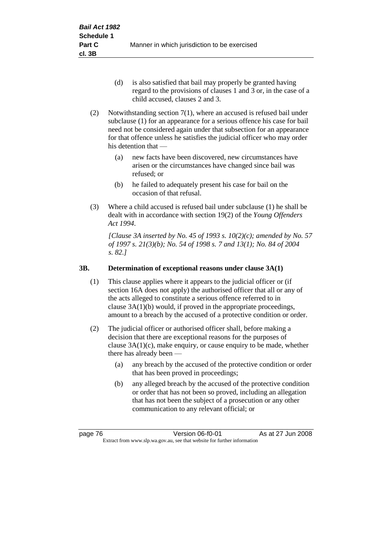- (d) is also satisfied that bail may properly be granted having regard to the provisions of clauses 1 and 3 or, in the case of a child accused, clauses 2 and 3.
- (2) Notwithstanding section 7(1), where an accused is refused bail under subclause (1) for an appearance for a serious offence his case for bail need not be considered again under that subsection for an appearance for that offence unless he satisfies the judicial officer who may order his detention that —
	- (a) new facts have been discovered, new circumstances have arisen or the circumstances have changed since bail was refused; or
	- (b) he failed to adequately present his case for bail on the occasion of that refusal.
- (3) Where a child accused is refused bail under subclause (1) he shall be dealt with in accordance with section 19(2) of the *Young Offenders Act 1994*.

*[Clause 3A inserted by No. 45 of 1993 s. 10(2)(c); amended by No. 57 of 1997 s. 21(3)(b); No. 54 of 1998 s. 7 and 13(1); No. 84 of 2004 s. 82.]*

## **3B. Determination of exceptional reasons under clause 3A(1)**

- (1) This clause applies where it appears to the judicial officer or (if section 16A does not apply) the authorised officer that all or any of the acts alleged to constitute a serious offence referred to in clause 3A(1)(b) would, if proved in the appropriate proceedings, amount to a breach by the accused of a protective condition or order.
- (2) The judicial officer or authorised officer shall, before making a decision that there are exceptional reasons for the purposes of clause  $3A(1)(c)$ , make enquiry, or cause enquiry to be made, whether there has already been -
	- (a) any breach by the accused of the protective condition or order that has been proved in proceedings;
	- (b) any alleged breach by the accused of the protective condition or order that has not been so proved, including an allegation that has not been the subject of a prosecution or any other communication to any relevant official; or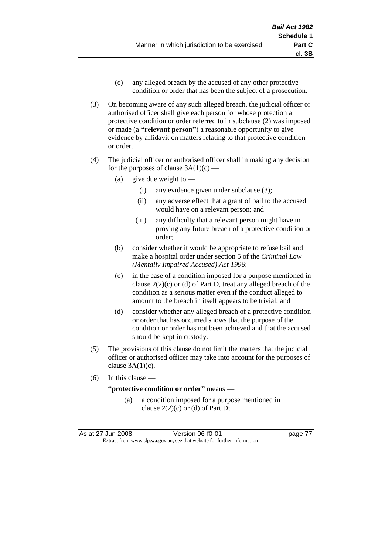- (c) any alleged breach by the accused of any other protective condition or order that has been the subject of a prosecution.
- (3) On becoming aware of any such alleged breach, the judicial officer or authorised officer shall give each person for whose protection a protective condition or order referred to in subclause (2) was imposed or made (a **"relevant person"**) a reasonable opportunity to give evidence by affidavit on matters relating to that protective condition or order.
- (4) The judicial officer or authorised officer shall in making any decision for the purposes of clause  $3A(1)(c)$  —
	- (a) give due weight to  $-$ 
		- (i) any evidence given under subclause (3);
		- (ii) any adverse effect that a grant of bail to the accused would have on a relevant person; and
		- (iii) any difficulty that a relevant person might have in proving any future breach of a protective condition or order;
	- (b) consider whether it would be appropriate to refuse bail and make a hospital order under section 5 of the *Criminal Law (Mentally Impaired Accused) Act 1996*;
	- (c) in the case of a condition imposed for a purpose mentioned in clause  $2(2)(c)$  or (d) of Part D, treat any alleged breach of the condition as a serious matter even if the conduct alleged to amount to the breach in itself appears to be trivial; and
	- (d) consider whether any alleged breach of a protective condition or order that has occurred shows that the purpose of the condition or order has not been achieved and that the accused should be kept in custody.
- (5) The provisions of this clause do not limit the matters that the judicial officer or authorised officer may take into account for the purposes of clause  $3A(1)(c)$ .
- (6) In this clause —

### **"protective condition or order"** means —

(a) a condition imposed for a purpose mentioned in clause  $2(2)(c)$  or (d) of Part D;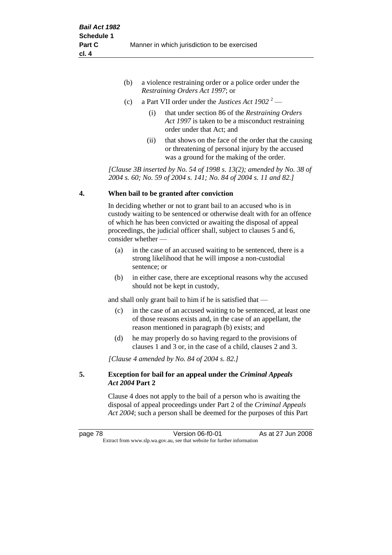| (b) | a violence restraining order or a police order under the |
|-----|----------------------------------------------------------|
|     | <i>Restraining Orders Act 1997; or</i>                   |

- (c) a Part VII order under the *Justices Act 1902* <sup>2</sup>
	- (i) that under section 86 of the *Restraining Orders Act 1997* is taken to be a misconduct restraining order under that Act; and
	- (ii) that shows on the face of the order that the causing or threatening of personal injury by the accused was a ground for the making of the order.

*[Clause 3B inserted by No. 54 of 1998 s. 13(2); amended by No. 38 of 2004 s. 60; No. 59 of 2004 s. 141; No. 84 of 2004 s. 11 and 82.]*

### **4. When bail to be granted after conviction**

In deciding whether or not to grant bail to an accused who is in custody waiting to be sentenced or otherwise dealt with for an offence of which he has been convicted or awaiting the disposal of appeal proceedings, the judicial officer shall, subject to clauses 5 and 6, consider whether —

- (a) in the case of an accused waiting to be sentenced, there is a strong likelihood that he will impose a non-custodial sentence; or
- (b) in either case, there are exceptional reasons why the accused should not be kept in custody,

and shall only grant bail to him if he is satisfied that —

- (c) in the case of an accused waiting to be sentenced, at least one of those reasons exists and, in the case of an appellant, the reason mentioned in paragraph (b) exists; and
- (d) he may properly do so having regard to the provisions of clauses 1 and 3 or, in the case of a child, clauses 2 and 3.

*[Clause 4 amended by No. 84 of 2004 s. 82.]*

### **5. Exception for bail for an appeal under the** *Criminal Appeals Act 2004* **Part 2**

Clause 4 does not apply to the bail of a person who is awaiting the disposal of appeal proceedings under Part 2 of the *Criminal Appeals Act 2004*; such a person shall be deemed for the purposes of this Part

page 78 Version 06-f0-01 As at 27 Jun 2008 Extract from www.slp.wa.gov.au, see that website for further information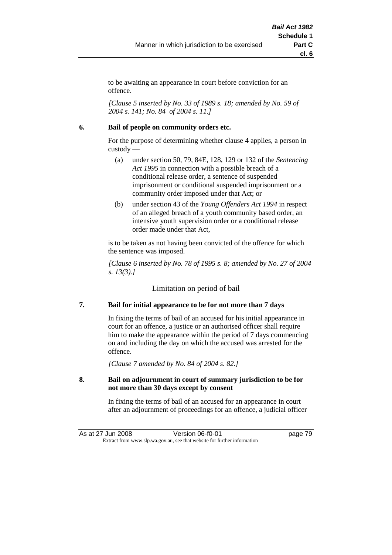to be awaiting an appearance in court before conviction for an offence.

*[Clause 5 inserted by No. 33 of 1989 s. 18; amended by No. 59 of 2004 s. 141; No. 84 of 2004 s. 11.]*

### **6. Bail of people on community orders etc.**

For the purpose of determining whether clause 4 applies, a person in custody —

- (a) under section 50, 79, 84E, 128, 129 or 132 of the *Sentencing Act 1995* in connection with a possible breach of a conditional release order, a sentence of suspended imprisonment or conditional suspended imprisonment or a community order imposed under that Act; or
- (b) under section 43 of the *Young Offenders Act 1994* in respect of an alleged breach of a youth community based order, an intensive youth supervision order or a conditional release order made under that Act,

is to be taken as not having been convicted of the offence for which the sentence was imposed.

*[Clause 6 inserted by No. 78 of 1995 s. 8; amended by No. 27 of 2004 s. 13(3).]*

Limitation on period of bail

## **7. Bail for initial appearance to be for not more than 7 days**

In fixing the terms of bail of an accused for his initial appearance in court for an offence, a justice or an authorised officer shall require him to make the appearance within the period of 7 days commencing on and including the day on which the accused was arrested for the offence.

*[Clause 7 amended by No. 84 of 2004 s. 82.]*

### **8. Bail on adjournment in court of summary jurisdiction to be for not more than 30 days except by consent**

In fixing the terms of bail of an accused for an appearance in court after an adjournment of proceedings for an offence, a judicial officer

As at 27 Jun 2008 **Version 06-f0-01 Dage 79** Extract from www.slp.wa.gov.au, see that website for further information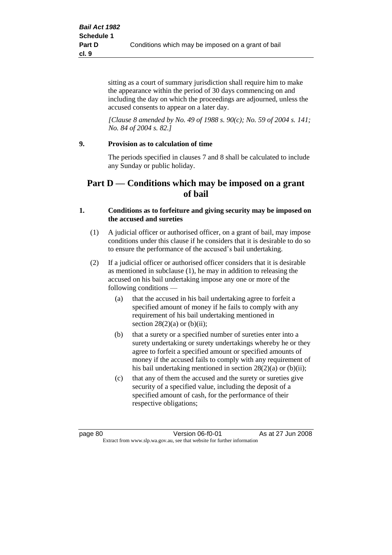sitting as a court of summary jurisdiction shall require him to make the appearance within the period of 30 days commencing on and including the day on which the proceedings are adjourned, unless the accused consents to appear on a later day.

*[Clause 8 amended by No. 49 of 1988 s. 90(c); No. 59 of 2004 s. 141; No. 84 of 2004 s. 82.]*

## **9. Provision as to calculation of time**

The periods specified in clauses 7 and 8 shall be calculated to include any Sunday or public holiday.

# **Part D — Conditions which may be imposed on a grant of bail**

### **1. Conditions as to forfeiture and giving security may be imposed on the accused and sureties**

- (1) A judicial officer or authorised officer, on a grant of bail, may impose conditions under this clause if he considers that it is desirable to do so to ensure the performance of the accused's bail undertaking.
- (2) If a judicial officer or authorised officer considers that it is desirable as mentioned in subclause (1), he may in addition to releasing the accused on his bail undertaking impose any one or more of the following conditions —
	- (a) that the accused in his bail undertaking agree to forfeit a specified amount of money if he fails to comply with any requirement of his bail undertaking mentioned in section  $28(2)(a)$  or  $(b)(ii)$ ;
	- (b) that a surety or a specified number of sureties enter into a surety undertaking or surety undertakings whereby he or they agree to forfeit a specified amount or specified amounts of money if the accused fails to comply with any requirement of his bail undertaking mentioned in section 28(2)(a) or (b)(ii);
	- (c) that any of them the accused and the surety or sureties give security of a specified value, including the deposit of a specified amount of cash, for the performance of their respective obligations;

page 80 Version 06-f0-01 As at 27 Jun 2008 Extract from www.slp.wa.gov.au, see that website for further information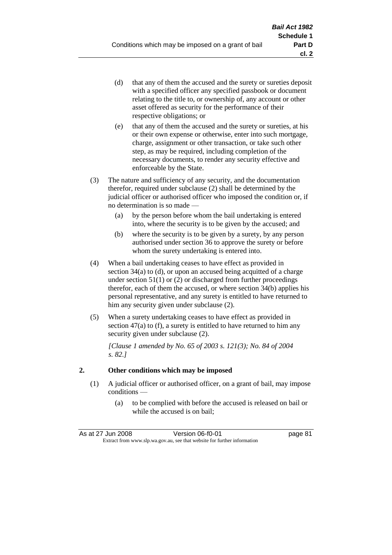- (d) that any of them the accused and the surety or sureties deposit with a specified officer any specified passbook or document relating to the title to, or ownership of, any account or other asset offered as security for the performance of their respective obligations; or
- (e) that any of them the accused and the surety or sureties, at his or their own expense or otherwise, enter into such mortgage, charge, assignment or other transaction, or take such other step, as may be required, including completion of the necessary documents, to render any security effective and enforceable by the State.
- (3) The nature and sufficiency of any security, and the documentation therefor, required under subclause (2) shall be determined by the judicial officer or authorised officer who imposed the condition or, if no determination is so made —
	- (a) by the person before whom the bail undertaking is entered into, where the security is to be given by the accused; and
	- (b) where the security is to be given by a surety, by any person authorised under section 36 to approve the surety or before whom the surety undertaking is entered into.
- (4) When a bail undertaking ceases to have effect as provided in section 34(a) to (d), or upon an accused being acquitted of a charge under section  $51(1)$  or (2) or discharged from further proceedings therefor, each of them the accused, or where section 34(b) applies his personal representative, and any surety is entitled to have returned to him any security given under subclause (2).
- (5) When a surety undertaking ceases to have effect as provided in section 47(a) to (f), a surety is entitled to have returned to him any security given under subclause  $(2)$ .

*[Clause 1 amended by No. 65 of 2003 s. 121(3); No. 84 of 2004 s. 82.]*

## **2. Other conditions which may be imposed**

- (1) A judicial officer or authorised officer, on a grant of bail, may impose conditions —
	- (a) to be complied with before the accused is released on bail or while the accused is on bail;

| As at 27 Jun 2008                                                        | Version 06-f0-01 | page 81 |
|--------------------------------------------------------------------------|------------------|---------|
| Extract from www.slp.wa.gov.au, see that website for further information |                  |         |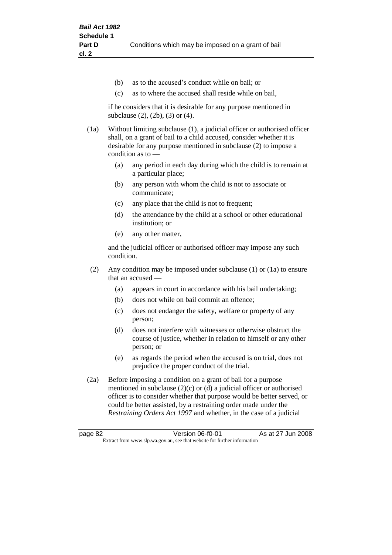- (b) as to the accused's conduct while on bail; or
- (c) as to where the accused shall reside while on bail,

if he considers that it is desirable for any purpose mentioned in subclause (2), (2b), (3) or (4).

(1a) Without limiting subclause (1), a judicial officer or authorised officer shall, on a grant of bail to a child accused, consider whether it is desirable for any purpose mentioned in subclause (2) to impose a condition as to —

- (a) any period in each day during which the child is to remain at a particular place;
- (b) any person with whom the child is not to associate or communicate;
- (c) any place that the child is not to frequent;
- (d) the attendance by the child at a school or other educational institution; or
- (e) any other matter,

and the judicial officer or authorised officer may impose any such condition.

- (2) Any condition may be imposed under subclause (1) or (1a) to ensure that an accused —
	- (a) appears in court in accordance with his bail undertaking;
	- (b) does not while on bail commit an offence;
	- (c) does not endanger the safety, welfare or property of any person;
	- (d) does not interfere with witnesses or otherwise obstruct the course of justice, whether in relation to himself or any other person; or
	- (e) as regards the period when the accused is on trial, does not prejudice the proper conduct of the trial.
- (2a) Before imposing a condition on a grant of bail for a purpose mentioned in subclause (2)(c) or (d) a judicial officer or authorised officer is to consider whether that purpose would be better served, or could be better assisted, by a restraining order made under the *Restraining Orders Act 1997* and whether, in the case of a judicial

page 82 Version 06-f0-01 As at 27 Jun 2008 Extract from www.slp.wa.gov.au, see that website for further information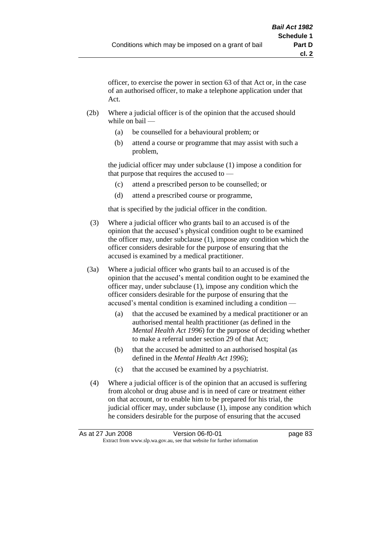officer, to exercise the power in section 63 of that Act or, in the case of an authorised officer, to make a telephone application under that Act.

- (2b) Where a judicial officer is of the opinion that the accused should while on bail —
	- (a) be counselled for a behavioural problem; or
	- (b) attend a course or programme that may assist with such a problem,

the judicial officer may under subclause (1) impose a condition for that purpose that requires the accused to —

- (c) attend a prescribed person to be counselled; or
- (d) attend a prescribed course or programme,

that is specified by the judicial officer in the condition.

- (3) Where a judicial officer who grants bail to an accused is of the opinion that the accused's physical condition ought to be examined the officer may, under subclause (1), impose any condition which the officer considers desirable for the purpose of ensuring that the accused is examined by a medical practitioner.
- (3a) Where a judicial officer who grants bail to an accused is of the opinion that the accused's mental condition ought to be examined the officer may, under subclause (1), impose any condition which the officer considers desirable for the purpose of ensuring that the accused's mental condition is examined including a condition —
	- (a) that the accused be examined by a medical practitioner or an authorised mental health practitioner (as defined in the *Mental Health Act 1996*) for the purpose of deciding whether to make a referral under section 29 of that Act;
	- (b) that the accused be admitted to an authorised hospital (as defined in the *Mental Health Act 1996*);
	- (c) that the accused be examined by a psychiatrist.
- (4) Where a judicial officer is of the opinion that an accused is suffering from alcohol or drug abuse and is in need of care or treatment either on that account, or to enable him to be prepared for his trial, the judicial officer may, under subclause (1), impose any condition which he considers desirable for the purpose of ensuring that the accused

| As at 27 Jun 2008 | Version 06-f0-01                                                         | page 83 |
|-------------------|--------------------------------------------------------------------------|---------|
|                   | Extract from www.slp.wa.gov.au, see that website for further information |         |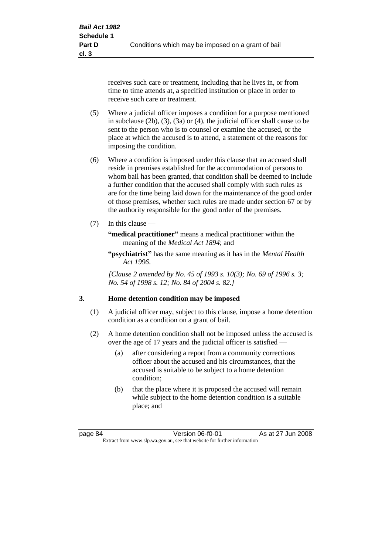receives such care or treatment, including that he lives in, or from time to time attends at, a specified institution or place in order to receive such care or treatment.

- (5) Where a judicial officer imposes a condition for a purpose mentioned in subclause (2b), (3), (3a) or (4), the judicial officer shall cause to be sent to the person who is to counsel or examine the accused, or the place at which the accused is to attend, a statement of the reasons for imposing the condition.
- (6) Where a condition is imposed under this clause that an accused shall reside in premises established for the accommodation of persons to whom bail has been granted, that condition shall be deemed to include a further condition that the accused shall comply with such rules as are for the time being laid down for the maintenance of the good order of those premises, whether such rules are made under section 67 or by the authority responsible for the good order of the premises.
- (7) In this clause —

**"medical practitioner"** means a medical practitioner within the meaning of the *Medical Act 1894*; and

**"psychiatrist"** has the same meaning as it has in the *Mental Health Act 1996*.

*[Clause 2 amended by No. 45 of 1993 s. 10(3); No. 69 of 1996 s. 3; No. 54 of 1998 s. 12; No. 84 of 2004 s. 82.]*

### **3. Home detention condition may be imposed**

- (1) A judicial officer may, subject to this clause, impose a home detention condition as a condition on a grant of bail.
- (2) A home detention condition shall not be imposed unless the accused is over the age of 17 years and the judicial officer is satisfied —
	- (a) after considering a report from a community corrections officer about the accused and his circumstances, that the accused is suitable to be subject to a home detention condition;
	- (b) that the place where it is proposed the accused will remain while subject to the home detention condition is a suitable place; and

page 84 Version 06-f0-01 As at 27 Jun 2008 Extract from www.slp.wa.gov.au, see that website for further information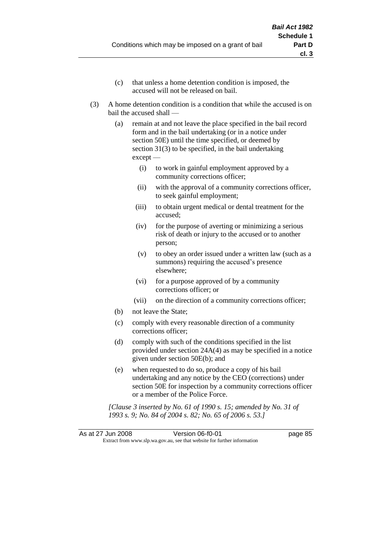- (c) that unless a home detention condition is imposed, the accused will not be released on bail.
- (3) A home detention condition is a condition that while the accused is on bail the accused shall —
	- (a) remain at and not leave the place specified in the bail record form and in the bail undertaking (or in a notice under section 50E) until the time specified, or deemed by section 31(3) to be specified, in the bail undertaking except —
		- (i) to work in gainful employment approved by a community corrections officer;
		- (ii) with the approval of a community corrections officer, to seek gainful employment;
		- (iii) to obtain urgent medical or dental treatment for the accused;
		- (iv) for the purpose of averting or minimizing a serious risk of death or injury to the accused or to another person;
		- (v) to obey an order issued under a written law (such as a summons) requiring the accused's presence elsewhere;
		- (vi) for a purpose approved of by a community corrections officer; or
		- (vii) on the direction of a community corrections officer;
	- (b) not leave the State;
	- (c) comply with every reasonable direction of a community corrections officer;
	- (d) comply with such of the conditions specified in the list provided under section 24A(4) as may be specified in a notice given under section 50E(b); and
	- (e) when requested to do so, produce a copy of his bail undertaking and any notice by the CEO (corrections) under section 50E for inspection by a community corrections officer or a member of the Police Force.

*[Clause 3 inserted by No. 61 of 1990 s. 15; amended by No. 31 of 1993 s. 9; No. 84 of 2004 s. 82; No. 65 of 2006 s. 53.]*

As at 27 Jun 2008 Version 06-f0-01 page 85 Extract from www.slp.wa.gov.au, see that website for further information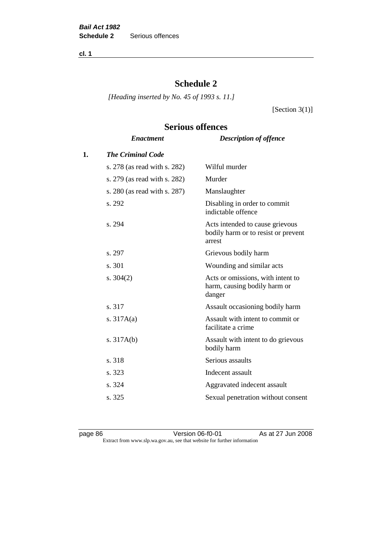**cl. 1**

# **Schedule 2**

*[Heading inserted by No. 45 of 1993 s. 11.]*

[Section  $3(1)$ ]

# *Enactment Description of offence* **1.** *The Criminal Code* s. 278 (as read with s. 282) Wilful murder s. 279 (as read with s. 282) Murder s. 280 (as read with s. 287) Manslaughter s. 292 Disabling in order to commit indictable offence s. 294 Acts intended to cause grievous bodily harm or to resist or prevent arrest s. 297 Grievous bodily harm s. 301 Wounding and similar acts s. 304(2) Acts or omissions, with intent to harm, causing bodily harm or danger s. 317 Assault occasioning bodily harm s. 317A(a) Assault with intent to commit or facilitate a crime s. 317A(b) Assault with intent to do grievous bodily harm s. 318 Serious assaults s. 323 Indecent assault s. 324 Aggravated indecent assault s. 325 Sexual penetration without consent

# **Serious offences**

page 86 Version 06-f0-01 As at 27 Jun 2008 Extract from www.slp.wa.gov.au, see that website for further information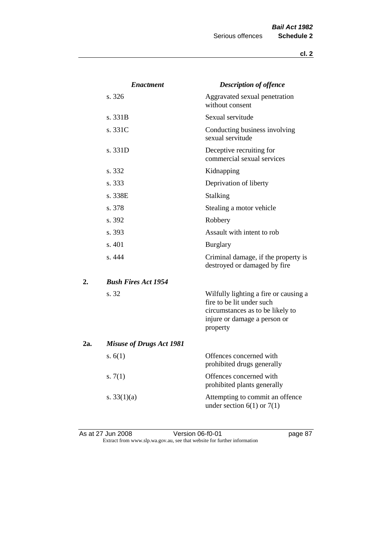|     | <b>Enactment</b>                | <b>Description of offence</b>                                                                                                                      |
|-----|---------------------------------|----------------------------------------------------------------------------------------------------------------------------------------------------|
|     | s.326                           | Aggravated sexual penetration<br>without consent                                                                                                   |
|     | s. 331B                         | Sexual servitude                                                                                                                                   |
|     | s. 331C                         | Conducting business involving<br>sexual servitude                                                                                                  |
|     | s. 331D                         | Deceptive recruiting for<br>commercial sexual services                                                                                             |
|     | s. 332                          | Kidnapping                                                                                                                                         |
|     | s. 333                          | Deprivation of liberty                                                                                                                             |
|     | s. 338E                         | Stalking                                                                                                                                           |
|     | s. 378                          | Stealing a motor vehicle                                                                                                                           |
|     | s. 392                          | Robbery                                                                                                                                            |
|     | s. 393                          | Assault with intent to rob                                                                                                                         |
|     | s.401                           | <b>Burglary</b>                                                                                                                                    |
|     | s. 444                          | Criminal damage, if the property is<br>destroyed or damaged by fire                                                                                |
| 2.  | <b>Bush Fires Act 1954</b>      |                                                                                                                                                    |
|     | s. 32                           | Wilfully lighting a fire or causing a<br>fire to be lit under such<br>circumstances as to be likely to<br>injure or damage a person or<br>property |
| 2a. | <b>Misuse of Drugs Act 1981</b> |                                                                                                                                                    |
|     | s. $6(1)$                       | Offences concerned with<br>prohibited drugs generally                                                                                              |
|     | s. $7(1)$                       | Offences concerned with<br>prohibited plants generally                                                                                             |
|     | s. $33(1)(a)$                   | Attempting to commit an offence<br>under section $6(1)$ or $7(1)$                                                                                  |

As at 27 Jun 2008 Version 06-f0-01 page 87 Extract from www.slp.wa.gov.au, see that website for further information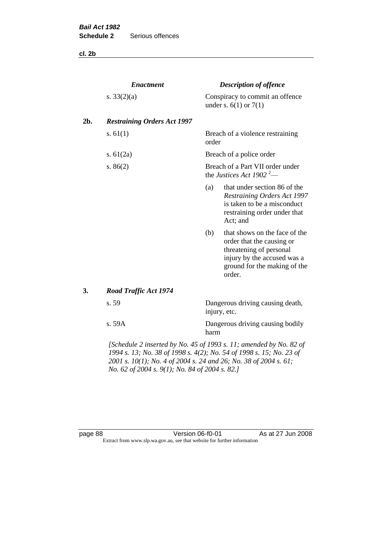**cl. 2b**

|     | <b>Enactment</b>                                                   |       | <b>Description of offence</b>                                                                                                                                  |
|-----|--------------------------------------------------------------------|-------|----------------------------------------------------------------------------------------------------------------------------------------------------------------|
|     | s. $33(2)(a)$                                                      |       | Conspiracy to commit an offence<br>under s. $6(1)$ or $7(1)$                                                                                                   |
| 2b. | <b>Restraining Orders Act 1997</b>                                 |       |                                                                                                                                                                |
|     | s. $61(1)$                                                         | order | Breach of a violence restraining                                                                                                                               |
|     | s. $61(2a)$                                                        |       | Breach of a police order                                                                                                                                       |
|     | s. $86(2)$                                                         |       | Breach of a Part VII order under<br>the Justices Act 1902 <sup>2</sup> —                                                                                       |
|     |                                                                    | (a)   | that under section 86 of the<br>Restraining Orders Act 1997<br>is taken to be a misconduct<br>restraining order under that<br>Act; and                         |
|     |                                                                    | (b)   | that shows on the face of the<br>order that the causing or<br>threatening of personal<br>injury by the accused was a<br>ground for the making of the<br>order. |
| 3.  | <b>Road Traffic Act 1974</b>                                       |       |                                                                                                                                                                |
|     | s. 59                                                              |       | Dangerous driving causing death,<br>injury, etc.                                                                                                               |
|     | s. 59A                                                             | harm  | Dangerous driving causing bodily                                                                                                                               |
|     | [Schedule 2 inserted by No. 45 of 1993 s. 11; amended by No. 82 of |       |                                                                                                                                                                |

*1994 s. 13; No. 38 of 1998 s. 4(2); No. 54 of 1998 s. 15; No. 23 of 2001 s. 10(1); No. 4 of 2004 s. 24 and 26; No. 38 of 2004 s. 61; No. 62 of 2004 s. 9(1); No. 84 of 2004 s. 82.]* 

page 88 Version 06-f0-01 As at 27 Jun 2008 Extract from www.slp.wa.gov.au, see that website for further information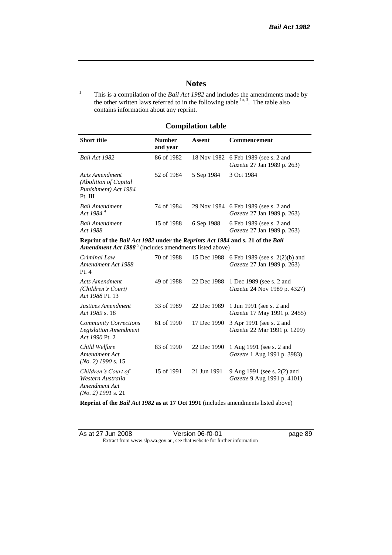page 89

# **Notes**

<sup>1</sup> This is a compilation of the *Bail Act 1982* and includes the amendments made by the other written laws referred to in the following table  $\frac{1}{a}$ , The table also contains information about any reprint.

# **Compilation table**

| <b>Short title</b>                                                                                                                                                        | <b>Number</b><br>and year | Assent     | Commencement                                                               |
|---------------------------------------------------------------------------------------------------------------------------------------------------------------------------|---------------------------|------------|----------------------------------------------------------------------------|
| Bail Act 1982                                                                                                                                                             | 86 of 1982                |            | 18 Nov 1982 6 Feb 1989 (see s. 2 and<br><i>Gazette</i> 27 Jan 1989 p. 263) |
| Acts Amendment<br>(Abolition of Capital)<br>Punishment) Act 1984<br>Pt. III                                                                                               | 52 of 1984                | 5 Sep 1984 | 3 Oct 1984                                                                 |
| <b>Bail Amendment</b><br>Act 1984 <sup>4</sup>                                                                                                                            | 74 of 1984                |            | 29 Nov 1984 6 Feb 1989 (see s. 2 and<br><i>Gazette</i> 27 Jan 1989 p. 263) |
| <b>Bail Amendment</b><br><i>Act 1988</i>                                                                                                                                  | 15 of 1988                | 6 Sep 1988 | 6 Feb 1989 (see s. 2 and<br><i>Gazette</i> 27 Jan 1989 p. 263)             |
| Reprint of the <i>Bail Act 1982</i> under the <i>Reprints Act 1984</i> and s. 21 of the <i>Bail</i><br>Amendment Act 1988 <sup>5</sup> (includes amendments listed above) |                           |            |                                                                            |
| Criminal Law                                                                                                                                                              | 70 of 1988                |            | 15 Dec 1988 6 Feb 1989 (see s. 2(2)(b) and<br>$C = 0.271 - 1000 - 25$      |

| U <i>riminai Law</i><br>Amendment Act 1988<br>Pt.4                                | 70 01 1900 |             | 1.3 Dec 1988 O Feb 1989 (see s. $2(2)(0)$ and<br><i>Gazette</i> 27 Jan 1989 p. 263) |
|-----------------------------------------------------------------------------------|------------|-------------|-------------------------------------------------------------------------------------|
| Acts Amendment<br>(Children's Court)<br>Act 1988 Pt. 13                           | 49 of 1988 |             | 22 Dec 1988 1 Dec 1989 (see s. 2 and<br><i>Gazette</i> 24 Nov 1989 p. 4327)         |
| Justices Amendment<br>Act 1989 s. 18                                              | 33 of 1989 | 22 Dec 1989 | 1 Jun 1991 (see s. 2 and<br><i>Gazette</i> 17 May 1991 p. 2455)                     |
| <b>Community Corrections</b><br><b>Legislation Amendment</b><br>Act 1990 Pt. 2    | 61 of 1990 | 17 Dec 1990 | 3 Apr 1991 (see s. 2 and<br><i>Gazette</i> 22 Mar 1991 p. 1209)                     |
| Child Welfare<br>Amendment Act<br>$(No. 2)$ 1990 s. 15                            | 83 of 1990 | 22 Dec 1990 | 1 Aug 1991 (see s. 2 and<br><i>Gazette</i> 1 Aug 1991 p. 3983)                      |
| Children's Court of<br>Western Australia<br>Amendment Act<br>$(No. 2)$ 1991 s. 21 | 15 of 1991 | 21 Jun 1991 | 9 Aug 1991 (see s. 2(2) and<br>Gazette 9 Aug 1991 p. 4101)                          |

**Reprint of the** *Bail Act 1982* **as at 17 Oct 1991** (includes amendments listed above)

| As at 27 Jun 2008 | Version 06-f0-01                                                         |
|-------------------|--------------------------------------------------------------------------|
|                   | Extract from www.slp.wa.gov.au, see that website for further information |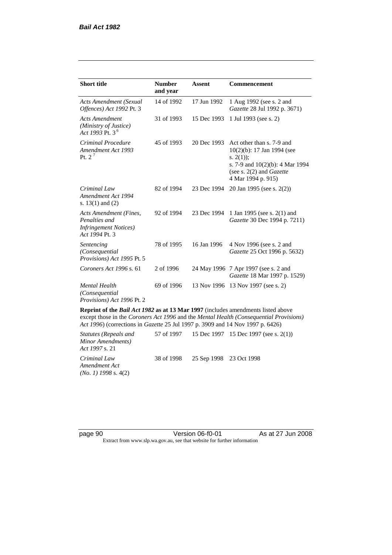| <b>Short title</b>                                                                         | <b>Number</b><br>and year | <b>Assent</b> | <b>Commencement</b>                                                                                                                                                        |
|--------------------------------------------------------------------------------------------|---------------------------|---------------|----------------------------------------------------------------------------------------------------------------------------------------------------------------------------|
| Acts Amendment (Sexual<br>Offences) Act 1992 Pt. 3                                         | 14 of 1992                | 17 Jun 1992   | 1 Aug 1992 (see s. 2 and<br>Gazette 28 Jul 1992 p. 3671)                                                                                                                   |
| <b>Acts Amendment</b><br>(Ministry of Justice)<br>Act 1993 Pt. 3 <sup>6</sup>              | 31 of 1993                | 15 Dec 1993   | 1 Jul 1993 (see s. 2)                                                                                                                                                      |
| Criminal Procedure<br>Amendment Act 1993<br>Pt. $2^7$                                      | 45 of 1993                | 20 Dec 1993   | Act other than s. 7-9 and<br>$10(2)(b)$ : 17 Jan 1994 (see<br>s. $2(1)$ ;<br>s. 7-9 and $10(2)(b)$ : 4 Mar 1994<br>(see s. $2(2)$ and <i>Gazette</i><br>4 Mar 1994 p. 915) |
| Criminal Law<br>Amendment Act 1994<br>s. $13(1)$ and $(2)$                                 | 82 of 1994                | 23 Dec 1994   | 20 Jan 1995 (see s. 2(2))                                                                                                                                                  |
| Acts Amendment (Fines,<br>Penalties and<br><b>Infringement Notices</b> )<br>Act 1994 Pt. 3 | 92 of 1994                | 23 Dec 1994   | 1 Jan 1995 (see s. 2(1) and<br>Gazette 30 Dec 1994 p. 7211)                                                                                                                |
| Sentencing<br>(Consequential<br>Provisions) Act 1995 Pt. 5                                 | 78 of 1995                | 16 Jan 1996   | 4 Nov 1996 (see s. 2 and<br><i>Gazette</i> 25 Oct 1996 p. 5632)                                                                                                            |
| Coroners Act 1996 s. 61                                                                    | 2 of 1996                 |               | 24 May 1996 7 Apr 1997 (see s. 2 and<br>Gazette 18 Mar 1997 p. 1529)                                                                                                       |
| <b>Mental Health</b><br>(Consequential<br>Provisions) Act 1996 Pt. 2                       | 69 of 1996                | 13 Nov 1996   | 13 Nov 1997 (see s. 2)                                                                                                                                                     |

**Reprint of the** *Bail Act 1982* **as at 13 Mar 1997** (includes amendments listed above except those in the *Coroners Act 1996* and the *Mental Health (Consequential Provisions) Act 1996*) (corrections in *Gazette* 25 Jul 1997 p. 3909 and 14 Nov 1997 p. 6426)

*Statutes (Repeals and Minor Amendments) Act 1997* s. 21 57 of 1997 15 Dec 1997 15 Dec 1997 (see s. 2(1)) *Criminal Law Amendment Act (No. 1) 1998* s. 4(2) 38 of 1998 25 Sep 1998 23 Oct 1998

page 90 Version 06-f0-01 As at 27 Jun 2008 Extract from www.slp.wa.gov.au, see that website for further information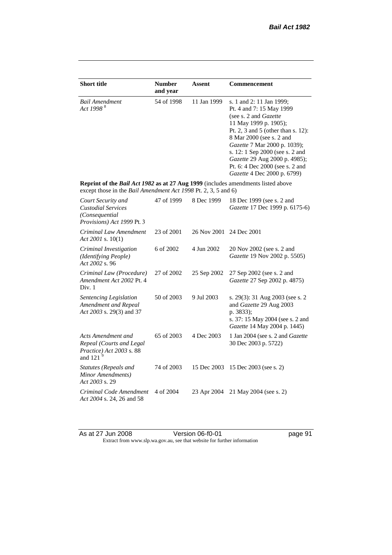| <b>Short title</b>                                                                                                                                 | <b>Number</b><br>and year | <b>Assent</b> | <b>Commencement</b>                                                                                                                                                                                                                                                                                                                                     |
|----------------------------------------------------------------------------------------------------------------------------------------------------|---------------------------|---------------|---------------------------------------------------------------------------------------------------------------------------------------------------------------------------------------------------------------------------------------------------------------------------------------------------------------------------------------------------------|
| <b>Bail Amendment</b><br>Act 1998 <sup>8</sup>                                                                                                     | 54 of 1998                | 11 Jan 1999   | s. 1 and 2: 11 Jan 1999;<br>Pt. 4 and 7: 15 May 1999<br>(see s. 2 and <i>Gazette</i> )<br>11 May 1999 p. 1905);<br>Pt. 2, 3 and 5 (other than s. 12):<br>8 Mar 2000 (see s. 2 and<br>Gazette 7 Mar 2000 p. 1039);<br>s. 12: 1 Sep 2000 (see s. 2 and<br>Gazette 29 Aug 2000 p. 4985);<br>Pt. 6: 4 Dec 2000 (see s. 2 and<br>Gazette 4 Dec 2000 p. 6799) |
| Reprint of the Bail Act 1982 as at 27 Aug 1999 (includes amendments listed above<br>except those in the Bail Amendment Act 1998 Pt. 2, 3, 5 and 6) |                           |               |                                                                                                                                                                                                                                                                                                                                                         |
| Court Security and<br><b>Custodial Services</b><br>(Consequential)<br>Provisions) Act 1999 Pt. 3                                                   | 47 of 1999                | 8 Dec 1999    | 18 Dec 1999 (see s. 2 and<br>Gazette 17 Dec 1999 p. 6175-6)                                                                                                                                                                                                                                                                                             |
| Criminal Law Amendment<br>Act 2001 s. $10(1)$                                                                                                      | 23 of 2001                | 26 Nov 2001   | 24 Dec 2001                                                                                                                                                                                                                                                                                                                                             |
| Criminal Investigation<br>(Identifying People)<br>Act 2002 s. 96                                                                                   | 6 of 2002                 | 4 Jun 2002    | 20 Nov 2002 (see s. 2 and<br>Gazette 19 Nov 2002 p. 5505)                                                                                                                                                                                                                                                                                               |
| Criminal Law (Procedure)<br>Amendment Act 2002 Pt. 4<br>Div. 1                                                                                     | 27 of 2002                | 25 Sep 2002   | 27 Sep 2002 (see s. 2 and<br>Gazette 27 Sep 2002 p. 4875)                                                                                                                                                                                                                                                                                               |
| Sentencing Legislation<br>Amendment and Repeal<br>Act 2003 s. 29(3) and 37                                                                         | 50 of 2003                | 9 Jul 2003    | s. 29(3): 31 Aug 2003 (see s. 2<br>and Gazette 29 Aug 2003<br>p. 3833);<br>s. 37: 15 May 2004 (see s. 2 and<br>Gazette 14 May 2004 p. 1445)                                                                                                                                                                                                             |
| Acts Amendment and<br>Repeal (Courts and Legal<br>Practice) Act 2003 s. 88<br>and 121 $^{9}$                                                       | 65 of 2003                | 4 Dec 2003    | 1 Jan 2004 (see s. 2 and <i>Gazette</i><br>30 Dec 2003 p. 5722)                                                                                                                                                                                                                                                                                         |
| Statutes (Repeals and<br>Minor Amendments)<br>Act 2003 s. 29                                                                                       | 74 of 2003                | 15 Dec 2003   | 15 Dec 2003 (see s. 2)                                                                                                                                                                                                                                                                                                                                  |
| Criminal Code Amendment<br>Act 2004 s. 24, 26 and 58                                                                                               | 4 of 2004                 | 23 Apr 2004   | 21 May 2004 (see s. 2)                                                                                                                                                                                                                                                                                                                                  |

As at 27 Jun 2008 Version 06-f0-01 page 91 Extract from www.slp.wa.gov.au, see that website for further information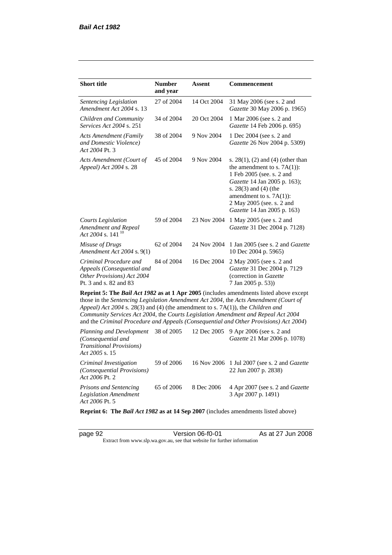*Act 2006* Pt. 2

| <b>Short title</b>                                                                                                                                                   | <b>Number</b><br>and year | Assent      | <b>Commencement</b>                                                                                                                                                                                                                                                     |
|----------------------------------------------------------------------------------------------------------------------------------------------------------------------|---------------------------|-------------|-------------------------------------------------------------------------------------------------------------------------------------------------------------------------------------------------------------------------------------------------------------------------|
| Sentencing Legislation<br>Amendment Act 2004 s. 13                                                                                                                   | 27 of 2004                | 14 Oct 2004 | 31 May 2006 (see s. 2 and<br>Gazette 30 May 2006 p. 1965)                                                                                                                                                                                                               |
| Children and Community<br>Services Act 2004 s. 251                                                                                                                   | 34 of 2004                | 20 Oct 2004 | 1 Mar 2006 (see s. 2 and<br>Gazette 14 Feb 2006 p. 695)                                                                                                                                                                                                                 |
| <b>Acts Amendment (Family</b><br>and Domestic Violence)<br>Act 2004 Pt. 3                                                                                            | 38 of 2004                | 9 Nov 2004  | 1 Dec 2004 (see s. 2 and<br>Gazette 26 Nov 2004 p. 5309)                                                                                                                                                                                                                |
| Acts Amendment (Court of<br>Appeal) Act 2004 s. 28                                                                                                                   | 45 of 2004                | 9 Nov 2004  | s. $28(1)$ , (2) and (4) (other than<br>the amendment to s. $7A(1)$ :<br>1 Feb 2005 (see. s. 2 and<br>Gazette 14 Jan 2005 p. 163);<br>s. 28(3) and (4) (the<br>amendment to s. $7A(1)$ :<br>2 May 2005 (see. s. 2 and<br>Gazette 14 Jan 2005 p. 163)                    |
| <b>Courts Legislation</b><br>Amendment and Repeal<br>Act 2004 s. 141 <sup>10</sup>                                                                                   | 59 of 2004                | 23 Nov 2004 | 1 May 2005 (see s. 2 and<br>Gazette 31 Dec 2004 p. 7128)                                                                                                                                                                                                                |
| Misuse of Drugs<br>Amendment Act 2004 s. 9(1)                                                                                                                        | 62 of 2004                | 24 Nov 2004 | 1 Jan 2005 (see s. 2 and <i>Gazette</i><br>10 Dec 2004 p. 5965)                                                                                                                                                                                                         |
| Criminal Procedure and<br>Appeals (Consequential and<br>Other Provisions) Act 2004<br>Pt. 3 and s. 82 and 83                                                         | 84 of 2004                | 16 Dec 2004 | 2 May 2005 (see s. 2 and<br>Gazette 31 Dec 2004 p. 7129<br>(correction in Gazette<br>7 Jan 2005 p. 53))                                                                                                                                                                 |
| Appeal) Act 2004 s. 28(3) and (4) (the amendment to s. 7A(1)), the Children and<br>Community Services Act 2004, the Courts Legislation Amendment and Repeal Act 2004 |                           |             | Reprint 5: The Bail Act 1982 as at 1 Apr 2005 (includes amendments listed above except<br>those in the Sentencing Legislation Amendment Act 2004, the Acts Amendment (Court of<br>and the Criminal Procedure and Appeals (Consequential and Other Provisions) Act 2004) |
| Planning and Development<br>(Consequential and<br><b>Transitional Provisions)</b><br>Act 2005 s. 15                                                                  | 38 of 2005                | 12 Dec 2005 | 9 Apr 2006 (see s. 2 and<br>Gazette 21 Mar 2006 p. 1078)                                                                                                                                                                                                                |
| Criminal Investigation<br>(Consequential Provisions)                                                                                                                 | 59 of 2006                | 16 Nov 2006 | 1 Jul 2007 (see s. 2 and <i>Gazette</i><br>22 Jun 2007 p. 2838)                                                                                                                                                                                                         |

*Prisons and Sentencing Legislation Amendment Act 2006* Pt. 5 65 of 2006 8 Dec 2006 4 Apr 2007 (see s. 2 and *Gazette* 3 Apr 2007 p. 1491)

**Reprint 6: The** *Bail Act 1982* **as at 14 Sep 2007** (includes amendments listed above)

page 92 Version 06-f0-01 As at 27 Jun 2008 Extract from www.slp.wa.gov.au, see that website for further information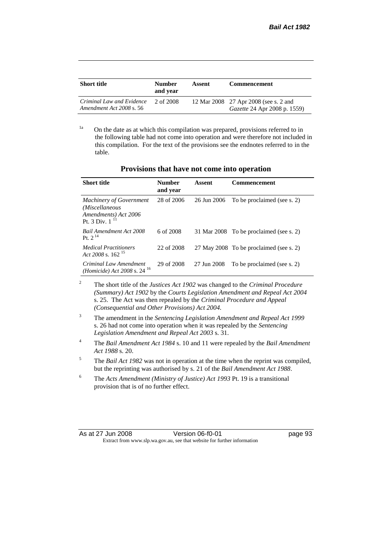| <b>Short title</b>                                    | <b>Number</b><br>and vear | Assent | <b>Commencement</b>                                                          |
|-------------------------------------------------------|---------------------------|--------|------------------------------------------------------------------------------|
| Criminal Law and Evidence<br>Amendment Act 2008 s. 56 | 2 of 2008                 |        | 12 Mar 2008 27 Apr 2008 (see s. 2 and<br><i>Gazette</i> 24 Apr 2008 p. 1559) |

<sup>1a</sup> On the date as at which this compilation was prepared, provisions referred to in the following table had not come into operation and were therefore not included in this compilation. For the text of the provisions see the endnotes referred to in the table.

| <b>Short title</b>                                                                           | <b>Number</b><br>and year | Assent      | <b>Commencement</b>                     |
|----------------------------------------------------------------------------------------------|---------------------------|-------------|-----------------------------------------|
| <b>Machinery of Government</b><br>(Miscellaneous<br>Amendments) Act 2006<br>Pt. 3 Div. $111$ | 28 of 2006                | 26 Jun 2006 | To be proclaimed (see s. 2)             |
| <b>Bail Amendment Act 2008</b><br>Pt. $2^{14}$                                               | 6 of 2008                 |             | 31 Mar 2008 To be proclaimed (see s. 2) |
| <b>Medical Practitioners</b><br>Act 2008 s. $162^{15}$                                       | 22 of 2008                |             | 27 May 2008 To be proclaimed (see s. 2) |
| Criminal Law Amendment<br>( <i>Homicide</i> ) Act 2008 s. 24 <sup>16</sup>                   | 29 of 2008                | 27 Jun 2008 | To be proclaimed (see s. 2)             |

**Provisions that have not come into operation**

<sup>2</sup> The short title of the *Justices Act 1902* was changed to the *Criminal Procedure (Summary) Act 1902* by the *Courts Legislation Amendment and Repeal Act 2004*  s. 25. The Act was then repealed by the *Criminal Procedure and Appeal (Consequential and Other Provisions) Act 2004.*

- <sup>3</sup> The amendment in the *Sentencing Legislation Amendment and Repeal Act 1999* s. 26 had not come into operation when it was repealed by the *Sentencing Legislation Amendment and Repeal Act 2003* s. 31.
- <sup>4</sup> The *Bail Amendment Act 1984* s. 10 and 11 were repealed by the *Bail Amendment Act 1988* s. 20.
- <sup>5</sup> The *Bail Act 1982* was not in operation at the time when the reprint was compiled, but the reprinting was authorised by s. 21 of the *Bail Amendment Act 1988*.
- <sup>6</sup> The *Acts Amendment (Ministry of Justice) Act 1993* Pt. 19 is a transitional provision that is of no further effect.

| As at 27 Jun 2008 | Version 06-f0-01                                                         |
|-------------------|--------------------------------------------------------------------------|
|                   | Extract from www.slp.wa.gov.au, see that website for further information |

page 93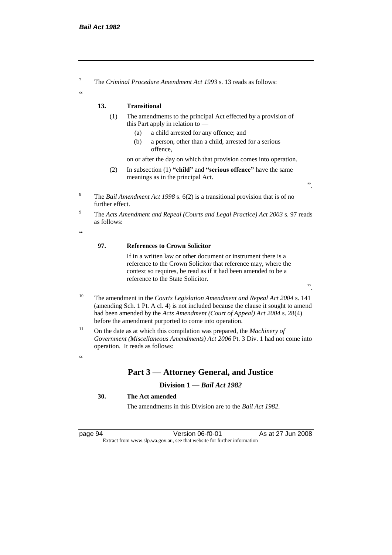<sup>7</sup> The *Criminal Procedure Amendment Act 1993* s. 13 reads as follows:

#### **13. Transitional**

- (1) The amendments to the principal Act effected by a provision of this Part apply in relation to —
	- (a) a child arrested for any offence; and
	- (b) a person, other than a child, arrested for a serious offence,

on or after the day on which that provision comes into operation.

- (2) In subsection (1) **"child"** and **"serious offence"** have the same meanings as in the principal Act.
- <sup>8</sup> The *Bail Amendment Act 1998* s. 6(2) is a transitional provision that is of no further effect.
- <sup>9</sup> The *Acts Amendment and Repeal (Courts and Legal Practice) Act 2003* s. 97 reads as follows:

 $\epsilon$ 

 $\alpha$ 

#### **97. References to Crown Solicitor**

If in a written law or other document or instrument there is a reference to the Crown Solicitor that reference may, where the context so requires, be read as if it had been amended to be a reference to the State Solicitor.

".

".

- <sup>10</sup> The amendment in the *Courts Legislation Amendment and Repeal Act 2004* s. 141 (amending Sch. 1 Pt. A cl. 4) is not included because the clause it sought to amend had been amended by the *Acts Amendment (Court of Appeal) Act 2004* s. 28(4) before the amendment purported to come into operation.
- <sup>11</sup> On the date as at which this compilation was prepared, the *Machinery of Government (Miscellaneous Amendments) Act 2006* Pt. 3 Div. 1 had not come into operation. It reads as follows:

#### $\alpha$

## **Part 3 — Attorney General, and Justice**

#### **Division 1 —** *Bail Act 1982*

#### **30. The Act amended**

The amendments in this Division are to the *Bail Act 1982*.

page 94 Version 06-f0-01 As at 27 Jun 2008 Extract from www.slp.wa.gov.au, see that website for further information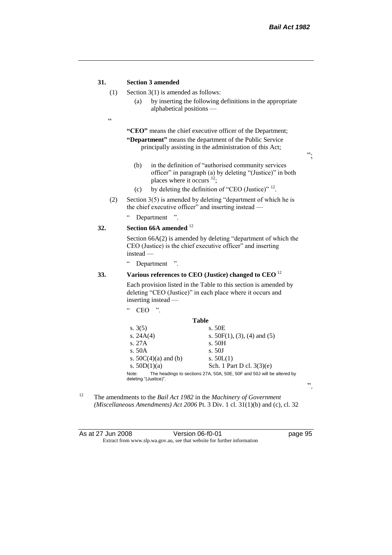#### **31. Section 3 amended**

- (1) Section 3(1) is amended as follows:
	- (a) by inserting the following definitions in the appropriate alphabetical positions —
- $\epsilon$

**"CEO"** means the chief executive officer of the Department; **"Department"** means the department of the Public Service principally assisting in the administration of this Act;

";

- (b) in the definition of "authorised community services officer" in paragraph (a) by deleting "(Justice)" in both places where it occurs <sup>12</sup>;
- (c) by deleting the definition of "CEO (Justice)"  $^{12}$ .
- (2) Section  $3(5)$  is amended by deleting "department of which he is the chief executive officer" and inserting instead —
	- " Department ".

### **32. Section 66A amended** <sup>12</sup>

Section 66A(2) is amended by deleting "department of which the CEO (Justice) is the chief executive officer" and inserting instead —

" Department ".

 $CEO$  "

#### **33. Various references to CEO (Justice) changed to CEO** <sup>12</sup>

Each provision listed in the Table to this section is amended by deleting "CEO (Justice)" in each place where it occurs and inserting instead —

|                                | Table                                                                  |
|--------------------------------|------------------------------------------------------------------------|
| s. $3(5)$                      | s. 50E                                                                 |
| s. $24A(4)$                    | s. $50F(1)$ , (3), (4) and (5)                                         |
| s. 27A                         | s. 50H                                                                 |
| s.50A                          | s.50J                                                                  |
| s. $50C(4)(a)$ and (b)         | s. $50L(1)$                                                            |
| s. $50D(1)(a)$                 | Sch. 1 Part D cl. $3(3)(e)$                                            |
| Note:<br>deleting "(Justice)". | The headings to sections 27A, 50A, 50E, 50F and 50J will be altered by |

<sup>12</sup> The amendments to the *Bail Act 1982* in the *Machinery of Government (Miscellaneous Amendments) Act 2006* Pt. 3 Div. 1 cl. 31(1)(b) and (c), cl. 32

| As at 27 Jun 2008 | Version 06-f0-01                                                         |
|-------------------|--------------------------------------------------------------------------|
|                   | Extract from www.slp.wa.gov.au, see that website for further information |

".

page 95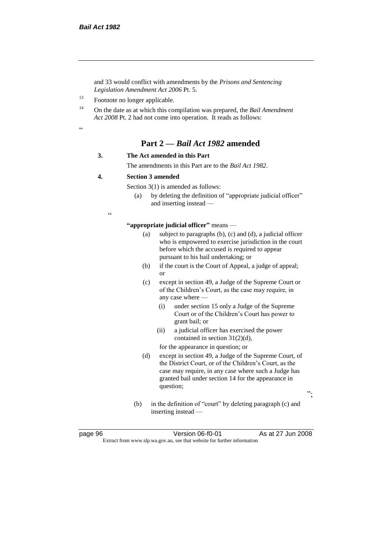and 33 would conflict with amendments by the *Prisons and Sentencing Legislation Amendment Act 2006* Pt. 5.

<sup>13</sup> Footnote no longer applicable.

<sup>14</sup> On the date as at which this compilation was prepared, the *Bail Amendment Act 2008* Pt. 2 had not come into operation. It reads as follows:

.<br>.<br>.

# **Part 2 —** *Bail Act 1982* **amended**

#### **3. The Act amended in this Part**

The amendments in this Part are to the *Bail Act 1982*.

#### **4. Section 3 amended**

Section 3(1) is amended as follows:

(a) by deleting the definition of "appropriate judicial officer" and inserting instead —

 $\epsilon$ 

**"appropriate judicial officer"** means —

- (a) subject to paragraphs (b), (c) and (d), a judicial officer who is empowered to exercise jurisdiction in the court before which the accused is required to appear pursuant to his bail undertaking; or
- (b) if the court is the Court of Appeal, a judge of appeal; or
- (c) except in section 49, a Judge of the Supreme Court or of the Children's Court, as the case may require, in any case where —
	- (i) under section 15 only a Judge of the Supreme Court or of the Children's Court has power to grant bail; or
	- (ii) a judicial officer has exercised the power contained in section 31(2)(d),

for the appearance in question; or

- (d) except in section 49, a Judge of the Supreme Court, of the District Court, or of the Children's Court, as the case may require, in any case where such a Judge has granted bail under section 14 for the appearance in question;
- ";
- (b) in the definition of "court" by deleting paragraph (c) and inserting instead —

page 96 Version 06-f0-01 As at 27 Jun 2008 Extract from www.slp.wa.gov.au, see that website for further information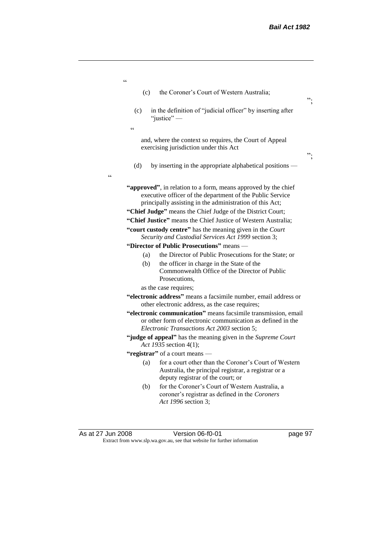| $\epsilon$                                        |                                                                                                                                                                                         |         |
|---------------------------------------------------|-----------------------------------------------------------------------------------------------------------------------------------------------------------------------------------------|---------|
| (c)                                               | the Coroner's Court of Western Australia;                                                                                                                                               | ".      |
| (c)                                               | in the definition of "judicial officer" by inserting after<br>"justice" $-$                                                                                                             |         |
| $\boldsymbol{\varsigma}$ $\boldsymbol{\varsigma}$ |                                                                                                                                                                                         |         |
|                                                   | and, where the context so requires, the Court of Appeal<br>exercising jurisdiction under this Act                                                                                       | ".      |
| (d)<br>cc                                         | by inserting in the appropriate alphabetical positions —                                                                                                                                |         |
|                                                   | "approved", in relation to a form, means approved by the chief<br>executive officer of the department of the Public Service<br>principally assisting in the administration of this Act; |         |
|                                                   | "Chief Judge" means the Chief Judge of the District Court;                                                                                                                              |         |
|                                                   | "Chief Justice" means the Chief Justice of Western Australia;                                                                                                                           |         |
|                                                   | "court custody centre" has the meaning given in the Court<br>Security and Custodial Services Act 1999 section 3;                                                                        |         |
|                                                   | "Director of Public Prosecutions" means -                                                                                                                                               |         |
| (a)                                               | the Director of Public Prosecutions for the State; or                                                                                                                                   |         |
| (b)                                               | the officer in charge in the State of the<br>Commonwealth Office of the Director of Public<br>Prosecutions,                                                                             |         |
|                                                   | as the case requires;                                                                                                                                                                   |         |
|                                                   | "electronic address" means a facsimile number, email address or<br>other electronic address, as the case requires;                                                                      |         |
|                                                   | "electronic communication" means facsimile transmission, email<br>or other form of electronic communication as defined in the<br>Electronic Transactions Act 2003 section 5;            |         |
|                                                   | "judge of appeal" has the meaning given in the Supreme Court<br>Act 1935 section 4(1);                                                                                                  |         |
|                                                   | "registrar" of a court means —                                                                                                                                                          |         |
| (a)                                               | for a court other than the Coroner's Court of Western<br>Australia, the principal registrar, a registrar or a<br>deputy registrar of the court; or                                      |         |
| (b)                                               | for the Coroner's Court of Western Australia, a<br>coroner's registrar as defined in the Coroners<br>Act 1996 section 3;                                                                |         |
| As at 27 Jun 2008                                 | Version 06-f0-01                                                                                                                                                                        | page 97 |

Extract from www.slp.wa.gov.au, see that website for further information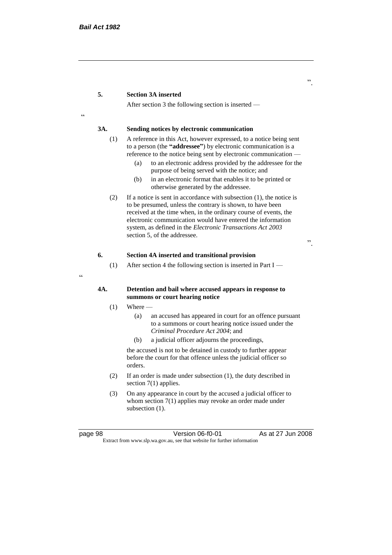#### **5. Section 3A inserted**

After section 3 the following section is inserted —

<u>،</u>

#### **3A. Sending notices by electronic communication**

- (1) A reference in this Act, however expressed, to a notice being sent to a person (the **"addressee"**) by electronic communication is a reference to the notice being sent by electronic communication —
	- (a) to an electronic address provided by the addressee for the purpose of being served with the notice; and
	- (b) in an electronic format that enables it to be printed or otherwise generated by the addressee.
- (2) If a notice is sent in accordance with subsection (1), the notice is to be presumed, unless the contrary is shown, to have been received at the time when, in the ordinary course of events, the electronic communication would have entered the information system, as defined in the *Electronic Transactions Act 2003* section 5, of the addressee.

".

#### **6. Section 4A inserted and transitional provision**

(1) After section 4 the following section is inserted in Part I —

#### **4A. Detention and bail where accused appears in response to summons or court hearing notice**

- $(1)$  Where
	- (a) an accused has appeared in court for an offence pursuant to a summons or court hearing notice issued under the *Criminal Procedure Act 2004*; and
	- (b) a judicial officer adjourns the proceedings,

the accused is not to be detained in custody to further appear before the court for that offence unless the judicial officer so orders.

- (2) If an order is made under subsection (1), the duty described in section 7(1) applies.
- (3) On any appearance in court by the accused a judicial officer to whom section 7(1) applies may revoke an order made under subsection  $(1)$ .

page 98 Version 06-f0-01 As at 27 Jun 2008 Extract from www.slp.wa.gov.au, see that website for further information

 $\epsilon$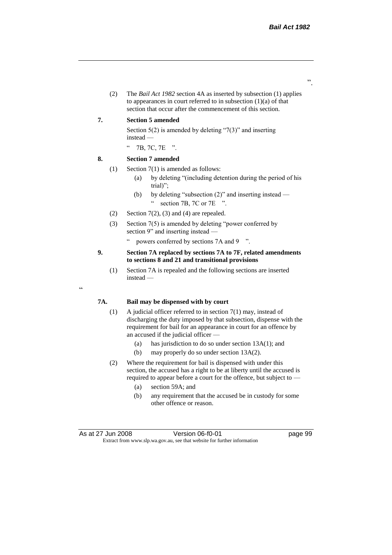".

(2) The *Bail Act 1982* section 4A as inserted by subsection (1) applies to appearances in court referred to in subsection  $(1)(a)$  of that section that occur after the commencement of this section.

#### **7. Section 5 amended**

Section  $5(2)$  is amended by deleting "7(3)" and inserting instead —

" 7B, 7C, 7E ".

#### **8. Section 7 amended**

"

- (1) Section 7(1) is amended as follows:
	- (a) by deleting "(including detention during the period of his trial)";
	- (b) by deleting "subsection (2)" and inserting instead " section 7B, 7C or 7E ".
- (2) Section  $7(2)$ , (3) and (4) are repealed.
- (3) Section 7(5) is amended by deleting "power conferred by section 9" and inserting instead —
	- " powers conferred by sections 7A and 9 ".

#### **9. Section 7A replaced by sections 7A to 7F, related amendments to sections 8 and 21 and transitional provisions**

(1) Section 7A is repealed and the following sections are inserted instead —

#### **7A. Bail may be dispensed with by court**

- (1) A judicial officer referred to in section 7(1) may, instead of discharging the duty imposed by that subsection, dispense with the requirement for bail for an appearance in court for an offence by an accused if the judicial officer —
	- (a) has jurisdiction to do so under section 13A(1); and
	- (b) may properly do so under section 13A(2).
- (2) Where the requirement for bail is dispensed with under this section, the accused has a right to be at liberty until the accused is required to appear before a court for the offence, but subject to —
	- (a) section 59A; and
	- (b) any requirement that the accused be in custody for some other offence or reason.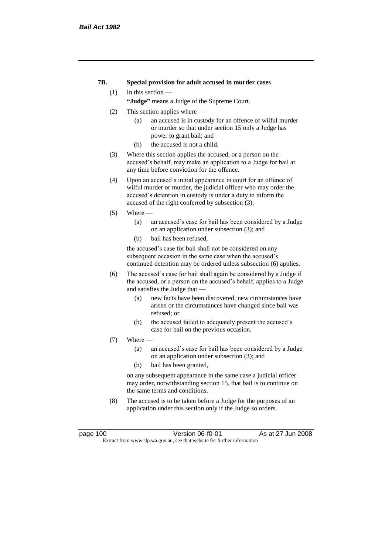#### **7B. Special provision for adult accused in murder cases**

#### (1) In this section —

**"Judge"** means a Judge of the Supreme Court.

- (2) This section applies where
	- (a) an accused is in custody for an offence of wilful murder or murder so that under section 15 only a Judge has power to grant bail; and
	- (b) the accused is not a child.
- (3) Where this section applies the accused, or a person on the accused's behalf, may make an application to a Judge for bail at any time before conviction for the offence.
- (4) Upon an accused's initial appearance in court for an offence of wilful murder or murder, the judicial officer who may order the accused's detention in custody is under a duty to inform the accused of the right conferred by subsection (3).
- $(5)$  Where
	- (a) an accused's case for bail has been considered by a Judge on an application under subsection (3); and
	- (b) bail has been refused,

the accused's case for bail shall not be considered on any subsequent occasion in the same case when the accused's continued detention may be ordered unless subsection (6) applies.

- (6) The accused's case for bail shall again be considered by a Judge if the accused, or a person on the accused's behalf, applies to a Judge and satisfies the Judge that —
	- (a) new facts have been discovered, new circumstances have arisen or the circumstances have changed since bail was refused; or
	- (b) the accused failed to adequately present the accused's case for bail on the previous occasion.
- $(7)$  Where  $-$ 
	- (a) an accused's case for bail has been considered by a Judge on an application under subsection (3); and
	- (b) bail has been granted,

on any subsequent appearance in the same case a judicial officer may order, notwithstanding section 15, that bail is to continue on the same terms and conditions.

(8) The accused is to be taken before a Judge for the purposes of an application under this section only if the Judge so orders.

page 100 Version 06-f0-01 As at 27 Jun 2008 Extract from www.slp.wa.gov.au, see that website for further information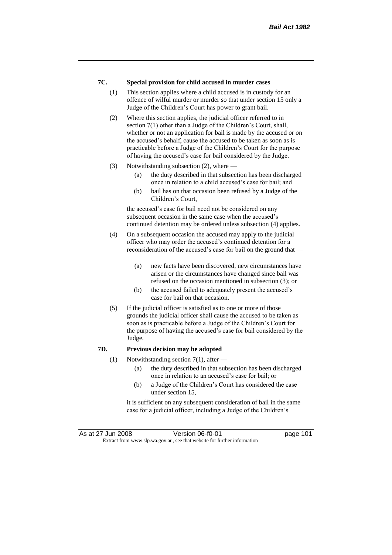# **7C. Special provision for child accused in murder cases**

- (1) This section applies where a child accused is in custody for an offence of wilful murder or murder so that under section 15 only a Judge of the Children's Court has power to grant bail.
- (2) Where this section applies, the judicial officer referred to in section 7(1) other than a Judge of the Children's Court, shall, whether or not an application for bail is made by the accused or on the accused's behalf, cause the accused to be taken as soon as is practicable before a Judge of the Children's Court for the purpose of having the accused's case for bail considered by the Judge.
- (3) Notwithstanding subsection (2), where
	- (a) the duty described in that subsection has been discharged once in relation to a child accused's case for bail; and
	- (b) bail has on that occasion been refused by a Judge of the Children's Court,

the accused's case for bail need not be considered on any subsequent occasion in the same case when the accused's continued detention may be ordered unless subsection (4) applies.

- (4) On a subsequent occasion the accused may apply to the judicial officer who may order the accused's continued detention for a reconsideration of the accused's case for bail on the ground that —
	- (a) new facts have been discovered, new circumstances have arisen or the circumstances have changed since bail was refused on the occasion mentioned in subsection (3); or
	- (b) the accused failed to adequately present the accused's case for bail on that occasion.
- (5) If the judicial officer is satisfied as to one or more of those grounds the judicial officer shall cause the accused to be taken as soon as is practicable before a Judge of the Children's Court for the purpose of having the accused's case for bail considered by the Judge.

# **7D. Previous decision may be adopted**

- (1) Notwithstanding section 7(1), after  $-$ 
	- (a) the duty described in that subsection has been discharged once in relation to an accused's case for bail; or
	- (b) a Judge of the Children's Court has considered the case under section 15,

it is sufficient on any subsequent consideration of bail in the same case for a judicial officer, including a Judge of the Children's

As at 27 Jun 2008 Version 06-f0-01 Page 101 Extract from www.slp.wa.gov.au, see that website for further information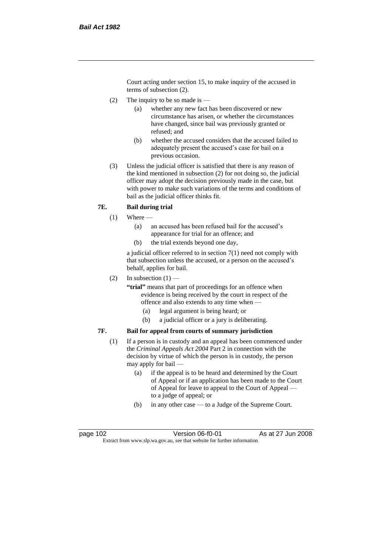Court acting under section 15, to make inquiry of the accused in terms of subsection (2).

- (2) The inquiry to be so made is  $-$ 
	- (a) whether any new fact has been discovered or new circumstance has arisen, or whether the circumstances have changed, since bail was previously granted or refused; and
	- (b) whether the accused considers that the accused failed to adequately present the accused's case for bail on a previous occasion.
- (3) Unless the judicial officer is satisfied that there is any reason of the kind mentioned in subsection (2) for not doing so, the judicial officer may adopt the decision previously made in the case, but with power to make such variations of the terms and conditions of bail as the judicial officer thinks fit.

# **7E. Bail during trial**

- $(1)$  Where
	- (a) an accused has been refused bail for the accused's appearance for trial for an offence; and
	- (b) the trial extends beyond one day,

a judicial officer referred to in section 7(1) need not comply with that subsection unless the accused, or a person on the accused's behalf, applies for bail.

(2) In subsection  $(1)$  —

**"trial"** means that part of proceedings for an offence when evidence is being received by the court in respect of the offence and also extends to any time when —

- (a) legal argument is being heard; or
- (b) a judicial officer or a jury is deliberating.

# **7F. Bail for appeal from courts of summary jurisdiction**

- (1) If a person is in custody and an appeal has been commenced under the *Criminal Appeals Act 2004* Part 2 in connection with the decision by virtue of which the person is in custody, the person may apply for bail —
	- (a) if the appeal is to be heard and determined by the Court of Appeal or if an application has been made to the Court of Appeal for leave to appeal to the Court of Appeal to a judge of appeal; or
	- (b) in any other case to a Judge of the Supreme Court.

page 102 Version 06-f0-01 As at 27 Jun 2008 Extract from www.slp.wa.gov.au, see that website for further information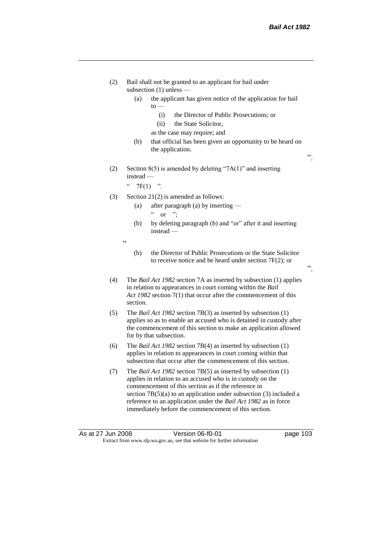".

".

- (2) Bail shall not be granted to an applicant for bail under subsection (1) unless —
	- (a) the applicant has given notice of the application for bail to —
		- (i) the Director of Public Prosecutions; or
		- (ii) the State Solicitor,
		- as the case may require; and
	- (b) that official has been given an opportunity to be heard on the application.
- (2) Section  $8(5)$  is amended by deleting "7A(1)" and inserting instead —

"  $7F(1)$  ".

.<br>.<br>.

- (3) Section 21(2) is amended as follows:
	- (a) after paragraph (a) by inserting  $\alpha$  or ";
	- (b) by deleting paragraph (b) and "or" after it and inserting instead —
	- (b) the Director of Public Prosecutions or the State Solicitor to receive notice and be heard under section 7F(2); or
- (4) The *Bail Act 1982* section 7A as inserted by subsection (1) applies in relation to appearances in court coming within the *Bail Act 1982* section 7(1) that occur after the commencement of this section.
- (5) The *Bail Act 1982* section 7B(3) as inserted by subsection (1) applies so as to enable an accused who is detained in custody after the commencement of this section to make an application allowed for by that subsection.
- (6) The *Bail Act 1982* section 7B(4) as inserted by subsection (1) applies in relation to appearances in court coming within that subsection that occur after the commencement of this section.
- (7) The *Bail Act 1982* section 7B(5) as inserted by subsection (1) applies in relation to an accused who is in custody on the commencement of this section as if the reference in section 7B(5)(a) to an application under subsection (3) included a reference to an application under the *Bail Act 1982* as in force immediately before the commencement of this section.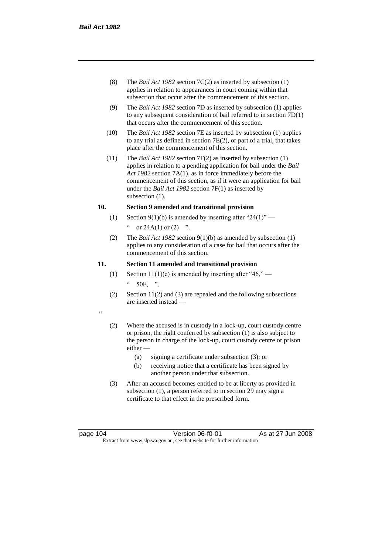- (8) The *Bail Act 1982* section 7C(2) as inserted by subsection (1) applies in relation to appearances in court coming within that subsection that occur after the commencement of this section.
- (9) The *Bail Act 1982* section 7D as inserted by subsection (1) applies to any subsequent consideration of bail referred to in section 7D(1) that occurs after the commencement of this section.
- (10) The *Bail Act 1982* section 7E as inserted by subsection (1) applies to any trial as defined in section 7E(2), or part of a trial, that takes place after the commencement of this section.
- (11) The *Bail Act 1982* section 7F(2) as inserted by subsection (1) applies in relation to a pending application for bail under the *Bail Act 1982* section 7A(1), as in force immediately before the commencement of this section, as if it were an application for bail under the *Bail Act 1982* section 7F(1) as inserted by subsection  $(1)$ .

# **10. Section 9 amended and transitional provision**

- (1) Section 9(1)(b) is amended by inserting after "24(1)" " or  $24A(1)$  or  $(2)$  ".
- (2) The *Bail Act 1982* section 9(1)(b) as amended by subsection (1) applies to any consideration of a case for bail that occurs after the commencement of this section.

## **11. Section 11 amended and transitional provision**

- (1) Section 11(1)(e) is amended by inserting after "46," 50F, ".
- (2) Section 11(2) and (3) are repealed and the following subsections are inserted instead —
- $\epsilon$
- (2) Where the accused is in custody in a lock-up, court custody centre or prison, the right conferred by subsection (1) is also subject to the person in charge of the lock-up, court custody centre or prison either —
	- (a) signing a certificate under subsection (3); or
	- (b) receiving notice that a certificate has been signed by another person under that subsection.
- (3) After an accused becomes entitled to be at liberty as provided in subsection (1), a person referred to in section 29 may sign a certificate to that effect in the prescribed form.

page 104 Version 06-f0-01 As at 27 Jun 2008 Extract from www.slp.wa.gov.au, see that website for further information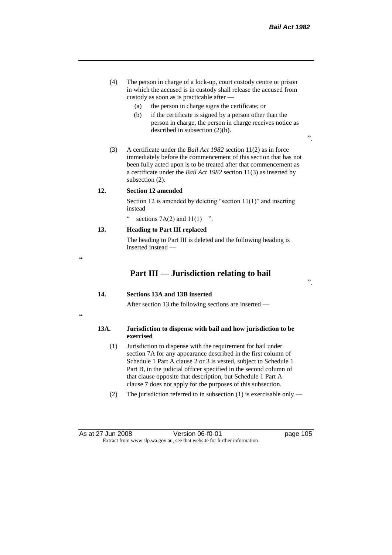- (4) The person in charge of a lock-up, court custody centre or prison in which the accused is in custody shall release the accused from custody as soon as is practicable after —
	- (a) the person in charge signs the certificate; or
	- (b) if the certificate is signed by a person other than the person in charge, the person in charge receives notice as described in subsection (2)(b).
- (3) A certificate under the *Bail Act 1982* section 11(2) as in force immediately before the commencement of this section that has not been fully acted upon is to be treated after that commencement as a certificate under the *Bail Act 1982* section 11(3) as inserted by subsection (2).

### **12. Section 12 amended**

 $\epsilon$ 

"

Section 12 is amended by deleting "section 11(1)" and inserting instead —

" sections  $7A(2)$  and  $11(1)$  ".

# **13. Heading to Part III replaced**

The heading to Part III is deleted and the following heading is inserted instead —

# **Part III — Jurisdiction relating to bail**

".

".

# **14. Sections 13A and 13B inserted**

After section 13 the following sections are inserted —

# **13A. Jurisdiction to dispense with bail and how jurisdiction to be exercised**

- (1) Jurisdiction to dispense with the requirement for bail under section 7A for any appearance described in the first column of Schedule 1 Part A clause 2 or 3 is vested, subject to Schedule 1 Part B, in the judicial officer specified in the second column of that clause opposite that description, but Schedule 1 Part A clause 7 does not apply for the purposes of this subsection.
- (2) The jurisdiction referred to in subsection (1) is exercisable only —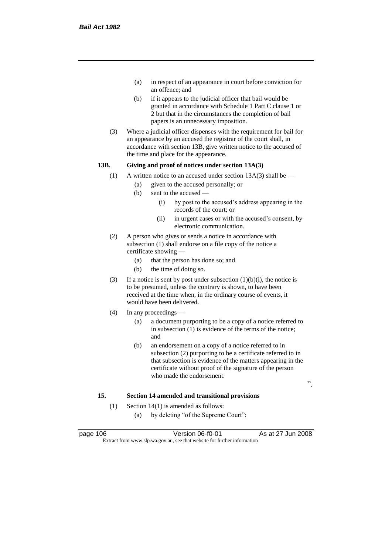- (a) in respect of an appearance in court before conviction for an offence; and
- (b) if it appears to the judicial officer that bail would be granted in accordance with Schedule 1 Part C clause 1 or 2 but that in the circumstances the completion of bail papers is an unnecessary imposition.
- (3) Where a judicial officer dispenses with the requirement for bail for an appearance by an accused the registrar of the court shall, in accordance with section 13B, give written notice to the accused of the time and place for the appearance.

# **13B. Giving and proof of notices under section 13A(3)**

- (1) A written notice to an accused under section  $13A(3)$  shall be
	- (a) given to the accused personally; or
	- (b) sent to the accused
		- (i) by post to the accused's address appearing in the records of the court; or
		- (ii) in urgent cases or with the accused's consent, by electronic communication.
- (2) A person who gives or sends a notice in accordance with subsection (1) shall endorse on a file copy of the notice a certificate showing —
	- (a) that the person has done so; and
	- (b) the time of doing so.
- (3) If a notice is sent by post under subsection  $(1)(b)(i)$ , the notice is to be presumed, unless the contrary is shown, to have been received at the time when, in the ordinary course of events, it would have been delivered.
- (4) In any proceedings
	- (a) a document purporting to be a copy of a notice referred to in subsection (1) is evidence of the terms of the notice; and
	- (b) an endorsement on a copy of a notice referred to in subsection (2) purporting to be a certificate referred to in that subsection is evidence of the matters appearing in the certificate without proof of the signature of the person who made the endorsement.

".

# **15. Section 14 amended and transitional provisions**

- (1) Section 14(1) is amended as follows:
	- (a) by deleting "of the Supreme Court";

page 106 **Version 06-f0-01** As at 27 Jun 2008 Extract from www.slp.wa.gov.au, see that website for further information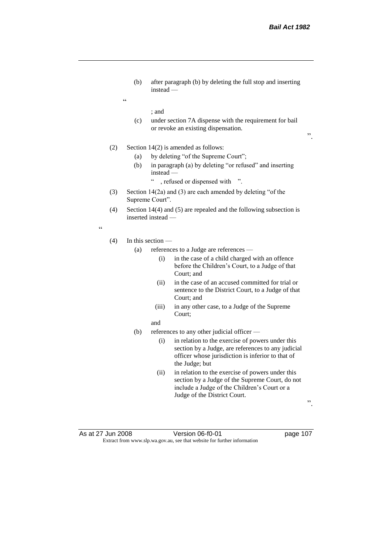".

(b) after paragraph (b) by deleting the full stop and inserting instead —

; and

 $\epsilon$ 

(c) under section 7A dispense with the requirement for bail or revoke an existing dispensation.

(2) Section 14(2) is amended as follows:

- (a) by deleting "of the Supreme Court";
- (b) in paragraph (a) by deleting "or refused" and inserting instead —
	- " , refused or dispensed with ".
- (3) Section 14(2a) and (3) are each amended by deleting "of the Supreme Court".
- (4) Section 14(4) and (5) are repealed and the following subsection is inserted instead —

"

#### (4) In this section —

- (a) references to a Judge are references
	- (i) in the case of a child charged with an offence before the Children's Court, to a Judge of that Court; and
	- (ii) in the case of an accused committed for trial or sentence to the District Court, to a Judge of that Court; and
	- (iii) in any other case, to a Judge of the Supreme Court;
	- and
- (b) references to any other judicial officer
	- (i) in relation to the exercise of powers under this section by a Judge, are references to any judicial officer whose jurisdiction is inferior to that of the Judge; but
	- (ii) in relation to the exercise of powers under this section by a Judge of the Supreme Court, do not include a Judge of the Children's Court or a Judge of the District Court.

".

As at 27 Jun 2008 Version 06-f0-01 page 107 Extract from www.slp.wa.gov.au, see that website for further information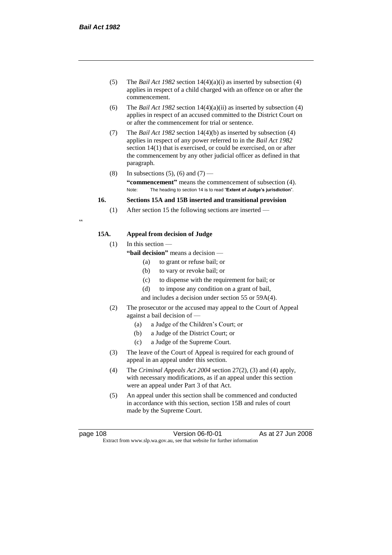- (5) The *Bail Act 1982* section 14(4)(a)(i) as inserted by subsection (4) applies in respect of a child charged with an offence on or after the commencement.
- (6) The *Bail Act 1982* section 14(4)(a)(ii) as inserted by subsection (4) applies in respect of an accused committed to the District Court on or after the commencement for trial or sentence.
- (7) The *Bail Act 1982* section 14(4)(b) as inserted by subsection (4) applies in respect of any power referred to in the *Bail Act 1982* section 14(1) that is exercised, or could be exercised, on or after the commencement by any other judicial officer as defined in that paragraph.
- (8) In subsections (5), (6) and (7) **"commencement"** means the commencement of subsection (4). Note: The heading to section 14 is to read "**Extent of Judge's jurisdiction**".

## **16. Sections 15A and 15B inserted and transitional provision**

(1) After section 15 the following sections are inserted —

# **15A. Appeal from decision of Judge**

(1) In this section —

- **"bail decision"** means a decision
	- (a) to grant or refuse bail; or
	- (b) to vary or revoke bail; or
	- (c) to dispense with the requirement for bail; or
	- (d) to impose any condition on a grant of bail,
	- and includes a decision under section 55 or 59A(4).
- (2) The prosecutor or the accused may appeal to the Court of Appeal against a bail decision of —
	- (a) a Judge of the Children's Court; or
	- (b) a Judge of the District Court; or
	- (c) a Judge of the Supreme Court.
- (3) The leave of the Court of Appeal is required for each ground of appeal in an appeal under this section.
- (4) The *Criminal Appeals Act 2004* section 27(2), (3) and (4) apply, with necessary modifications, as if an appeal under this section were an appeal under Part 3 of that Act.
- (5) An appeal under this section shall be commenced and conducted in accordance with this section, section 15B and rules of court made by the Supreme Court.

.<br>.

page 108 Version 06-f0-01 As at 27 Jun 2008 Extract from www.slp.wa.gov.au, see that website for further information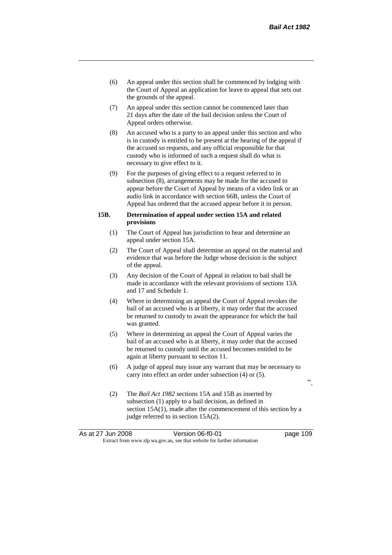- (6) An appeal under this section shall be commenced by lodging with the Court of Appeal an application for leave to appeal that sets out the grounds of the appeal.
- (7) An appeal under this section cannot be commenced later than 21 days after the date of the bail decision unless the Court of Appeal orders otherwise.
- (8) An accused who is a party to an appeal under this section and who is in custody is entitled to be present at the hearing of the appeal if the accused so requests, and any official responsible for that custody who is informed of such a request shall do what is necessary to give effect to it.
- (9) For the purposes of giving effect to a request referred to in subsection (8), arrangements may be made for the accused to appear before the Court of Appeal by means of a video link or an audio link in accordance with section 66B, unless the Court of Appeal has ordered that the accused appear before it in person.

## **15B. Determination of appeal under section 15A and related provisions**

- (1) The Court of Appeal has jurisdiction to hear and determine an appeal under section 15A.
- (2) The Court of Appeal shall determine an appeal on the material and evidence that was before the Judge whose decision is the subject of the appeal.
- (3) Any decision of the Court of Appeal in relation to bail shall be made in accordance with the relevant provisions of sections 13A and 17 and Schedule 1.
- (4) Where in determining an appeal the Court of Appeal revokes the bail of an accused who is at liberty, it may order that the accused be returned to custody to await the appearance for which the bail was granted.
- (5) Where in determining an appeal the Court of Appeal varies the bail of an accused who is at liberty, it may order that the accused be returned to custody until the accused becomes entitled to be again at liberty pursuant to section 11.
- (6) A judge of appeal may issue any warrant that may be necessary to carry into effect an order under subsection (4) or (5).
	- $\ddot{\hspace{1cm}}$
- (2) The *Bail Act 1982* sections 15A and 15B as inserted by subsection (1) apply to a bail decision, as defined in section 15A(1), made after the commencement of this section by a judge referred to in section 15A(2).

|                                                                          | As at 27 Jun 2008 | Version 06-f0-01 | page 109 |
|--------------------------------------------------------------------------|-------------------|------------------|----------|
| Extract from www.slp.wa.gov.au, see that website for further information |                   |                  |          |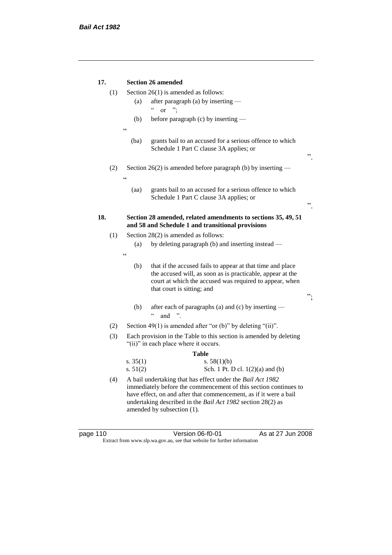| 17. |       |                                                                             | <b>Section 26 amended</b>                                                                                                      |    |  |  |
|-----|-------|-----------------------------------------------------------------------------|--------------------------------------------------------------------------------------------------------------------------------|----|--|--|
|     | (1)   | Section $26(1)$ is amended as follows:                                      |                                                                                                                                |    |  |  |
|     |       | after paragraph (a) by inserting —<br>(a)<br>$\mathsf{c}\,\mathsf{c}$<br>". |                                                                                                                                |    |  |  |
|     |       |                                                                             | $\alpha$                                                                                                                       |    |  |  |
|     |       | (b)                                                                         | before paragraph $(c)$ by inserting $-$                                                                                        |    |  |  |
|     |       | $\epsilon$                                                                  |                                                                                                                                |    |  |  |
|     |       | (ba)                                                                        | grants bail to an accused for a serious offence to which                                                                       |    |  |  |
|     |       |                                                                             | Schedule 1 Part C clause 3A applies; or                                                                                        | ,, |  |  |
|     | (2)   |                                                                             | Section 26(2) is amended before paragraph (b) by inserting $-$                                                                 |    |  |  |
|     |       | $\epsilon$                                                                  |                                                                                                                                |    |  |  |
|     |       | (aa)                                                                        | grants bail to an accused for a serious offence to which<br>Schedule 1 Part C clause 3A applies; or                            | ,, |  |  |
| 18. |       |                                                                             | Section 28 amended, related amendments to sections 35, 49, 51<br>and 58 and Schedule 1 and transitional provisions             |    |  |  |
|     | (1)   |                                                                             | Section 28(2) is amended as follows:                                                                                           |    |  |  |
|     |       | (a)                                                                         | by deleting paragraph (b) and inserting instead —                                                                              |    |  |  |
|     |       | $\epsilon$                                                                  |                                                                                                                                |    |  |  |
|     |       | (b)                                                                         | that if the accused fails to appear at that time and place                                                                     |    |  |  |
|     |       |                                                                             | the accused will, as soon as is practicable, appear at the                                                                     |    |  |  |
|     |       |                                                                             | court at which the accused was required to appear, when<br>that court is sitting; and                                          |    |  |  |
|     |       |                                                                             |                                                                                                                                | ". |  |  |
|     |       | (b)                                                                         | after each of paragraphs (a) and (c) by inserting —<br>$\zeta$ $\zeta$<br>and ".                                               |    |  |  |
|     | (2)   |                                                                             | Section 49(1) is amended after "or (b)" by deleting "(ii)".                                                                    |    |  |  |
|     | (3)   |                                                                             | Each provision in the Table to this section is amended by deleting                                                             |    |  |  |
|     |       |                                                                             | "(ii)" in each place where it occurs.                                                                                          |    |  |  |
|     | Table |                                                                             |                                                                                                                                |    |  |  |
|     |       | s. $35(1)$                                                                  | s. $58(1)(b)$                                                                                                                  |    |  |  |
|     |       | s. $51(2)$                                                                  | Sch. 1 Pt. D cl. 1(2)(a) and (b)                                                                                               |    |  |  |
|     | (4)   |                                                                             | A bail undertaking that has effect under the Bail Act 1982<br>immediately before the commencement of this section continues to |    |  |  |
|     |       |                                                                             | have effect, on and after that commencement, as if it were a bail                                                              |    |  |  |
|     |       |                                                                             | undertaking described in the Bail Act 1982 section 28(2) as                                                                    |    |  |  |
|     |       |                                                                             | amended by subsection (1).                                                                                                     |    |  |  |

| page 110 |  |  |
|----------|--|--|
|          |  |  |

page 110 Version 06-f0-01 As at 27 Jun 2008 Extract from www.slp.wa.gov.au, see that website for further information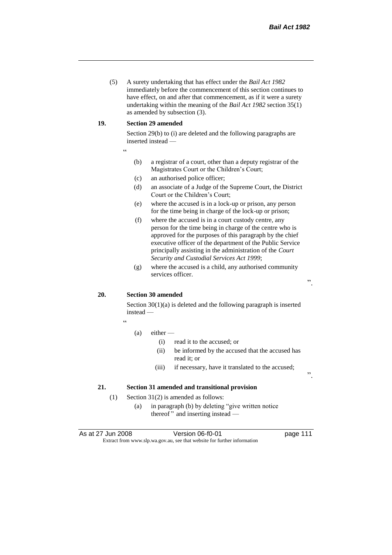(5) A surety undertaking that has effect under the *Bail Act 1982* immediately before the commencement of this section continues to have effect, on and after that commencement, as if it were a surety undertaking within the meaning of the *Bail Act 1982* section 35(1) as amended by subsection (3).

#### **19. Section 29 amended**

Section 29(b) to (i) are deleted and the following paragraphs are inserted instead —

- "
- (b) a registrar of a court, other than a deputy registrar of the Magistrates Court or the Children's Court;
- (c) an authorised police officer;
- (d) an associate of a Judge of the Supreme Court, the District Court or the Children's Court;
- (e) where the accused is in a lock-up or prison, any person for the time being in charge of the lock-up or prison;
- (f) where the accused is in a court custody centre, any person for the time being in charge of the centre who is approved for the purposes of this paragraph by the chief executive officer of the department of the Public Service principally assisting in the administration of the *Court Security and Custodial Services Act 1999*;
- (g) where the accused is a child, any authorised community services officer.

".

".

# **20. Section 30 amended**

Section 30(1)(a) is deleted and the following paragraph is inserted instead —

"

#### (a) either —

- (i) read it to the accused; or
- (ii) be informed by the accused that the accused has read it; or
- (iii) if necessary, have it translated to the accused;

### **21. Section 31 amended and transitional provision**

- (1) Section 31(2) is amended as follows:
	- (a) in paragraph (b) by deleting "give written notice thereof " and inserting instead —

As at 27 Jun 2008 Version 06-f0-01 Page 111 Extract from www.slp.wa.gov.au, see that website for further information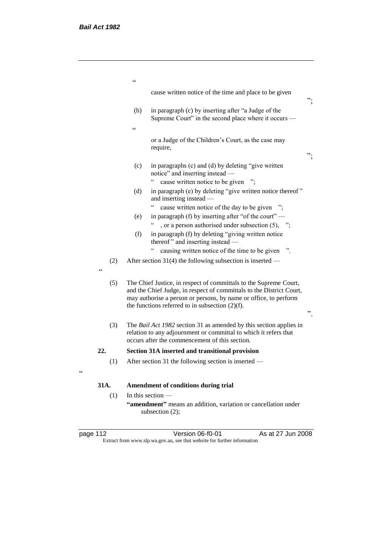|                   | $\epsilon$                                                                                                                                                                               |                                                                                                                                                                                                                                                                     |    |
|-------------------|------------------------------------------------------------------------------------------------------------------------------------------------------------------------------------------|---------------------------------------------------------------------------------------------------------------------------------------------------------------------------------------------------------------------------------------------------------------------|----|
|                   |                                                                                                                                                                                          | cause written notice of the time and place to be given                                                                                                                                                                                                              | ". |
|                   | (b)                                                                                                                                                                                      | in paragraph (c) by inserting after "a Judge of the<br>Supreme Court" in the second place where it occurs –                                                                                                                                                         |    |
|                   | $\epsilon$                                                                                                                                                                               |                                                                                                                                                                                                                                                                     |    |
|                   |                                                                                                                                                                                          | or a Judge of the Children's Court, as the case may<br>require,                                                                                                                                                                                                     | ". |
|                   | (c)                                                                                                                                                                                      | in paragraphs (c) and (d) by deleting "give written<br>notice" and inserting instead -                                                                                                                                                                              |    |
|                   |                                                                                                                                                                                          | cause written notice to be given                                                                                                                                                                                                                                    |    |
|                   | (d)                                                                                                                                                                                      | in paragraph (e) by deleting "give written notice thereof"<br>and inserting instead                                                                                                                                                                                 |    |
|                   |                                                                                                                                                                                          | $\epsilon$<br>cause written notice of the day to be given                                                                                                                                                                                                           |    |
|                   | (e)                                                                                                                                                                                      | in paragraph (f) by inserting after "of the court" —                                                                                                                                                                                                                |    |
|                   |                                                                                                                                                                                          | , or a person authorised under subsection (5), ";                                                                                                                                                                                                                   |    |
|                   | (f)                                                                                                                                                                                      | in paragraph (f) by deleting "giving written notice<br>thereof" and inserting instead -                                                                                                                                                                             |    |
|                   |                                                                                                                                                                                          | causing written notice of the time to be given                                                                                                                                                                                                                      |    |
| (2)<br>$\epsilon$ |                                                                                                                                                                                          | After section 31(4) the following subsection is inserted —                                                                                                                                                                                                          |    |
| (5)               |                                                                                                                                                                                          | The Chief Justice, in respect of committals to the Supreme Court,<br>and the Chief Judge, in respect of committals to the District Court,<br>may authorise a person or persons, by name or office, to perform<br>the functions referred to in subsection $(2)(f)$ . | ,, |
| (3)               | The Bail Act 1982 section 31 as amended by this section applies in<br>relation to any adjournment or committal to which it refers that<br>occurs after the commencement of this section. |                                                                                                                                                                                                                                                                     |    |
| 22.               |                                                                                                                                                                                          | Section 31A inserted and transitional provision                                                                                                                                                                                                                     |    |
| (1)               |                                                                                                                                                                                          | After section 31 the following section is inserted —                                                                                                                                                                                                                |    |
| 31A.              |                                                                                                                                                                                          | Amendment of conditions during trial                                                                                                                                                                                                                                |    |
| (1)               |                                                                                                                                                                                          | In this section $-$                                                                                                                                                                                                                                                 |    |
|                   |                                                                                                                                                                                          | "amendment" means an addition, variation or cancellation under<br>subsection (2);                                                                                                                                                                                   |    |

| page |  |  |
|------|--|--|
|      |  |  |

"

page 112 Version 06-f0-01 As at 27 Jun 2008 Extract from www.slp.wa.gov.au, see that website for further information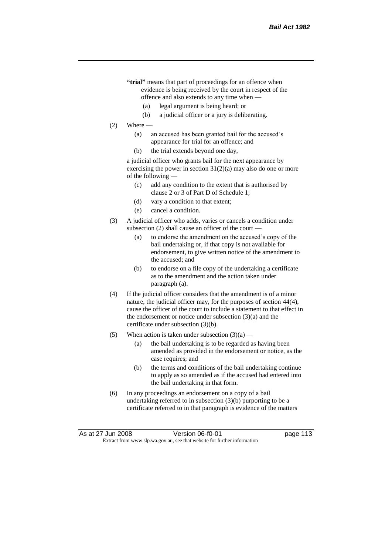- **"trial"** means that part of proceedings for an offence when evidence is being received by the court in respect of the offence and also extends to any time when —
	- (a) legal argument is being heard; or
	- (b) a judicial officer or a jury is deliberating.
- $(2)$  Where
	- (a) an accused has been granted bail for the accused's appearance for trial for an offence; and
	- (b) the trial extends beyond one day,

a judicial officer who grants bail for the next appearance by exercising the power in section  $31(2)(a)$  may also do one or more of the following —

- (c) add any condition to the extent that is authorised by clause 2 or 3 of Part D of Schedule 1;
- (d) vary a condition to that extent;
- (e) cancel a condition.
- (3) A judicial officer who adds, varies or cancels a condition under subsection  $(2)$  shall cause an officer of the court -
	- (a) to endorse the amendment on the accused's copy of the bail undertaking or, if that copy is not available for endorsement, to give written notice of the amendment to the accused; and
	- (b) to endorse on a file copy of the undertaking a certificate as to the amendment and the action taken under paragraph (a).
- (4) If the judicial officer considers that the amendment is of a minor nature, the judicial officer may, for the purposes of section 44(4), cause the officer of the court to include a statement to that effect in the endorsement or notice under subsection (3)(a) and the certificate under subsection (3)(b).
- (5) When action is taken under subsection  $(3)(a)$ 
	- (a) the bail undertaking is to be regarded as having been amended as provided in the endorsement or notice, as the case requires; and
	- (b) the terms and conditions of the bail undertaking continue to apply as so amended as if the accused had entered into the bail undertaking in that form.
- (6) In any proceedings an endorsement on a copy of a bail undertaking referred to in subsection (3)(b) purporting to be a certificate referred to in that paragraph is evidence of the matters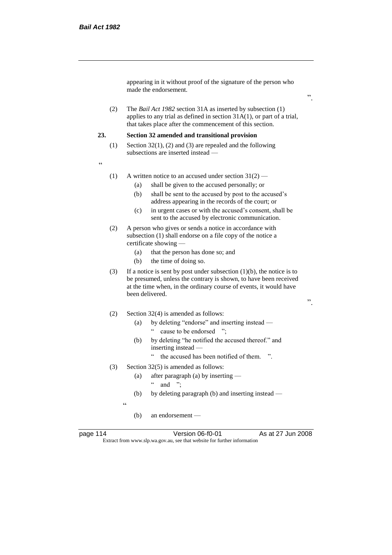appearing in it without proof of the signature of the person who made the endorsement.

(2) The *Bail Act 1982* section 31A as inserted by subsection (1) applies to any trial as defined in section 31A(1), or part of a trial, that takes place after the commencement of this section.

#### **23. Section 32 amended and transitional provision**

- (1) Section 32(1), (2) and (3) are repealed and the following subsections are inserted instead —
- "
- (1) A written notice to an accused under section  $31(2)$ 
	- (a) shall be given to the accused personally; or
	- (b) shall be sent to the accused by post to the accused's address appearing in the records of the court; or
	- (c) in urgent cases or with the accused's consent, shall be sent to the accused by electronic communication.
- (2) A person who gives or sends a notice in accordance with subsection (1) shall endorse on a file copy of the notice a certificate showing —
	- (a) that the person has done so; and
	- (b) the time of doing so.
- (3) If a notice is sent by post under subsection  $(1)(b)$ , the notice is to be presumed, unless the contrary is shown, to have been received at the time when, in the ordinary course of events, it would have been delivered.
- (2) Section 32(4) is amended as follows:
	- (a) by deleting "endorse" and inserting instead " cause to be endorsed ";
	- (b) by deleting "he notified the accused thereof." and inserting instead —
		- " the accused has been notified of them. ".
- (3) Section 32(5) is amended as follows:
	- (a) after paragraph (a) by inserting  $"$  and ":
	- (b) by deleting paragraph (b) and inserting instead —

.<br>د د

(b) an endorsement —

page 114 Version 06-f0-01 As at 27 Jun 2008 Extract from www.slp.wa.gov.au, see that website for further information

".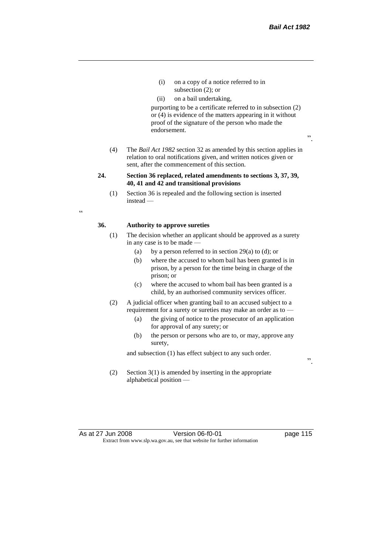".

- (i) on a copy of a notice referred to in subsection (2); or
- (ii) on a bail undertaking,

purporting to be a certificate referred to in subsection (2) or (4) is evidence of the matters appearing in it without proof of the signature of the person who made the endorsement.

- (4) The *Bail Act 1982* section 32 as amended by this section applies in relation to oral notifications given, and written notices given or sent, after the commencement of this section.
- **24. Section 36 replaced, related amendments to sections 3, 37, 39, 40, 41 and 42 and transitional provisions**
	- (1) Section 36 is repealed and the following section is inserted instead —

 $\epsilon$ 

### **36. Authority to approve sureties**

- (1) The decision whether an applicant should be approved as a surety in any case is to be made —
	- (a) by a person referred to in section  $29(a)$  to (d); or
	- (b) where the accused to whom bail has been granted is in prison, by a person for the time being in charge of the prison; or
	- (c) where the accused to whom bail has been granted is a child, by an authorised community services officer.
- (2) A judicial officer when granting bail to an accused subject to a requirement for a surety or sureties may make an order as to -
	- (a) the giving of notice to the prosecutor of an application for approval of any surety; or
	- (b) the person or persons who are to, or may, approve any surety,

and subsection (1) has effect subject to any such order.

(2) Section 3(1) is amended by inserting in the appropriate alphabetical position —

As at 27 Jun 2008 Version 06-f0-01 page 115 Extract from www.slp.wa.gov.au, see that website for further information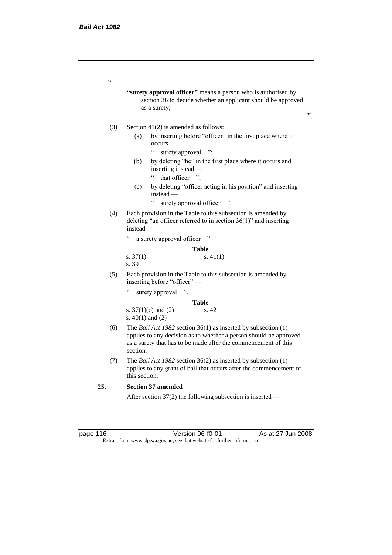$\epsilon$ 

**"surety approval officer"** means a person who is authorised by section 36 to decide whether an applicant should be approved as a surety;

- (3) Section 41(2) is amended as follows:
	- (a) by inserting before "officer" in the first place where it occurs —
		- " surety approval ";
	- (b) by deleting "he" in the first place where it occurs and inserting instead —
		- " that officer ";
	- (c) by deleting "officer acting in his position" and inserting instead —
		- " surety approval officer ".
- (4) Each provision in the Table to this subsection is amended by deleting "an officer referred to in section 36(1)" and inserting instead —

" a surety approval officer ".

|            | <b>Table</b> |
|------------|--------------|
| s. $37(1)$ | s. $41(1)$   |
| s. 39      |              |

- (5) Each provision in the Table to this subsection is amended by inserting before "officer" —
	- " surety approval ".

**Table** s. 37(1)(c) and (2) s. 42 s. 40(1) and (2)

- (6) The *Bail Act 1982* section 36(1) as inserted by subsection (1) applies to any decision as to whether a person should be approved as a surety that has to be made after the commencement of this section.
- (7) The *Bail Act 1982* section 36(2) as inserted by subsection (1) applies to any grant of bail that occurs after the commencement of this section.

# **25. Section 37 amended**

After section 37(2) the following subsection is inserted —

page 116 Version 06-f0-01 As at 27 Jun 2008 Extract from www.slp.wa.gov.au, see that website for further information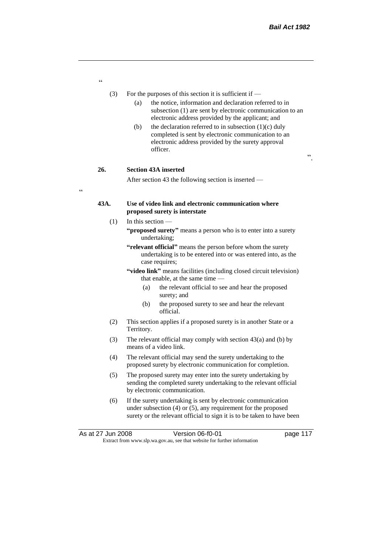- (3) For the purposes of this section it is sufficient if
	- (a) the notice, information and declaration referred to in subsection (1) are sent by electronic communication to an electronic address provided by the applicant; and
	- (b) the declaration referred to in subsection  $(1)(c)$  duly completed is sent by electronic communication to an electronic address provided by the surety approval officer.

".

# **26. Section 43A inserted**

After section 43 the following section is inserted —

# **43A. Use of video link and electronic communication where proposed surety is interstate**

- (1) In this section **"proposed surety"** means a person who is to enter into a surety undertaking;
	- **"relevant official"** means the person before whom the surety undertaking is to be entered into or was entered into, as the case requires;
	- **"video link"** means facilities (including closed circuit television) that enable, at the same time —
		- (a) the relevant official to see and hear the proposed surety; and
		- (b) the proposed surety to see and hear the relevant official.
- (2) This section applies if a proposed surety is in another State or a Territory.
- (3) The relevant official may comply with section 43(a) and (b) by means of a video link.
- (4) The relevant official may send the surety undertaking to the proposed surety by electronic communication for completion.
- (5) The proposed surety may enter into the surety undertaking by sending the completed surety undertaking to the relevant official by electronic communication.
- (6) If the surety undertaking is sent by electronic communication under subsection (4) or (5), any requirement for the proposed surety or the relevant official to sign it is to be taken to have been

"

 $\epsilon$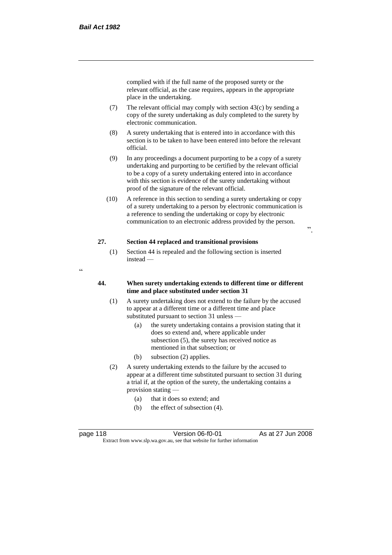complied with if the full name of the proposed surety or the relevant official, as the case requires, appears in the appropriate place in the undertaking.

- (7) The relevant official may comply with section  $43(c)$  by sending a copy of the surety undertaking as duly completed to the surety by electronic communication.
- (8) A surety undertaking that is entered into in accordance with this section is to be taken to have been entered into before the relevant official.
- (9) In any proceedings a document purporting to be a copy of a surety undertaking and purporting to be certified by the relevant official to be a copy of a surety undertaking entered into in accordance with this section is evidence of the surety undertaking without proof of the signature of the relevant official.
- (10) A reference in this section to sending a surety undertaking or copy of a surety undertaking to a person by electronic communication is a reference to sending the undertaking or copy by electronic communication to an electronic address provided by the person.

".

# **27. Section 44 replaced and transitional provisions**

- (1) Section 44 is repealed and the following section is inserted instead —
- "

## **44. When surety undertaking extends to different time or different time and place substituted under section 31**

- (1) A surety undertaking does not extend to the failure by the accused to appear at a different time or a different time and place substituted pursuant to section 31 unless —
	- (a) the surety undertaking contains a provision stating that it does so extend and, where applicable under subsection (5), the surety has received notice as mentioned in that subsection; or
	- (b) subsection (2) applies.
- (2) A surety undertaking extends to the failure by the accused to appear at a different time substituted pursuant to section 31 during a trial if, at the option of the surety, the undertaking contains a provision stating —
	- (a) that it does so extend; and
	- (b) the effect of subsection (4).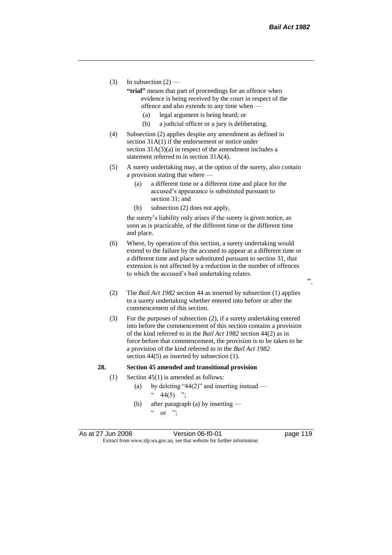- (3) In subsection  $(2)$ 
	- **"trial"** means that part of proceedings for an offence when evidence is being received by the court in respect of the offence and also extends to any time when —
		- (a) legal argument is being heard; or
		- (b) a judicial officer or a jury is deliberating.
- (4) Subsection (2) applies despite any amendment as defined in section 31A(1) if the endorsement or notice under section  $31A(3)(a)$  in respect of the amendment includes a statement referred to in section 31A(4).
- (5) A surety undertaking may, at the option of the surety, also contain a provision stating that where —
	- (a) a different time or a different time and place for the accused's appearance is substituted pursuant to section 31; and
	- (b) subsection (2) does not apply,

the surety's liability only arises if the surety is given notice, as soon as is practicable, of the different time or the different time and place.

- (6) Where, by operation of this section, a surety undertaking would extend to the failure by the accused to appear at a different time or a different time and place substituted pursuant to section 31, that extension is not affected by a reduction in the number of offences to which the accused's bail undertaking relates.
- (2) The *Bail Act 1982* section 44 as inserted by subsection (1) applies to a surety undertaking whether entered into before or after the commencement of this section.
- (3) For the purposes of subsection (2), if a surety undertaking entered into before the commencement of this section contains a provision of the kind referred to in the *Bail Act 1982* section 44(2) as in force before that commencement, the provision is to be taken to be a provision of the kind referred to in the *Bail Act 1982*  section 44(5) as inserted by subsection (1).

#### **28. Section 45 amended and transitional provision**

- (1) Section 45(1) is amended as follows:
	- (a) by deleting "44(2)" and inserting instead  $44(5)$  ";
	- (b) after paragraph (a) by inserting  $\alpha$  or ";

As at 27 Jun 2008 Version 06-f0-01 page 119 Extract from www.slp.wa.gov.au, see that website for further information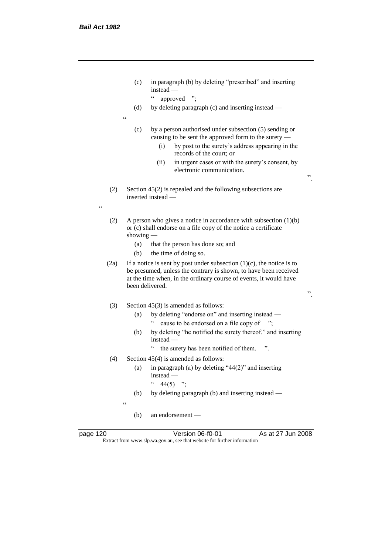- (c) in paragraph (b) by deleting "prescribed" and inserting instead —
	- " approved ";
- (d) by deleting paragraph (c) and inserting instead —
- $\epsilon$
- (c) by a person authorised under subsection (5) sending or causing to be sent the approved form to the surety —
	- (i) by post to the surety's address appearing in the records of the court; or
	- (ii) in urgent cases or with the surety's consent, by electronic communication.
- ".

".

- (2) Section 45(2) is repealed and the following subsections are inserted instead —
- "
- (2) A person who gives a notice in accordance with subsection (1)(b) or (c) shall endorse on a file copy of the notice a certificate showing -
	- (a) that the person has done so; and
	- (b) the time of doing so.
- (2a) If a notice is sent by post under subsection  $(1)(c)$ , the notice is to be presumed, unless the contrary is shown, to have been received at the time when, in the ordinary course of events, it would have been delivered.

# (3) Section 45(3) is amended as follows:

- (a) by deleting "endorse on" and inserting instead " cause to be endorsed on a file copy of ";
- (b) by deleting "he notified the surety thereof." and inserting instead —
	- " the surety has been notified of them. ".
- (4) Section 45(4) is amended as follows:
	- (a) in paragraph (a) by deleting "44(2)" and inserting instead —
		- $44(5)$  ";
	- (b) by deleting paragraph (b) and inserting instead —

 $\epsilon$ 

(b) an endorsement —

page 120 Version 06-f0-01 As at 27 Jun 2008 Extract from www.slp.wa.gov.au, see that website for further information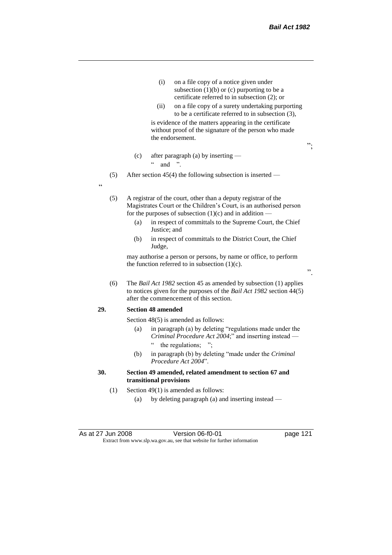- (i) on a file copy of a notice given under subsection  $(1)(b)$  or  $(c)$  purporting to be a certificate referred to in subsection (2); or
- (ii) on a file copy of a surety undertaking purporting to be a certificate referred to in subsection (3),

is evidence of the matters appearing in the certificate without proof of the signature of the person who made the endorsement.

";

".

- (c) after paragraph (a) by inserting
	- $\ldots$  and ".
- (5) After section 45(4) the following subsection is inserted —

"

(5) A registrar of the court, other than a deputy registrar of the Magistrates Court or the Children's Court, is an authorised person for the purposes of subsection  $(1)(c)$  and in addition –

- (a) in respect of committals to the Supreme Court, the Chief Justice; and
- (b) in respect of committals to the District Court, the Chief Judge,

may authorise a person or persons, by name or office, to perform the function referred to in subsection  $(1)(c)$ .

(6) The *Bail Act 1982* section 45 as amended by subsection (1) applies to notices given for the purposes of the *Bail Act 1982* section 44(5) after the commencement of this section.

#### **29. Section 48 amended**

Section 48(5) is amended as follows:

- (a) in paragraph (a) by deleting "regulations made under the *Criminal Procedure Act 2004*;" and inserting instead the regulations; ";
- (b) in paragraph (b) by deleting "made under the *Criminal Procedure Act 2004*".

# **30. Section 49 amended, related amendment to section 67 and transitional provisions**

- (1) Section 49(1) is amended as follows:
	- (a) by deleting paragraph (a) and inserting instead —

As at 27 Jun 2008 Version 06-f0-01 page 121 Extract from www.slp.wa.gov.au, see that website for further information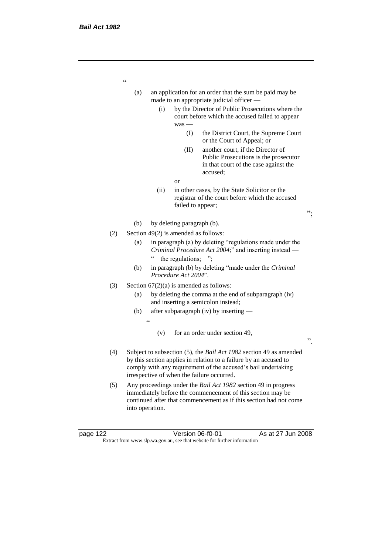| (a) |     |            |                                      | an application for an order that the sum be paid may be<br>made to an appropriate judicial officer                                                                                                                                                     |    |
|-----|-----|------------|--------------------------------------|--------------------------------------------------------------------------------------------------------------------------------------------------------------------------------------------------------------------------------------------------------|----|
|     |     | (i)        | $was -$                              | by the Director of Public Prosecutions where the<br>court before which the accused failed to appear                                                                                                                                                    |    |
|     |     |            | (I)                                  | the District Court, the Supreme Court<br>or the Court of Appeal; or                                                                                                                                                                                    |    |
|     |     |            | (II)                                 | another court, if the Director of<br>Public Prosecutions is the prosecutor<br>in that court of the case against the<br>accused;                                                                                                                        |    |
|     |     |            | or                                   |                                                                                                                                                                                                                                                        |    |
|     |     | (ii)       | failed to appear;                    | in other cases, by the State Solicitor or the<br>registrar of the court before which the accused                                                                                                                                                       | ". |
|     | (b) |            | by deleting paragraph (b).           |                                                                                                                                                                                                                                                        |    |
| (2) |     |            | Section 49(2) is amended as follows: |                                                                                                                                                                                                                                                        |    |
|     | (a) | $\epsilon$ | the regulations;                     | in paragraph (a) by deleting "regulations made under the<br>Criminal Procedure Act 2004;" and inserting instead -                                                                                                                                      |    |
|     | (b) |            | Procedure Act 2004".                 | in paragraph (b) by deleting "made under the Criminal                                                                                                                                                                                                  |    |
| (3) |     |            |                                      | Section $67(2)(a)$ is amended as follows:                                                                                                                                                                                                              |    |
|     | (a) |            |                                      | by deleting the comma at the end of subparagraph (iv)<br>and inserting a semicolon instead;                                                                                                                                                            |    |
|     | (b) |            |                                      | after subparagraph (iv) by inserting -                                                                                                                                                                                                                 |    |
|     |     | $\epsilon$ |                                      |                                                                                                                                                                                                                                                        |    |
|     |     | (v)        |                                      | for an order under section 49,                                                                                                                                                                                                                         | ,, |
| (4) |     |            |                                      | Subject to subsection (5), the Bail Act 1982 section 49 as amended<br>by this section applies in relation to a failure by an accused to<br>comply with any requirement of the accused's bail undertaking<br>irrespective of when the failure occurred. |    |
| (5) |     |            |                                      | Any proceedings under the Bail Act 1982 section 49 in progress<br>immediately before the commencement of this section may be<br>continued after that commencement as if this section had not come                                                      |    |

into operation.

page 122 Version 06-f0-01 As at 27 Jun 2008 Extract from www.slp.wa.gov.au, see that website for further information

"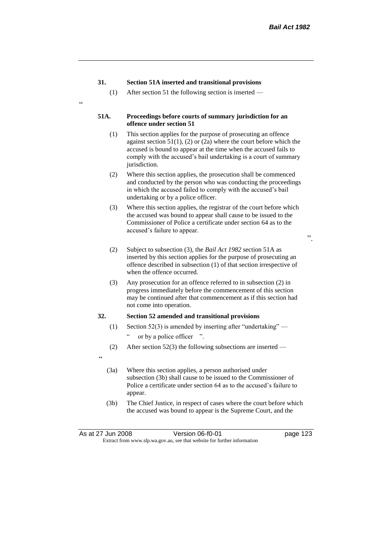# **31. Section 51A inserted and transitional provisions**

(1) After section 51 the following section is inserted —

#### **51A. Proceedings before courts of summary jurisdiction for an offence under section 51**

- (1) This section applies for the purpose of prosecuting an offence against section 51(1), (2) or (2a) where the court before which the accused is bound to appear at the time when the accused fails to comply with the accused's bail undertaking is a court of summary jurisdiction.
- (2) Where this section applies, the prosecution shall be commenced and conducted by the person who was conducting the proceedings in which the accused failed to comply with the accused's bail undertaking or by a police officer.
- (3) Where this section applies, the registrar of the court before which the accused was bound to appear shall cause to be issued to the Commissioner of Police a certificate under section 64 as to the accused's failure to appear.
	- ".
- (2) Subject to subsection (3), the *Bail Act 1982* section 51A as inserted by this section applies for the purpose of prosecuting an offence described in subsection (1) of that section irrespective of when the offence occurred.
- (3) Any prosecution for an offence referred to in subsection (2) in progress immediately before the commencement of this section may be continued after that commencement as if this section had not come into operation.

# **32. Section 52 amended and transitional provisions**

- (1) Section 52(3) is amended by inserting after "undertaking" or by a police officer ".
- (2) After section 52(3) the following subsections are inserted —
- "

 $\epsilon$ 

- (3a) Where this section applies, a person authorised under subsection (3b) shall cause to be issued to the Commissioner of Police a certificate under section 64 as to the accused's failure to appear.
- (3b) The Chief Justice, in respect of cases where the court before which the accused was bound to appear is the Supreme Court, and the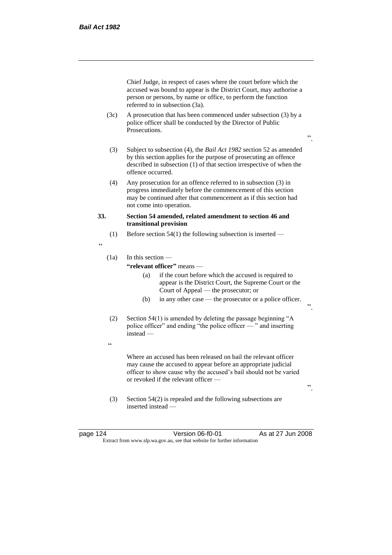Chief Judge, in respect of cases where the court before which the accused was bound to appear is the District Court, may authorise a person or persons, by name or office, to perform the function referred to in subsection (3a).

- (3c) A prosecution that has been commenced under subsection (3) by a police officer shall be conducted by the Director of Public Prosecutions.
- ".

".

".

- (3) Subject to subsection (4), the *Bail Act 1982* section 52 as amended by this section applies for the purpose of prosecuting an offence described in subsection (1) of that section irrespective of when the offence occurred.
- (4) Any prosecution for an offence referred to in subsection (3) in progress immediately before the commencement of this section may be continued after that commencement as if this section had not come into operation.

## **33. Section 54 amended, related amendment to section 46 and transitional provision**

- (1) Before section  $54(1)$  the following subsection is inserted —
- "

# (1a) In this section —

# **"relevant officer"** means —

- (a) if the court before which the accused is required to appear is the District Court, the Supreme Court or the Court of Appeal — the prosecutor; or
- (b) in any other case the prosecutor or a police officer.
- (2) Section 54(1) is amended by deleting the passage beginning "A police officer" and ending "the police officer — " and inserting instead —
- $\epsilon$

Where an accused has been released on bail the relevant officer may cause the accused to appear before an appropriate judicial officer to show cause why the accused's bail should not be varied or revoked if the relevant officer —

- (3) Section 54(2) is repealed and the following subsections are inserted instead —
- 

page 124 Version 06-f0-01 As at 27 Jun 2008 Extract from www.slp.wa.gov.au, see that website for further information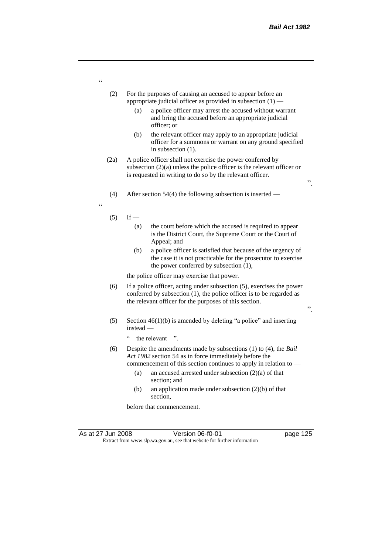".

".

- (2) For the purposes of causing an accused to appear before an appropriate judicial officer as provided in subsection (1) —
	- (a) a police officer may arrest the accused without warrant and bring the accused before an appropriate judicial officer; or
	- (b) the relevant officer may apply to an appropriate judicial officer for a summons or warrant on any ground specified in subsection (1).
- (2a) A police officer shall not exercise the power conferred by subsection (2)(a) unless the police officer is the relevant officer or is requested in writing to do so by the relevant officer.
- (4) After section 54(4) the following subsection is inserted —
- "
- $(5)$  If
	- (a) the court before which the accused is required to appear is the District Court, the Supreme Court or the Court of Appeal; and
	- (b) a police officer is satisfied that because of the urgency of the case it is not practicable for the prosecutor to exercise the power conferred by subsection (1),

the police officer may exercise that power.

- (6) If a police officer, acting under subsection (5), exercises the power conferred by subsection (1), the police officer is to be regarded as the relevant officer for the purposes of this section.
- (5) Section 46(1)(b) is amended by deleting "a police" and inserting instead —
	- " the relevant ".
- (6) Despite the amendments made by subsections (1) to (4), the *Bail Act 1982* section 54 as in force immediately before the commencement of this section continues to apply in relation to —
	- (a) an accused arrested under subsection (2)(a) of that section; and
	- (b) an application made under subsection (2)(b) of that section,

before that commencement.

"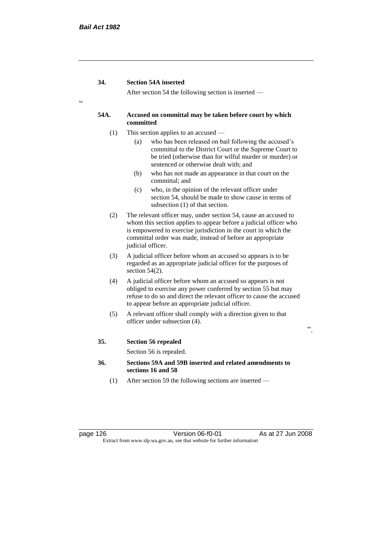After section 54 the following section is inserted —

# **54A. Accused on committal may be taken before court by which committed**

- (1) This section applies to an accused
	- (a) who has been released on bail following the accused's committal to the District Court or the Supreme Court to be tried (otherwise than for wilful murder or murder) or sentenced or otherwise dealt with; and
	- (b) who has not made an appearance in that court on the committal; and
	- (c) who, in the opinion of the relevant officer under section 54, should be made to show cause in terms of subsection (1) of that section.
- (2) The relevant officer may, under section 54, cause an accused to whom this section applies to appear before a judicial officer who is empowered to exercise jurisdiction in the court in which the committal order was made, instead of before an appropriate judicial officer.
- (3) A judicial officer before whom an accused so appears is to be regarded as an appropriate judicial officer for the purposes of section  $54(2)$ .
- (4) A judicial officer before whom an accused so appears is not obliged to exercise any power conferred by section 55 but may refuse to do so and direct the relevant officer to cause the accused to appear before an appropriate judicial officer.
- (5) A relevant officer shall comply with a direction given to that officer under subsection (4).

".

#### **35. Section 56 repealed**

Section 56 is repealed.

- **36. Sections 59A and 59B inserted and related amendments to sections 16 and 58**
	- (1) After section 59 the following sections are inserted —

page 126 Version 06-f0-01 As at 27 Jun 2008 Extract from www.slp.wa.gov.au, see that website for further information

"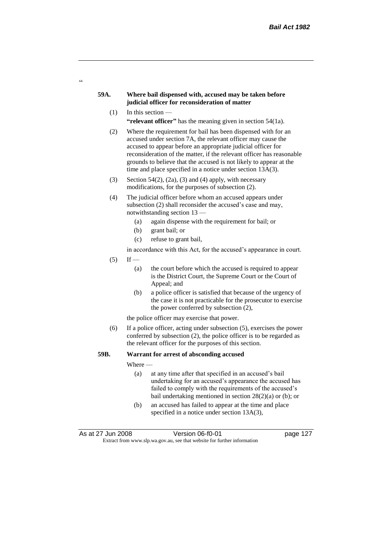## **59A. Where bail dispensed with, accused may be taken before judicial officer for reconsideration of matter**

 $(1)$  In this section —

 $\alpha$ 

"relevant officer" has the meaning given in section 54(1a).

- (2) Where the requirement for bail has been dispensed with for an accused under section 7A, the relevant officer may cause the accused to appear before an appropriate judicial officer for reconsideration of the matter, if the relevant officer has reasonable grounds to believe that the accused is not likely to appear at the time and place specified in a notice under section 13A(3).
- (3) Section 54(2), (2a), (3) and (4) apply, with necessary modifications, for the purposes of subsection (2).
- (4) The judicial officer before whom an accused appears under subsection (2) shall reconsider the accused's case and may, notwithstanding section 13 —
	- (a) again dispense with the requirement for bail; or
	- (b) grant bail; or
	- (c) refuse to grant bail,

in accordance with this Act, for the accused's appearance in court.

- $(5)$  If
	- (a) the court before which the accused is required to appear is the District Court, the Supreme Court or the Court of Appeal; and
	- (b) a police officer is satisfied that because of the urgency of the case it is not practicable for the prosecutor to exercise the power conferred by subsection (2),

the police officer may exercise that power.

(6) If a police officer, acting under subsection (5), exercises the power conferred by subsection (2), the police officer is to be regarded as the relevant officer for the purposes of this section.

# **59B. Warrant for arrest of absconding accused**

Where —

- (a) at any time after that specified in an accused's bail undertaking for an accused's appearance the accused has failed to comply with the requirements of the accused's bail undertaking mentioned in section 28(2)(a) or (b); or
- (b) an accused has failed to appear at the time and place specified in a notice under section 13A(3),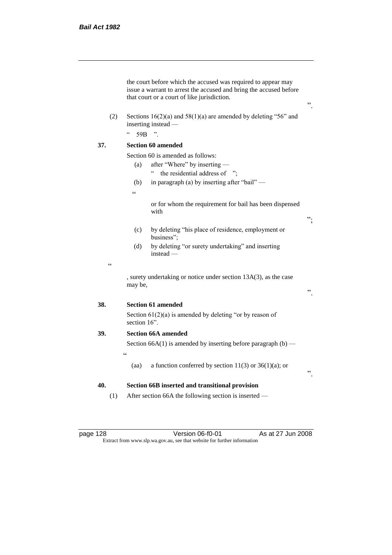|            | the court before which the accused was required to appear may<br>issue a warrant to arrest the accused and bring the accused before<br>that court or a court of like jurisdiction. |    |  |  |
|------------|------------------------------------------------------------------------------------------------------------------------------------------------------------------------------------|----|--|--|
| (2)        | Sections $16(2)(a)$ and $58(1)(a)$ are amended by deleting "56" and<br>inserting instead -                                                                                         |    |  |  |
|            | $\boldsymbol{\varsigma}$ $\boldsymbol{\varsigma}$<br>$\overline{\phantom{a}}$<br>59 <sub>B</sub>                                                                                   |    |  |  |
| 37.        | <b>Section 60 amended</b>                                                                                                                                                          |    |  |  |
|            | Section 60 is amended as follows:                                                                                                                                                  |    |  |  |
|            | after "Where" by inserting -<br>(a)                                                                                                                                                |    |  |  |
|            | $\zeta$ $\zeta$<br>the residential address of ":                                                                                                                                   |    |  |  |
|            | in paragraph (a) by inserting after "bail" —<br>(b)                                                                                                                                |    |  |  |
|            | $\epsilon$                                                                                                                                                                         |    |  |  |
|            | or for whom the requirement for bail has been dispensed<br>with                                                                                                                    | ". |  |  |
|            | by deleting "his place of residence, employment or<br>(c)<br>business":                                                                                                            |    |  |  |
|            | by deleting "or surety undertaking" and inserting<br>(d)<br>$instead -$                                                                                                            |    |  |  |
| $\epsilon$ |                                                                                                                                                                                    |    |  |  |
|            | , surety undertaking or notice under section 13A(3), as the case<br>may be,                                                                                                        | ,, |  |  |
| 38.        | <b>Section 61 amended</b>                                                                                                                                                          |    |  |  |
|            | Section $61(2)(a)$ is amended by deleting "or by reason of<br>section $16$ ".                                                                                                      |    |  |  |
| 39.        | <b>Section 66A amended</b>                                                                                                                                                         |    |  |  |
|            | Section 66A(1) is amended by inserting before paragraph $(b)$ —                                                                                                                    |    |  |  |
|            | $\epsilon$                                                                                                                                                                         |    |  |  |
|            | a function conferred by section 11(3) or 36(1)(a); or<br>(aa)                                                                                                                      | ,, |  |  |
| 40.<br>(1) | Section 66B inserted and transitional provision<br>After section 66A the following section is inserted —                                                                           |    |  |  |
|            |                                                                                                                                                                                    |    |  |  |

page 128 Version 06-f0-01 As at 27 Jun 2008 Extract from www.slp.wa.gov.au, see that website for further information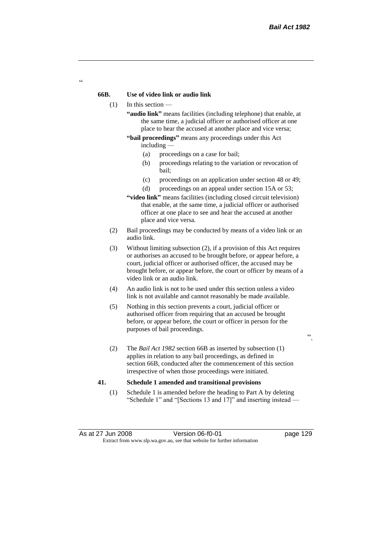## **66B. Use of video link or audio link**

- (1) In this section
	- **"audio link"** means facilities (including telephone) that enable, at the same time, a judicial officer or authorised officer at one place to hear the accused at another place and vice versa;
	- **"bail proceedings"** means any proceedings under this Act including —
		- (a) proceedings on a case for bail;
		- (b) proceedings relating to the variation or revocation of bail;
		- (c) proceedings on an application under section 48 or 49;
		- (d) proceedings on an appeal under section 15A or 53;
	- **"video link"** means facilities (including closed circuit television) that enable, at the same time, a judicial officer or authorised officer at one place to see and hear the accused at another place and vice versa.
- (2) Bail proceedings may be conducted by means of a video link or an audio link.
- (3) Without limiting subsection (2), if a provision of this Act requires or authorises an accused to be brought before, or appear before, a court, judicial officer or authorised officer, the accused may be brought before, or appear before, the court or officer by means of a video link or an audio link.
- (4) An audio link is not to be used under this section unless a video link is not available and cannot reasonably be made available.
- (5) Nothing in this section prevents a court, judicial officer or authorised officer from requiring that an accused be brought before, or appear before, the court or officer in person for the purposes of bail proceedings.

".

(2) The *Bail Act 1982* section 66B as inserted by subsection (1) applies in relation to any bail proceedings, as defined in section 66B, conducted after the commencement of this section irrespective of when those proceedings were initiated.

## **41. Schedule 1 amended and transitional provisions**

(1) Schedule 1 is amended before the heading to Part A by deleting "Schedule 1" and "[Sections 13 and 17]" and inserting instead —

 $\epsilon$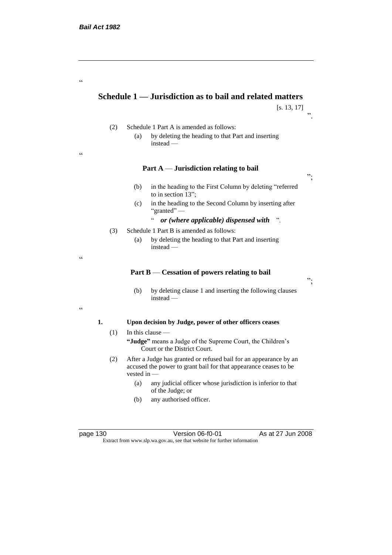"

"

"

 $\epsilon$ 

# **Schedule 1 — Jurisdiction as to bail and related matters**

[s. 13, 17]

".

- (2) Schedule 1 Part A is amended as follows: (a) by deleting the heading to that Part and inserting
	- instead —

# **Part A** — **Jurisdiction relating to bail**

- (b) in the heading to the First Column by deleting "referred to in section 13";
- (c) in the heading to the Second Column by inserting after "granted" —
	- " *or (where applicable) dispensed with* ".
- (3) Schedule 1 Part B is amended as follows:
	- (a) by deleting the heading to that Part and inserting instead —

#### **Part B** — **Cessation of powers relating to bail**

(b) by deleting clause 1 and inserting the following clauses instead —

#### **1. Upon decision by Judge, power of other officers ceases**

 $(1)$  In this clause —

**"Judge"** means a Judge of the Supreme Court, the Children's Court or the District Court.

- (2) After a Judge has granted or refused bail for an appearance by an accused the power to grant bail for that appearance ceases to be vested in -
	- (a) any judicial officer whose jurisdiction is inferior to that of the Judge; or
	- (b) any authorised officer.

page 130 Version 06-f0-01 As at 27 Jun 2008 Extract from www.slp.wa.gov.au, see that website for further information

";

";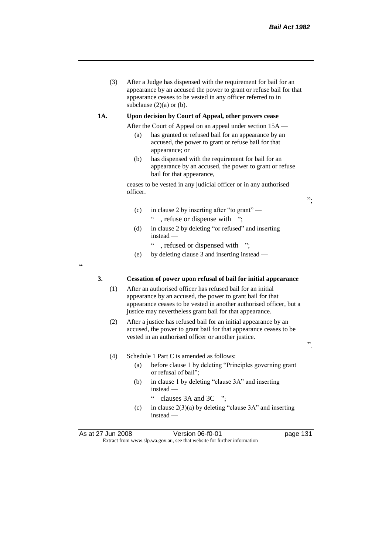(3) After a Judge has dispensed with the requirement for bail for an appearance by an accused the power to grant or refuse bail for that appearance ceases to be vested in any officer referred to in subclause  $(2)(a)$  or  $(b)$ .

### **1A. Upon decision by Court of Appeal, other powers cease**

- After the Court of Appeal on an appeal under section 15A
	- (a) has granted or refused bail for an appearance by an accused, the power to grant or refuse bail for that appearance; or
	- (b) has dispensed with the requirement for bail for an appearance by an accused, the power to grant or refuse bail for that appearance,

ceases to be vested in any judicial officer or in any authorised officer.

- (c) in clause 2 by inserting after "to grant" , refuse or dispense with ";
- (d) in clause 2 by deleting "or refused" and inserting instead —
	- " , refused or dispensed with ";
- (e) by deleting clause 3 and inserting instead —

.<br>.

## **3. Cessation of power upon refusal of bail for initial appearance**

- (1) After an authorised officer has refused bail for an initial appearance by an accused, the power to grant bail for that appearance ceases to be vested in another authorised officer, but a justice may nevertheless grant bail for that appearance.
- (2) After a justice has refused bail for an initial appearance by an accused, the power to grant bail for that appearance ceases to be vested in an authorised officer or another justice.

(4) Schedule 1 Part C is amended as follows:

- (a) before clause 1 by deleting "Principles governing grant or refusal of bail";
- (b) in clause 1 by deleting "clause 3A" and inserting instead —
	- " clauses 3A and 3C ";
- (c) in clause  $2(3)(a)$  by deleting "clause 3A" and inserting instead —

As at 27 Jun 2008 Version 06-f0-01 page 131 Extract from www.slp.wa.gov.au, see that website for further information

".

";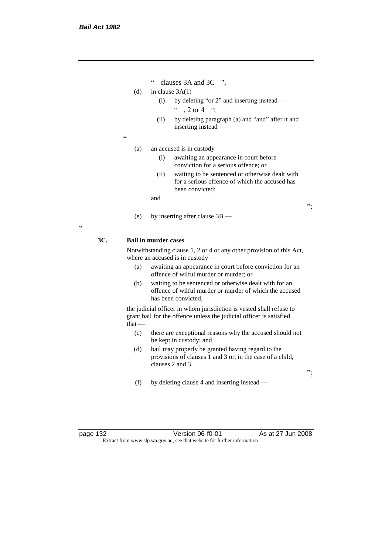- " clauses 3A and 3C ";
- (d) in clause  $3A(1)$ 
	- (i) by deleting "or 2" and inserting instead  $\degree$  , 2 or 4  $\degree$  :
	- (ii) by deleting paragraph (a) and "and" after it and inserting instead —
- $\epsilon$

(a) an accused is in custody —

- (i) awaiting an appearance in court before conviction for a serious offence; or
- (ii) waiting to be sentenced or otherwise dealt with for a serious offence of which the accused has been convicted;

and

(e) by inserting after clause 3B —

## $\epsilon$

## **3C. Bail in murder cases**

Notwithstanding clause 1, 2 or 4 or any other provision of this Act, where an accused is in custody —

- (a) awaiting an appearance in court before conviction for an offence of wilful murder or murder; or
- (b) waiting to be sentenced or otherwise dealt with for an offence of wilful murder or murder of which the accused has been convicted,

the judicial officer in whom jurisdiction is vested shall refuse to grant bail for the offence unless the judicial officer is satisfied  $that -$ 

- (c) there are exceptional reasons why the accused should not be kept in custody; and
- (d) bail may properly be granted having regard to the provisions of clauses 1 and 3 or, in the case of a child, clauses 2 and 3.
- (f) by deleting clause 4 and inserting instead —

page 132 Version 06-f0-01 As at 27 Jun 2008 Extract from www.slp.wa.gov.au, see that website for further information

";

";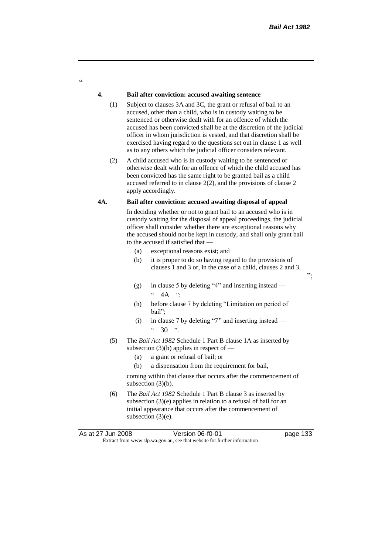";

## **4. Bail after conviction: accused awaiting sentence**

 $\alpha$ 

- (1) Subject to clauses 3A and 3C, the grant or refusal of bail to an accused, other than a child, who is in custody waiting to be sentenced or otherwise dealt with for an offence of which the accused has been convicted shall be at the discretion of the judicial officer in whom jurisdiction is vested, and that discretion shall be exercised having regard to the questions set out in clause 1 as well as to any others which the judicial officer considers relevant.
- (2) A child accused who is in custody waiting to be sentenced or otherwise dealt with for an offence of which the child accused has been convicted has the same right to be granted bail as a child accused referred to in clause 2(2), and the provisions of clause 2 apply accordingly.

# **4A. Bail after conviction: accused awaiting disposal of appeal**

In deciding whether or not to grant bail to an accused who is in custody waiting for the disposal of appeal proceedings, the judicial officer shall consider whether there are exceptional reasons why the accused should not be kept in custody, and shall only grant bail to the accused if satisfied that —

- (a) exceptional reasons exist; and
- (b) it is proper to do so having regard to the provisions of clauses 1 and 3 or, in the case of a child, clauses 2 and 3.
- (g) in clause 5 by deleting "4" and inserting instead  $4A$  ";
- (h) before clause 7 by deleting "Limitation on period of bail";
- (i) in clause 7 by deleting "7" and inserting instead  $42.30$  "
- (5) The *Bail Act 1982* Schedule 1 Part B clause 1A as inserted by subsection  $(3)(b)$  applies in respect of —
	- (a) a grant or refusal of bail; or
	- (b) a dispensation from the requirement for bail,

coming within that clause that occurs after the commencement of subsection (3)(b).

(6) The *Bail Act 1982* Schedule 1 Part B clause 3 as inserted by subsection (3)(e) applies in relation to a refusal of bail for an initial appearance that occurs after the commencement of subsection (3)(e).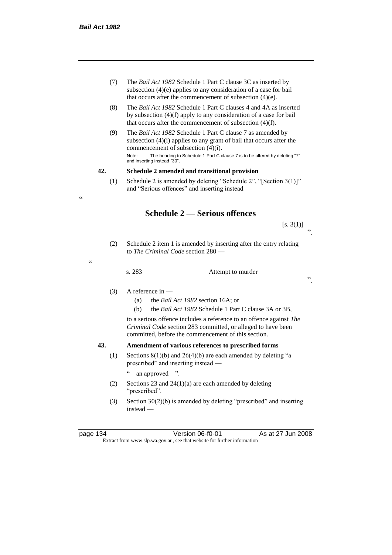.<br>.

"

- (7) The *Bail Act 1982* Schedule 1 Part C clause 3C as inserted by subsection (4)(e) applies to any consideration of a case for bail that occurs after the commencement of subsection (4)(e).
- (8) The *Bail Act 1982* Schedule 1 Part C clauses 4 and 4A as inserted by subsection (4)(f) apply to any consideration of a case for bail that occurs after the commencement of subsection (4)(f).
- (9) The *Bail Act 1982* Schedule 1 Part C clause 7 as amended by subsection (4)(i) applies to any grant of bail that occurs after the commencement of subsection (4)(i). Note: The heading to Schedule 1 Part C clause 7 is to be altered by deleting "7" and inserting instead "30".

## **42. Schedule 2 amended and transitional provision**

(1) Schedule 2 is amended by deleting "Schedule 2", "[Section 3(1)]" and "Serious offences" and inserting instead —

# **Schedule 2 — Serious offences**

 $[s. 3(1)]$ ".

(2) Schedule 2 item 1 is amended by inserting after the entry relating to *The Criminal Code* section 280 —

s. 283 Attempt to murder

".

# (3) A reference in —

- (a) the *Bail Act 1982* section 16A; or
- (b) the *Bail Act 1982* Schedule 1 Part C clause 3A or 3B,

to a serious offence includes a reference to an offence against *The Criminal Code* section 283 committed, or alleged to have been committed, before the commencement of this section.

# **43. Amendment of various references to prescribed forms**

(1) Sections  $8(1)(b)$  and  $26(4)(b)$  are each amended by deleting "a prescribed" and inserting instead —

" an approved ".

- (2) Sections 23 and 24(1)(a) are each amended by deleting "prescribed".
- (3) Section  $30(2)(b)$  is amended by deleting "prescribed" and inserting instead —

page 134 Version 06-f0-01 As at 27 Jun 2008 Extract from www.slp.wa.gov.au, see that website for further information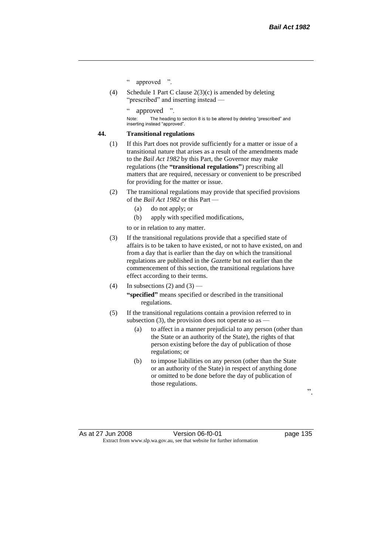- " approved ".
- (4) Schedule 1 Part C clause 2(3)(c) is amended by deleting "prescribed" and inserting instead —

approved

Note: The heading to section 8 is to be altered by deleting "prescribed" and inserting instead "approved".

## **44. Transitional regulations**

- (1) If this Part does not provide sufficiently for a matter or issue of a transitional nature that arises as a result of the amendments made to the *Bail Act 1982* by this Part, the Governor may make regulations (the **"transitional regulations"**) prescribing all matters that are required, necessary or convenient to be prescribed for providing for the matter or issue.
- (2) The transitional regulations may provide that specified provisions of the *Bail Act 1982* or this Part —
	- (a) do not apply; or
	- (b) apply with specified modifications,

to or in relation to any matter.

- (3) If the transitional regulations provide that a specified state of affairs is to be taken to have existed, or not to have existed, on and from a day that is earlier than the day on which the transitional regulations are published in the *Gazette* but not earlier than the commencement of this section, the transitional regulations have effect according to their terms.
- (4) In subsections (2) and (3) **"specified"** means specified or described in the transitional regulations.
- (5) If the transitional regulations contain a provision referred to in subsection (3), the provision does not operate so as  $-$ 
	- (a) to affect in a manner prejudicial to any person (other than the State or an authority of the State), the rights of that person existing before the day of publication of those regulations; or
	- (b) to impose liabilities on any person (other than the State or an authority of the State) in respect of anything done or omitted to be done before the day of publication of those regulations.

".

As at 27 Jun 2008 Version 06-f0-01 page 135 Extract from www.slp.wa.gov.au, see that website for further information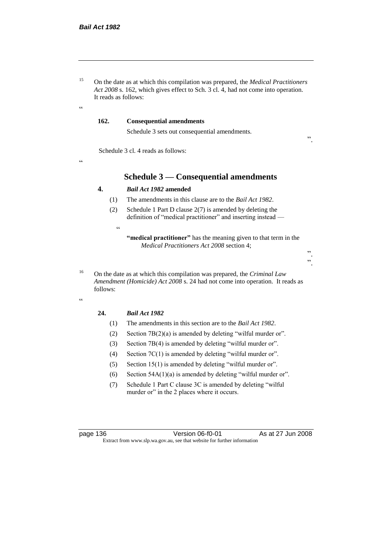<sup>15</sup> On the date as at which this compilation was prepared, the *Medical Practitioners Act 2008* s. 162, which gives effect to Sch. 3 cl. 4, had not come into operation. It reads as follows:

# **162. Consequential amendments**

Schedule 3 sets out consequential amendments.

".

Schedule 3 cl. 4 reads as follows:

.<br>.

 $\epsilon$ 

# **Schedule 3 — Consequential amendments**

## **4.** *Bail Act 1982* **amended**

(1) The amendments in this clause are to the *Bail Act 1982*.

(2) Schedule 1 Part D clause 2(7) is amended by deleting the definition of "medical practitioner" and inserting instead —

<sup>16</sup> On the date as at which this compilation was prepared, the *Criminal Law Amendment (Homicide) Act 2008* s. 24 had not come into operation. It reads as follows:

 $\epsilon$ 

#### **24.** *Bail Act 1982*

 $\epsilon$ 

- (1) The amendments in this section are to the *Bail Act 1982*.
- (2) Section  $7B(2)(a)$  is amended by deleting "wilful murder or".
- (3) Section 7B(4) is amended by deleting "wilful murder or".
- (4) Section 7C(1) is amended by deleting "wilful murder or".
- (5) Section 15(1) is amended by deleting "wilful murder or".
- (6) Section  $54A(1)(a)$  is amended by deleting "wilful murder or".
- (7) Schedule 1 Part C clause 3C is amended by deleting "wilful murder or" in the 2 places where it occurs.

page 136 Version 06-f0-01 As at 27 Jun 2008 Extract from www.slp.wa.gov.au, see that website for further information

**<sup>&</sup>quot;medical practitioner"** has the meaning given to that term in the *Medical Practitioners Act 2008* section 4;

 <sup>&</sup>quot;. ".